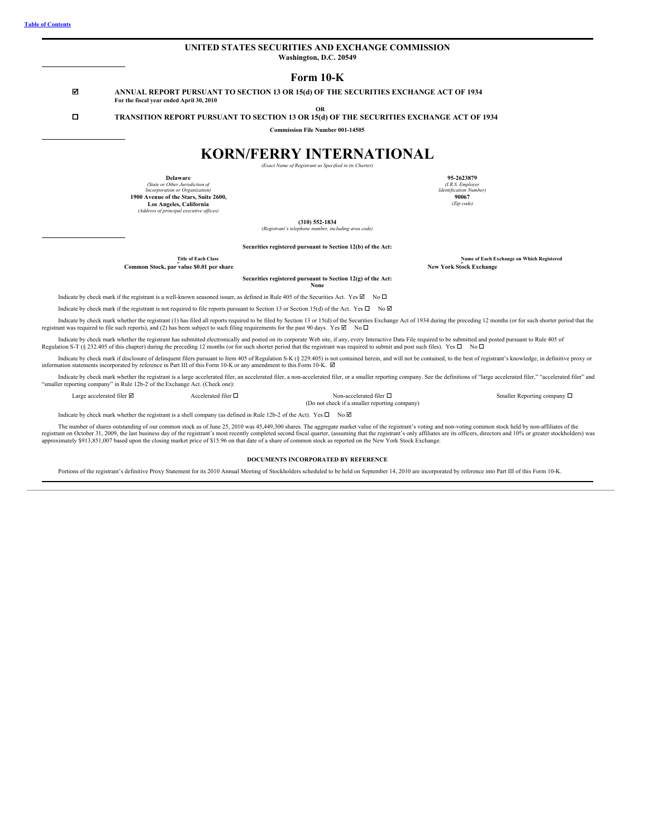<span id="page-0-0"></span>

| Form $10-K$<br>☑<br>ANNUAL REPORT PURSUANT TO SECTION 13 OR 15(d) OF THE SECURITIES EXCHANGE ACT OF 1934<br>For the fiscal year ended April 30, 2010<br><b>OR</b><br>П<br>TRANSITION REPORT PURSUANT TO SECTION 13 OR 15(d) OF THE SECURITIES EXCHANGE ACT OF 1934<br><b>Commission File Number 001-14505</b><br><b>KORN/FERRY INTERNATIONAL</b><br>(Exact Name of Registrant as Specified in its Charter)<br>Delaware<br>95-2623879<br>(State or Other Jurisdiction of<br>(I.R.S. Employer<br>Incorporation or Organization)<br><b>Identification Number)</b><br>1900 Avenue of the Stars, Suite 2600,<br>90067<br>(Zip code)<br>Los Angeles, California<br>(Address of principal executive offices)<br>$(310)$ 552-1834<br>(Registrant's telephone number, including area code)<br>Securities registered pursuant to Section 12(b) of the Act:<br><b>Title of Each Class</b><br><b>New York Stock Exchange</b><br>Common Stock, par value \$0.01 per share<br>Securities registered pursuant to Section 12(g) of the Act:<br>None<br>Indicate by check mark if the registrant is a well-known seasoned issuer, as defined in Rule 405 of the Securities Act. Yes $\boxtimes$ No $\Box$ | UNITED STATES SECURITIES AND EXCHANGE COMMISSION<br>Washington, D.C. 20549                                                                                |                                           |
|------------------------------------------------------------------------------------------------------------------------------------------------------------------------------------------------------------------------------------------------------------------------------------------------------------------------------------------------------------------------------------------------------------------------------------------------------------------------------------------------------------------------------------------------------------------------------------------------------------------------------------------------------------------------------------------------------------------------------------------------------------------------------------------------------------------------------------------------------------------------------------------------------------------------------------------------------------------------------------------------------------------------------------------------------------------------------------------------------------------------------------------------------------------------------------------|-----------------------------------------------------------------------------------------------------------------------------------------------------------|-------------------------------------------|
|                                                                                                                                                                                                                                                                                                                                                                                                                                                                                                                                                                                                                                                                                                                                                                                                                                                                                                                                                                                                                                                                                                                                                                                          |                                                                                                                                                           |                                           |
|                                                                                                                                                                                                                                                                                                                                                                                                                                                                                                                                                                                                                                                                                                                                                                                                                                                                                                                                                                                                                                                                                                                                                                                          |                                                                                                                                                           |                                           |
|                                                                                                                                                                                                                                                                                                                                                                                                                                                                                                                                                                                                                                                                                                                                                                                                                                                                                                                                                                                                                                                                                                                                                                                          |                                                                                                                                                           |                                           |
|                                                                                                                                                                                                                                                                                                                                                                                                                                                                                                                                                                                                                                                                                                                                                                                                                                                                                                                                                                                                                                                                                                                                                                                          |                                                                                                                                                           |                                           |
|                                                                                                                                                                                                                                                                                                                                                                                                                                                                                                                                                                                                                                                                                                                                                                                                                                                                                                                                                                                                                                                                                                                                                                                          |                                                                                                                                                           |                                           |
|                                                                                                                                                                                                                                                                                                                                                                                                                                                                                                                                                                                                                                                                                                                                                                                                                                                                                                                                                                                                                                                                                                                                                                                          |                                                                                                                                                           |                                           |
|                                                                                                                                                                                                                                                                                                                                                                                                                                                                                                                                                                                                                                                                                                                                                                                                                                                                                                                                                                                                                                                                                                                                                                                          |                                                                                                                                                           |                                           |
|                                                                                                                                                                                                                                                                                                                                                                                                                                                                                                                                                                                                                                                                                                                                                                                                                                                                                                                                                                                                                                                                                                                                                                                          |                                                                                                                                                           |                                           |
|                                                                                                                                                                                                                                                                                                                                                                                                                                                                                                                                                                                                                                                                                                                                                                                                                                                                                                                                                                                                                                                                                                                                                                                          |                                                                                                                                                           |                                           |
|                                                                                                                                                                                                                                                                                                                                                                                                                                                                                                                                                                                                                                                                                                                                                                                                                                                                                                                                                                                                                                                                                                                                                                                          |                                                                                                                                                           |                                           |
|                                                                                                                                                                                                                                                                                                                                                                                                                                                                                                                                                                                                                                                                                                                                                                                                                                                                                                                                                                                                                                                                                                                                                                                          |                                                                                                                                                           |                                           |
|                                                                                                                                                                                                                                                                                                                                                                                                                                                                                                                                                                                                                                                                                                                                                                                                                                                                                                                                                                                                                                                                                                                                                                                          |                                                                                                                                                           |                                           |
|                                                                                                                                                                                                                                                                                                                                                                                                                                                                                                                                                                                                                                                                                                                                                                                                                                                                                                                                                                                                                                                                                                                                                                                          |                                                                                                                                                           |                                           |
|                                                                                                                                                                                                                                                                                                                                                                                                                                                                                                                                                                                                                                                                                                                                                                                                                                                                                                                                                                                                                                                                                                                                                                                          |                                                                                                                                                           | Name of Each Exchange on Which Registered |
|                                                                                                                                                                                                                                                                                                                                                                                                                                                                                                                                                                                                                                                                                                                                                                                                                                                                                                                                                                                                                                                                                                                                                                                          |                                                                                                                                                           |                                           |
|                                                                                                                                                                                                                                                                                                                                                                                                                                                                                                                                                                                                                                                                                                                                                                                                                                                                                                                                                                                                                                                                                                                                                                                          |                                                                                                                                                           |                                           |
|                                                                                                                                                                                                                                                                                                                                                                                                                                                                                                                                                                                                                                                                                                                                                                                                                                                                                                                                                                                                                                                                                                                                                                                          |                                                                                                                                                           |                                           |
|                                                                                                                                                                                                                                                                                                                                                                                                                                                                                                                                                                                                                                                                                                                                                                                                                                                                                                                                                                                                                                                                                                                                                                                          | Indicate by check mark if the registrant is not required to file reports pursuant to Section 13 or Section 15(d) of the Act. Yes $\square$ No $\boxtimes$ |                                           |

Indicate by check mark whether the registrant (1) has filed all reports required to be filed by Section 13 or 15(d) of the Securities Exchange Act of 1934 during the preceding 12 months (or for such shorter period that th

Indicate by check mark whether the registrant has submitted electronically and posted on its corporate Web site, if any, every Interactive Data File required to be submitted and posted pursuant to Rule 405 of Regulation S

Indicate by check mark if disclosure of delinquent filers pursuant to Item 405 of Regulation S-K (§ 229.405) is not contained herein, and will not be contained, to the best of registrant's knowledge, in definitive proxy or information statements incorporated by reference in Part III of this Form 10-K or any amendment to this Form 10-K.  $\boxtimes$ 

Indicate by check mark whether the registrant is a large accelerated filer, an accelerated filer, a non-accelerated filer, or a smaller reporting company. See the definitions of "large accelerated filer," "accelerated file "smaller reporting company" in Rule 12b-2 of the Exchange Act. (Check one):

Large accelerated filer **□**<br>(Do not check if a smaller reporting company) and the Conserverated filer **□** 

Smaller Reporting company  $\Box$ 

Indicate by check mark whether the registrant is a shell company (as defined in Rule 12b-2 of the Act). Yes  $\Box$  No  $\Box$ 

The number of shares outstanding of our common stock as of June 25, 2010 was 45,449,300 shares. The aggregate market value of the registrant's voting and non-voting common stock held by non-affiliates of the registrant's o approximately \$913,851,007 based upon the closing market price of \$15.96 on that date of a share of common stock as reported on the New York Stock Exchange.

## **DOCUMENTS INCORPORATED BY REFERENCE**

Portions of the registrant's definitive Proxy Statement for its 2010 Annual Meeting of Stockholders scheduled to be held on September 14, 2010 are incorporated by reference into Part III of this Form 10-K.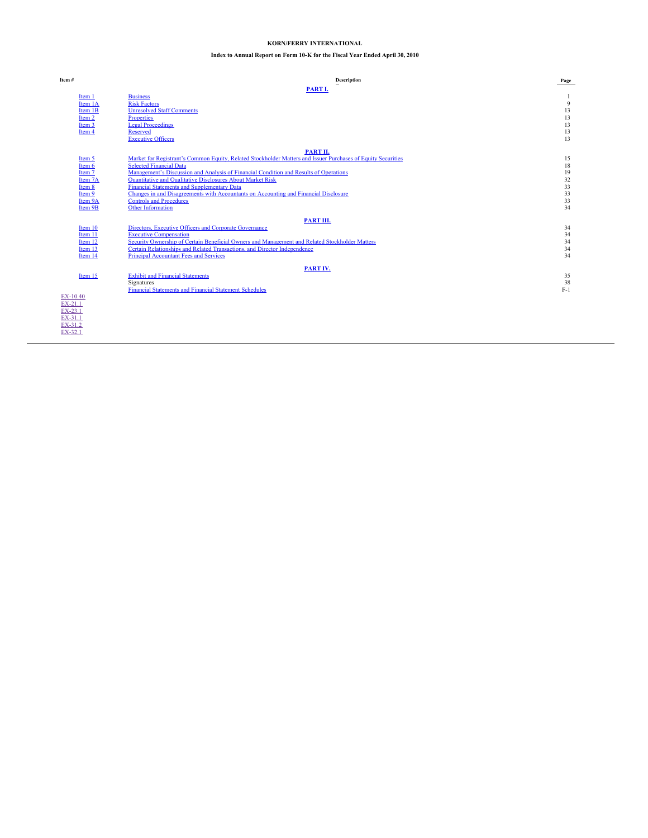# **KORN/FERRY INTERNATIONAL**

# **Index to Annual Report on Form 10-K for the Fiscal Year Ended April 30, 2010**

<span id="page-1-0"></span>

| Item#     | <b>Description</b>                                                                                           | Page  |
|-----------|--------------------------------------------------------------------------------------------------------------|-------|
|           | PART I.                                                                                                      |       |
| Item 1    | <b>Business</b>                                                                                              |       |
| Item 1A   | <b>Risk Factors</b>                                                                                          | 9     |
| Item 1B   | <b>Unresolved Staff Comments</b>                                                                             | 13    |
| Item 2    | Properties                                                                                                   | 13    |
| Item 3    | <b>Legal Proceedings</b>                                                                                     | 13    |
| Item 4    | Reserved                                                                                                     | 13    |
|           | <b>Executive Officers</b>                                                                                    | 13    |
|           | PART II.                                                                                                     |       |
| Item 5    | Market for Registrant's Common Equity, Related Stockholder Matters and Issuer Purchases of Equity Securities | 15    |
| Item 6    | <b>Selected Financial Data</b>                                                                               | 18    |
| Item 7    | Management's Discussion and Analysis of Financial Condition and Results of Operations                        | 19    |
| Item 7A   | Quantitative and Qualitative Disclosures About Market Risk                                                   | 32    |
| Item 8    | <b>Financial Statements and Supplementary Data</b>                                                           | 33    |
| Item 9    | Changes in and Disagreements with Accountants on Accounting and Financial Disclosure                         | 33    |
| Item 9A   | <b>Controls and Procedures</b>                                                                               | 33    |
| Item 9B   | Other Information                                                                                            | 34    |
|           | PART III.                                                                                                    |       |
| Item 10   | Directors, Executive Officers and Corporate Governance                                                       | 34    |
| Item 11   | <b>Executive Compensation</b>                                                                                | 34    |
| Item 12   | Security Ownership of Certain Beneficial Owners and Management and Related Stockholder Matters               | 34    |
| Item 13   | Certain Relationships and Related Transactions, and Director Independence                                    | 34    |
| Item 14   | <b>Principal Accountant Fees and Services</b>                                                                | 34    |
|           | PART IV.                                                                                                     |       |
| Item 15   | <b>Exhibit and Financial Statements</b>                                                                      | 35    |
|           | Signatures                                                                                                   | 38    |
|           | <b>Financial Statements and Financial Statement Schedules</b>                                                | $F-1$ |
| EX-10.40  |                                                                                                              |       |
| $EX-21.1$ |                                                                                                              |       |
| EX-23.1   |                                                                                                              |       |
| EX-31.1   |                                                                                                              |       |
| EX-31.2   |                                                                                                              |       |
| EX-32.1   |                                                                                                              |       |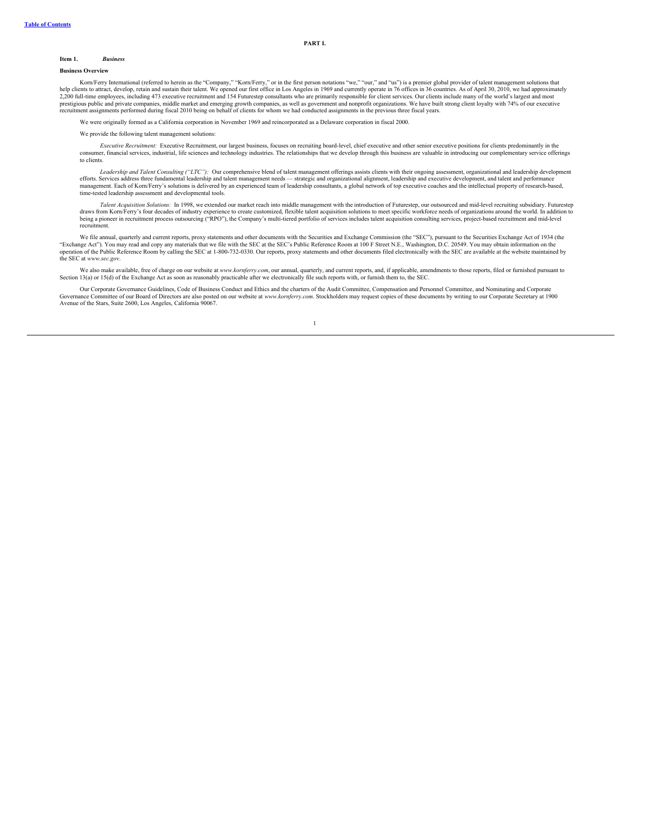**PART I.**

# <span id="page-2-0"></span>**Item 1.** *Business*

#### **Business Overview**

Korn/Ferry International (referred to herein as the "Company," "Korn/Ferry," or in the first person notations "we," "our," and "us") is a premier global provider of talent management solutions that<br>help clients to attract, recruitment assignments performed during fiscal 2010 being on behalf of clients for whom we had conducted assignments in the previous three fiscal years.

We were originally formed as a California corporation in November 1969 and reincorporated as a Delaware corporation in fiscal 2000.

We provide the following talent management solutions:

*Executive Recruitment:* Executive Recruitment, our largest business, focuses on recruiting board-level, chief executive and other senior executive positions for clients predominantly in the consumer, financial services, industrial, life sciences and technology industries. The relationships that we develop through this business are valuable in introducing our complementary service offerings to clients.

*Leadership and Talent Consulting ("LTC"):* Our comprehensive blend of talent management offerings assists clients with their ongoing assessment, organizational and leadership development efforts. Services address three fundamental leadership and talent management needs — strategic and organizational alignment, leadership and executive development, and talent and performance<br>management. Each of Korn/Ferry's time-tested leadership assessment and developmental tools.

Talent Acquisition Solutions: In 1998, we extended our market reach into middle management with the introduction of Futurestep, our outsourced and mid-level recruiting subsidiary. Futurestep form Korn/Ferry's four decades recruitment.

We file annual, quarterly and current reports, proxy statements and other documents with the Securities and Exchange Commission (the "SEC"), pursuant to the Securities Exchange Act of 1934 (the "Exchange Act"). You may read and copy any materials that we file with the SEC at the SEC's Public Reference Room at 100 F Street N.E., Washington, D.C. 20549. You may obtain information on the<br>operation of the Public Refe the SEC at *www.sec.gov*.

We also make available, free of charge on our website at www.kornferry.com, our annual, quarterly, and current reports, and, if applicable, amendments to those reports, filed or furnished pursuant to Section 13(a) or 15(d)

Our Corporate Governance Guidelines, Code of Business Conduct and Ethics and the charters of the Audit Committee, Compensation and Personnel Committee, and Nominating and Corporate Governance Committee of our Board of Directors are also posted on our website at *www.kornferry.com*. Stockholders may request copies of these documents by writing to our Corporate Secretary at 1900 Avenue of the Stars, Suite 2600, Los Angeles, California 90067.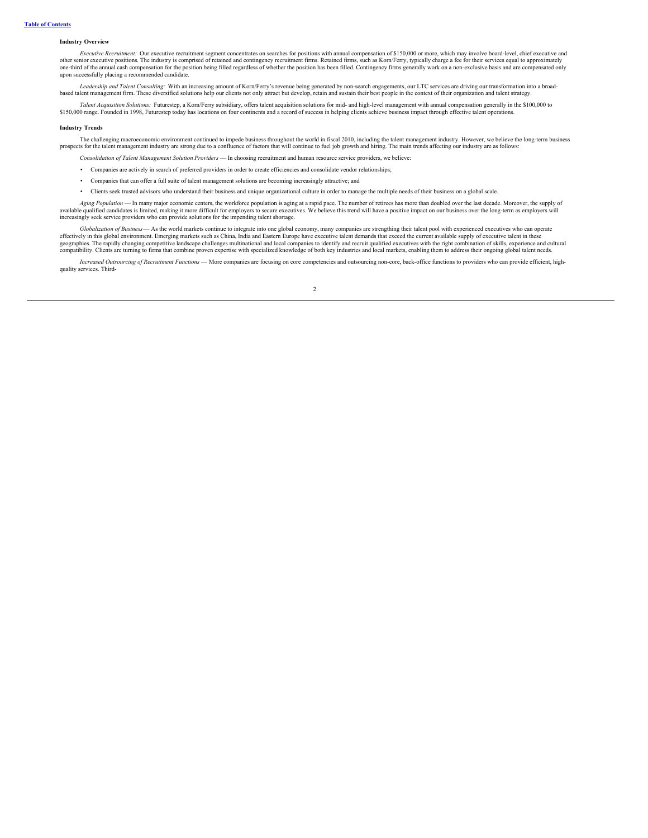# **Industry Overview**

*Executive Recruitment:* Our executive recruitment segment concentrates on searches for positions with annual compensation of \$150,000 or more, which may involve board-level, chief executive and other senior executive positions. The industry is comprised of retained and contingency recruitment firms. Retained firms, such as Kom/Ferry, typically charge a fee for their services equal to approximately<br>one-third of th upon successfully placing a recommended candidate.

*Leadership and Talent Consulting:* With an increasing amount of Korn/Ferry's revenue being generated by non-search engagements, our LTC services are driving our transformation into a broadbased talent management firm. These diversified solutions help our clients not only attract but develop, retain and sustain their best people in the context of their organization and talent strategy.

Talent Acquisition Solutions: Futurestep, a Korn/Ferry subsidiary, offers talent acquisition solutions for mid- and high-level management with annual compensation generally in the \$100,000 to 150,000 range. Founded in 1998

### **Industry Trends**

The challenging macroeconomic environment continued to impede business throughout the world in fiscal 2010, including the talent management industry. However, we believe the long-term business prospects for the talent management industry are strong due to a confluence of factors that will continue to fuel job growth and hiring. The main trends affecting our industry are as follows:

- *Consolidation of Talent Management Solution Providers* In choosing recruitment and human resource service providers, we believe:
- Companies are actively in search of preferred providers in order to create efficiencies and consolidate vendor relationships;
- Companies that can offer a full suite of talent management solutions are becoming increasingly attractive; and
- Clients seek trusted advisors who understand their business and unique organizational culture in order to manage the multiple needs of their business on a global scale.

Aging Population — In many major economic centers, the workforce population is aging at a rapid pace. The number of retirees has more than doubled over the last decade. Moreover, the supply of available qualified candidates is limited, making it more difficult for employers to secure executives. We believe this trend will have a positive impact on our business over the long-term as employers will<br>increasingly se

*Globalization of Business*— As the world markets continue to integrate into one global economy, many companies are strengthing their talent pool with experienced executives who can operate effectively in this global environment. Emerging markets such as China, India and Eastern Europe have executive talent demands that exceed the current available supply of executive talent in these<br>geographies. The rapidly compatibility. Clients are turning to firms that combine proven expertise with specialized knowledge of both key industries and local markets, enabling them to address their ongoing global talent needs.

Increased Outsourcing of Recruitment Functions - More companies are focusing on core competencies and outsourcing non-core, back-office functions to providers who can provide efficient, highquality services. Third-

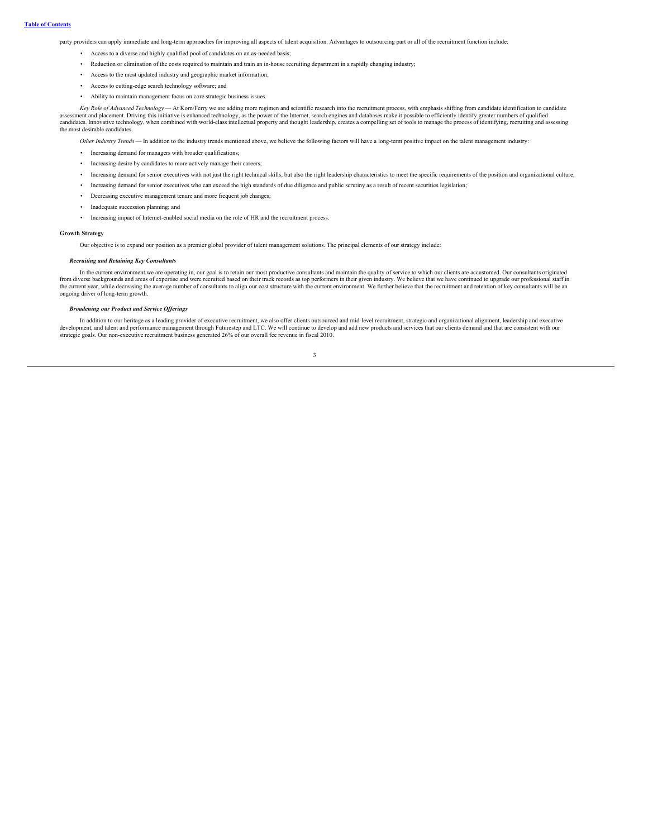party providers can apply immediate and long-term approaches for improving all aspects of talent acquisition. Advantages to outsourcing part or all of the recruitment function include:

- Access to a diverse and highly qualified pool of candidates on an as-needed basis;
- Reduction or elimination of the costs required to maintain and train an in-house recruiting department in a rapidly changing industry;
- Access to the most updated industry and geographic market information;
- Access to cutting-edge search technology software; and
- Ability to maintain management focus on core strategic business issues.

Key Role of Advanced Technology — At Korn/Ferry we are adding more regimen and scientific research into the recruitment process, with emphasis shifting from candidate identification to candidate identification to candidate candidates. Innovative technology, when combined with world-class intellectual property and thought leadership, creates a compelling set of tools to manage the process of identifying, recruiting and assessing the most desirable candidates.

*Other Industry Trends*— In addition to the industry trends mentioned above, we believe the following factors will have a long-term positive impact on the talent management industry:

- Increasing demand for managers with broader qualifications;
- Increasing desire by candidates to more actively manage their careers;
- Increasing demand for senior executives with not just the right technical skills, but also the right leadership characteristics to meet the specific requirements of the position and organizational culture;
- Increasing demand for senior executives who can exceed the high standards of due diligence and public scrutiny as a result of recent securities legislation;
- Decreasing executive management tenure and more frequent job changes;
- Inadequate succession planning; and
- Increasing impact of Internet-enabled social media on the role of HR and the recruitment process.

### **Growth Strategy**

Our objective is to expand our position as a premier global provider of talent management solutions. The principal elements of our strategy include:

## *Recruiting and Retaining Key Consultants*

In the current environment we are operating in, our goal is to retain our most productive consultants and maintain the quality of service to which our clients are accustomed. Our consultants originated<br>from diverse backgro the current year, while decreasing the average number of consultants to align our cost structure with the current environment. We further believe that the recruitment and retention of key consultants will be an ongoing dri

#### *Broadening our Product and Service Of erings*

In addition to our heritage as a leading provider of executive recruitment, we also offer clients outsourced and mid-level recruitment, strategic and organizational alignment, leadership and executive develops and take als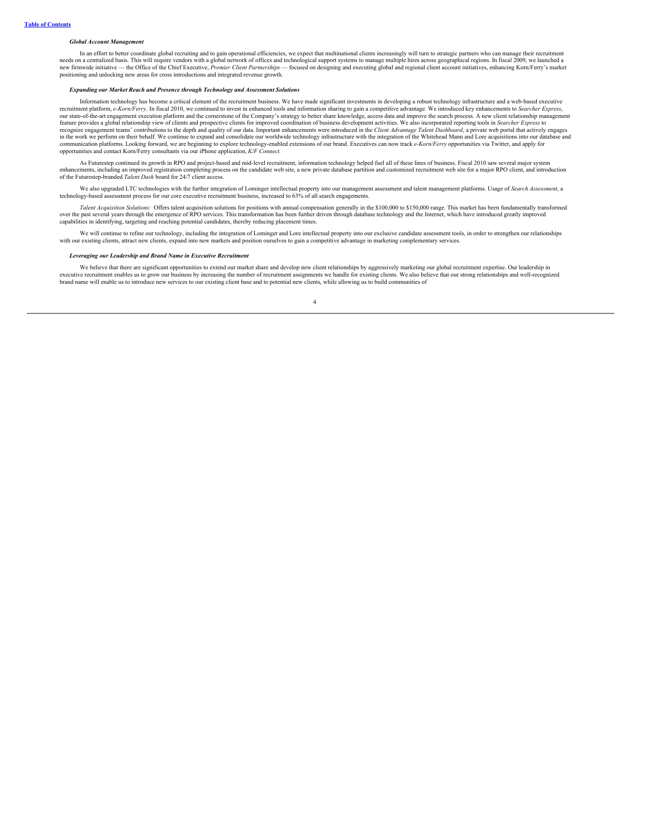#### *Global Account Management*

In an effort to better coordinate global recruiting and to gain operational efficiencies, we expect that multinational clients increasingly will turn to strategic partners who can manage their recruitment needs on a centralized basis. This will require vendors with a global network of offices and technological support systems to manage multiple hires across geographical regions. In fiscal 2009, we launched a<br>new firmwide in positioning and unlocking new areas for cross introductions and integrated revenue growth.

### *Expanding our Market Reach and Presence through Technology and Assessment Solutions*

Information technology has become a critical element of the recruitment business. We have made significant investments in developing a robust technology infrastructure and a web-based executive recruitment platform, *e-Korn/Ferry*. In fiscal 2010, we continued to invest in enhanced tools and information sharing to gain a competitive advantage. We introduced key enhancements to *Searcher Express*, our state-of-the-art engagement execution platform and the cornerstone of the Company's strategy to better share knowledge, access data and improve the search process. A new client relationship management<br>recognize engagem communication platforms. Looking forward, we are beginning to explore technology-enabled extensions of our brand. Executives can now track *e-Korn/Ferry* opportunities via Twitter, and apply for opportunities and contact Korn/Ferry consultants via our iPhone application, *K/F Connect*.

As Futurestep continued its growth in RPO and project-based and mid-level recruitment, information technology helped fuel all of these lines of business. Fiscal 2010 saw several major system enhancements, including an improved registration completing process on the candidate web site, a new private database partition and customized recruitment web site for a major RPO client, and introduction<br>of the Futurestep

We also upgraded LTC technologies with the further integration of Lominger intellectual property into our management assessment and talent management platforms. Usage of Search Assessment, a technology-based assessment pro

*Talent Acquisition Solutions:* Offers talent acquisition solutions for positions with annual compensation generally in the \$100,000 to \$150,000 range. This market has been fundamentally transformed over the past several years through the emergence of RPO services. This transformation has been further driven through database technology and the Internet, which have introduced greatly improved capabilities in identifying, targeting and reaching potential candidates, thereby reducing placement times.

We will continue to refine our technology, including the integration of Lominger and Lore intellectual property into our exclusive candidate assessment tools, in order to strengthen our relationships with our existing clie

### *Leveraging our Leadership and Brand Name in Executive Recruitment*

We believe that there are significant opportunities to extend our market share and develop new client relationships by aggressively marketing our global recruitment expertise. Our leadership in executive recruitment enables us to grow our business by increasing the number of recruitment assignments we handle for existing clients. We also believe that our strong relationships and well-recognized<br>brand name will en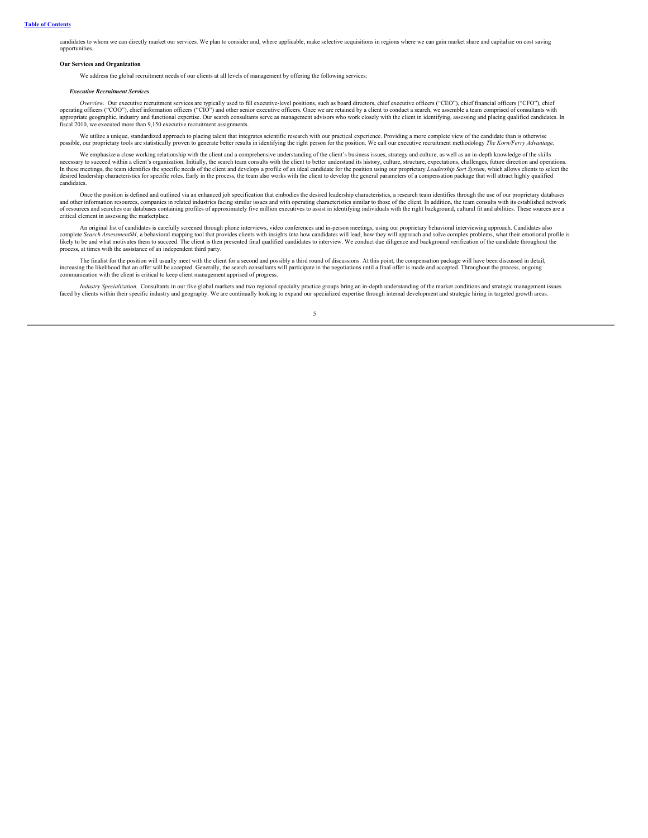candidates to whom we can directly market our services. We plan to consider and, where applicable, make selective acquisitions in regions where we can gain market share and capitalize on cost saving opportunities.

## **Our Services and Organization**

We address the global recruitment needs of our clients at all levels of management by offering the following services:

## *Executive Recruitment Services*

Overview. Our executive recruitment services are typically used to fill executive-level positions, such as board directors, chief executive officers ("CEO"), chief financial officers ("CFO"), chief promation officers ("CFO appropriate geographic, industry and functional expertise. Our search consultants serve as management advisors who work closely with the client in identifying, assessing and placing qualified candidates. In appropriate geo fiscal 2010, we executed more than 9,150 executive recruitment assignments.

We utilize a unique, standardized approach to placing talent that integrates scientific research with our practical experience. Providing a more complete view of the candidate than is otherwise possible, our proprietary to

We emphasize a close working relationship with the client and a comprehensive understanding of the client's business issues, strategy and culture, as well as an in-depth knowledge of the skills necessary to succeed within a client's organization. Initially, the search team consults with the client to better understand its history, culture, structure, expectations, challenges, future direction and operations. In these meetings, the team identifies the specific needs of the client and develops a profile of an ideal candidate for the position using our proprietary *Leadership Sort System*, which allows clients to select the desir candidates.

Once the position is defined and outlined via an enhanced job specification that embodies the desired leadership characteristics, a research team identifies through the use of our proprietary databases and other informatio of resources and searches our databases containing profiles of approximately five million executives to assist in identifying individuals with the right background, cultural fit and abilities. These sources are a critical element in assessing the marketplace.

An original list of candidates is carefully screened through phone interviews, video conferences and in-person meetings, using our proprietary behavioral interviewing approach. Candidates also complete Search Assessment<sup>SM</sup> process, at times with the assistance of an independent third party.

The finalist for the position will usually meet with the client for a second and possibly a third round of discussions. At this point, the compensation package will have been discussed in detail, increasing the likelihood that an offer will be accepted. Generally, the search consultants will participate in the negotiations until a final offer is made and accepted. Throughout the process, ongoing communication with the client is critical to keep client management apprised of progress.

Industry Specialization. Consultants in our five global markets and two regional specialty practice groups bring an in-depth understanding of the market conditions and strategic management issues faced by clients within th

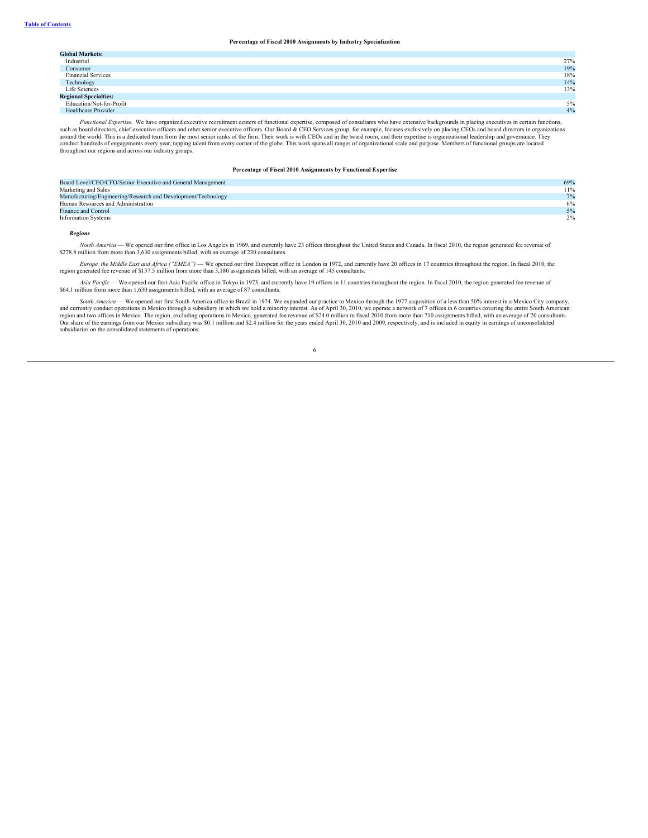# **Percentage of Fiscal 2010 Assignments by Industry Specialization**

| <b>Global Markets:</b>       |       |
|------------------------------|-------|
| Industrial                   | 27%   |
| Consumer                     | 19%   |
| <b>Financial Services</b>    | 18%   |
| Technology                   | 14%   |
| Life Sciences                | 13%   |
| <b>Regional Specialties:</b> |       |
| Education/Not-for-Profit     | $5\%$ |
| Healthcare Provider          | 4%    |

Functional Expertise. We have organized executive recruitment centers of functional expertise, composed of consultants who have extensive backgrounds in placing executives in certain functions,<br>such as board directors, chi conduct hundreds of engagements every year, tapping talent from every corner of the globe. This work spans all ranges of organizational scale and purpose. Members of functional groups are located<br>throughout our regions and

# **Percentage of Fiscal 2010 Assignments by Functional Expertise**

| Board Level/CEO/CFO/Senior Executive and General Management   | 69% |
|---------------------------------------------------------------|-----|
| Marketing and Sales                                           | 11% |
| Manufacturing/Engineering/Research and Development/Technology | 7%  |
| Human Resources and Administration                            | 6%  |
| Finance and Control                                           | 5%  |
| <b>Information Systems</b>                                    | 2%  |

### *Regions*

*North America* — We opened our first office in Los Angeles in 1969, and currently have 23 offices throughout the United States and Canada. In fiscal 2010, the region generated fee revenue of \$278.8 million from more than 3,630 assignments billed, with an average of 230 consultants.

Europe, the Middle East and Africa ("EMEA") - We opened our first European office in London in 1972, and currently have 20 offices in 17 countries throughout the region. In fiscal 2010, the region generated fee revenue of \$137.5 million from more than 3,180 assignments billed, with an average of 145 consultants.

*Asia Pacific* — We opened our first Asia Pacific office in Tokyo in 1973, and currently have 19 offices in 11 countries throughout the region. In fiscal 2010, the region generated fee revenue of \$64.1 million from more than 1,630 assignments billed, with an average of 87 consultants.

South America — We opened our first South America office in Brazil in 1974. We expanded our practice to Mexico through the 1977 acquisition of a less than 50% interest in a Mexico City company,<br>and currently conduct operat Our share of the earnings from our Mexico subsidiary was \$0.1 million and \$2.4 million for the years ended April 30, 2010 and 2009, respectively, and is included in equity in earnings of unconsolidated<br>subsidiaries on the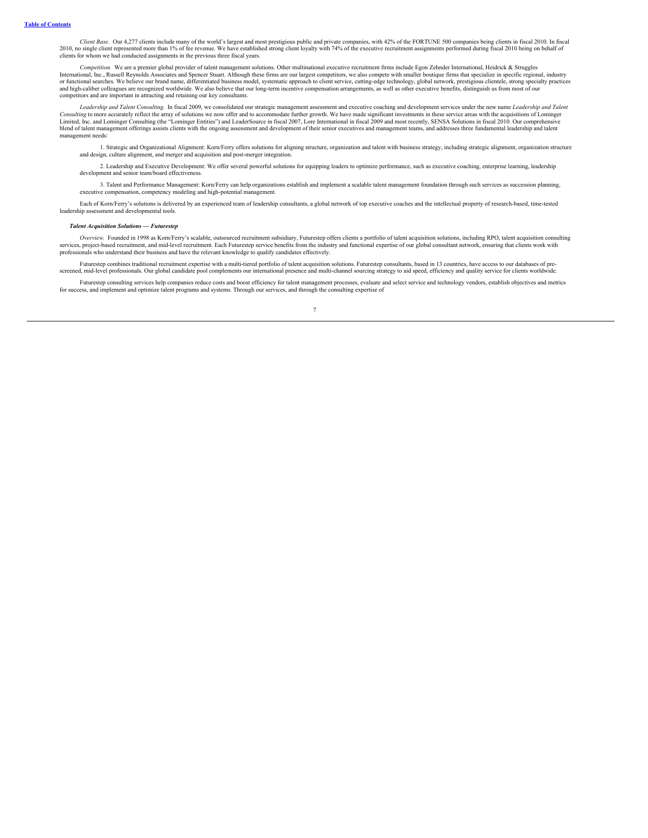*Client Base.* Our 4,277 clients include many of the world's largest and most prestigious public and private companies, with 42% of the FORTUNE 500 companies being clients in fiscal 2010. In fiscal 2010, no single client represented more than 1% of fee revenue. We have established strong client loyalty with 74% of the executive recruitment assignments performed during fiscal 2010 being on behalf of clients for whom we had conducted assignments in the previous three fiscal years.

Competition. We are a premier global provider of talent management solutions. Other multinational executive recruitment firms include Egon Zehnder International, Heidrick & Struggles<br>International, Inc., Russell Reynolds A and high-caliber colleagues are recognized worldwide. We also believe that our long-term incentive compensation arrangements, as well as other executive benefits, distinguish us from most of our competitors and are important in attracting and retaining our key consultants.

Leadership and Talent Consulting. In fiscal 2009, we consolidated our strategic management assessment and executive coaching and development services under the new name Leadership and Talent *Consulting* to more accurately reflect the array of solutions we now offer and to accommodate further growth. We have made significant investments in these service areas with the acquisitions of Lominger Limited, Inc. and Lominger Consulting (the "Lominger Entities") and LeaderSource in fiscal 2007, Lore International in fiscal 2009 and most recently, SENSA Solutions in fiscal 2010. Our comprehensive blend of talent management offerings assists clients with the ongoing assessment and development of their senior executives and management teams, and addresses three fundamental leadership and talent management of their se management needs:

1. Strategic and Organizational Alignment: Korn/Ferry offers solutions for aligning structure, organization and talent with business strategy, including strategic alignment, organization structure<br>and design, culture align

2. Leadership and Executive Development: We offer several powerful solutions for equipping leaders to optimize performance, such as executive coaching, enterprise learning, leadership development and senior team/board effectiveness.

3. Talent and Performance Management: Korn/Ferry can help organizations establish and implement a scalable talent management foundation through such services as succession planning, executive compensation, competency modeling and high-potential management.

Each of Korn/Ferry's solutions is delivered by an experienced team of leadership consultants, a global network of top executive coaches and the intellectual property of research-based, time-tested leadership assessment and developmental tools.

# *Talent Acquisition Solutions — Futurestep*

Overview. Founded in 1998 as Korn/Ferry's scalable, outsourced recruitment subsidiary, Futurestep offers clients a portfolio of talent acquisition solutions, including RPO, talent acquisition consulting (Overview, Enclosed professionals who understand their business and have the relevant knowledge to qualify candidates effectively.

Futurestep combines traditional recruitment expertise with a multi-tiered portfolio of talent acquisition solutions. Futurestep consultants, based in 13 countries, have access to our databases of pre-<br>screened, mid-level p

Futurestep consulting services help companies reduce costs and boost efficiency for talent management processes, evaluate and select service and technology vendors, establish objectives and metrics for success, and implement and optimize talent programs and systems. Through our services, and through the consulting expertise of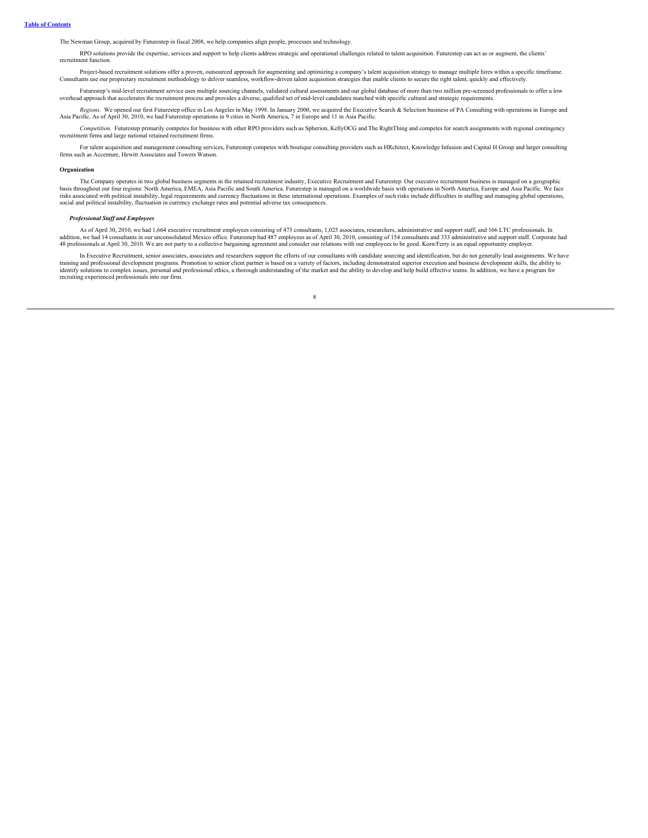The Newman Group, acquired by Futurestep in fiscal 2008, we help companies align people, processes and technology.

RPO solutions provide the expertise, services and support to help clients address strategic and operational challenges related to talent acquisition. Futurestep can act as or augment, the clients' recruitment function.

Project-based recruitment solutions offer a proven, outsourced approach for augmenting and optimizing a company's talent acquisition strategy to manage multiple hires within a specific timeframe.<br>Consultants use our propri

Futurestep's mid-level recruitment service uses multiple sourcing channels, validated cultural assessments and our global database of more than two million pre-screened professionals to offer a low<br>overhead approach that a

Regions. We opened our first Futurestep office in Los Angeles in May 1998. In January 2000, we acquired the Executive Search & Selection business of PA Consulting with operations in Europe and Asia Pacific. As of April 30,

*Competition.* Futurestep primarily competes for business with other RPO providers such as Spherion, KellyOCG and The RightThing and competes for search assignments with regional contingency recruitment firms and large national retained recruitment firms.

For talent acquisition and management consulting services, Futurestep competes with boutique consulting providers such as HRchitect, Knowledge Infusion and Capital H Group and larger consulting firms such as Accenture, Hewitt Associates and Towers Watson.

# **Organization**

The Company operates in two global business segments in the retained recruitment industry, Executive Recruitment and Futurestep. Our executive recruitment business is managed on a geographic<br>hasis throughout our four regio social and political instability, fluctuation in currency exchange rates and potential adverse tax consequences.

### *Professional Staf and Employees*

As of April 30, 2010, we had 1,664 executive recruitment employees consisting of 473 consultants, 1,025 associates, researchers, administrative and support staff, and 166 LTC professionals. In addition, we had 1,604 execut

In Executive Recruitment, senior associates, associates and researchers support the efforts of our consultants with candidate sourcing and identification, but do not generally lead assignments. We have training and profess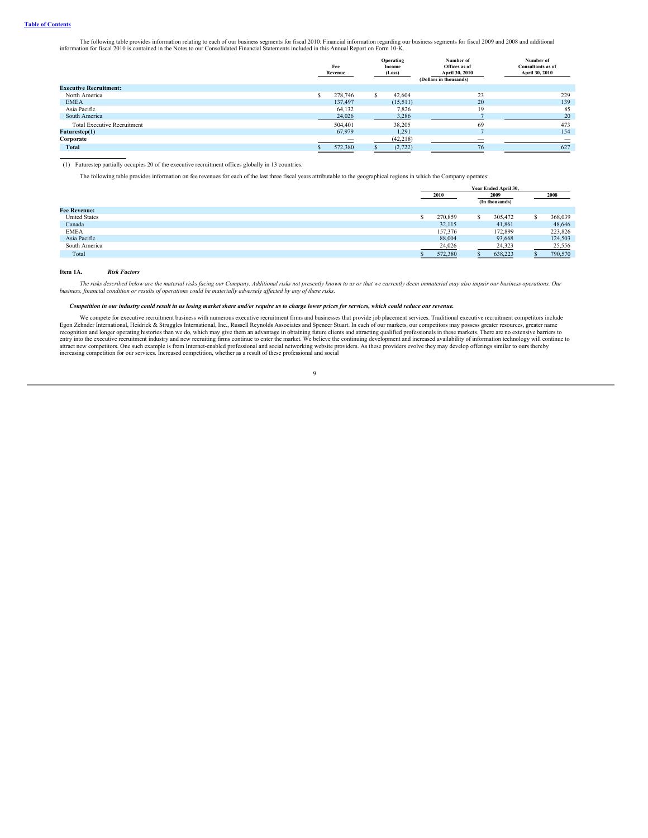The following table provides information relating to each of our business segments for fiscal 2010. Financial information regarding our business segments for fiscal 2009 and 2008 and additional information for fiscal 2010

|                                    | Fee<br>Revenue |         | Income<br>(Loss) |           |    |     |  |  |  |  |  |  | Operating |  |  |  |  |  |  |  |  |  |  |  | Number of<br>Offices as of<br>April 30, 2010<br>(Dollars in thousands) | Number of<br><b>Consultants as of</b><br>April 30, 2010 |
|------------------------------------|----------------|---------|------------------|-----------|----|-----|--|--|--|--|--|--|-----------|--|--|--|--|--|--|--|--|--|--|--|------------------------------------------------------------------------|---------------------------------------------------------|
| <b>Executive Recruitment:</b>      |                |         |                  |           |    |     |  |  |  |  |  |  |           |  |  |  |  |  |  |  |  |  |  |  |                                                                        |                                                         |
| North America                      |                | 278,746 |                  | 42,604    | 23 | 229 |  |  |  |  |  |  |           |  |  |  |  |  |  |  |  |  |  |  |                                                                        |                                                         |
| <b>EMEA</b>                        |                | 137,497 |                  | (15,511)  | 20 | 139 |  |  |  |  |  |  |           |  |  |  |  |  |  |  |  |  |  |  |                                                                        |                                                         |
| Asia Pacific                       |                | 64,132  |                  | 7,826     | 19 | 85  |  |  |  |  |  |  |           |  |  |  |  |  |  |  |  |  |  |  |                                                                        |                                                         |
| South America                      |                | 24,026  |                  | 3,286     |    | 20  |  |  |  |  |  |  |           |  |  |  |  |  |  |  |  |  |  |  |                                                                        |                                                         |
| <b>Total Executive Recruitment</b> |                | 504,401 |                  | 38.205    | 69 | 473 |  |  |  |  |  |  |           |  |  |  |  |  |  |  |  |  |  |  |                                                                        |                                                         |
| Futurestep(1)                      |                | 67,979  |                  | 1,291     |    | 154 |  |  |  |  |  |  |           |  |  |  |  |  |  |  |  |  |  |  |                                                                        |                                                         |
| Corporate                          |                |         |                  | (42, 218) |    |     |  |  |  |  |  |  |           |  |  |  |  |  |  |  |  |  |  |  |                                                                        |                                                         |
| <b>Total</b>                       |                | 572,380 |                  | (2,722)   | 76 | 627 |  |  |  |  |  |  |           |  |  |  |  |  |  |  |  |  |  |  |                                                                        |                                                         |

(1) Futurestep partially occupies 20 of the executive recruitment offices globally in 13 countries.

The following table provides information on fee revenues for each of the last three fiscal years attributable to the geographical regions in which the Company operates:

|                      | Year Ended April 30, |                        |         |  |         |  |
|----------------------|----------------------|------------------------|---------|--|---------|--|
|                      | 2010                 | 2009<br>(In thousands) |         |  | 2008    |  |
| <b>Fee Revenue:</b>  |                      |                        |         |  |         |  |
| <b>United States</b> | 270,859              |                        | 305,472 |  | 368,039 |  |
| Canada               | 32,115               |                        | 41,861  |  | 48,646  |  |
| <b>EMEA</b>          | 157,376              |                        | 172,899 |  | 223,826 |  |
| Asia Pacific         | 88,004               |                        | 93,668  |  | 124,503 |  |
| South America        | 24,026               |                        | 24,323  |  | 25,556  |  |
| Total                | 572,380              |                        | 638,223 |  | 790,570 |  |

# **Item 1A.** *Risk Factors*

<span id="page-10-0"></span>The risks described below are the material risks facing our Company. Additional risks not presently known to us or that we currently deem immaterial may also impair our business operations. Our<br>business, financial conditio

# Competition in our industry could result in us losing market share and/or require us to charge lower prices for services, which could reduce our revenue.

We compete for executive recruiment business with numerous executive recruiment firms and businesses that provide job placement services. Traditional executive recruiment competitors include<br>Egon Zehnder Interational, Heid entry into the executive recruitment industry and new recruiting firms continue to enter the market. We believe the continuing development and increased availability of information technology will continue to<br>attract new c increasing competition for our services. Increased competition, whether as a result of these professional and social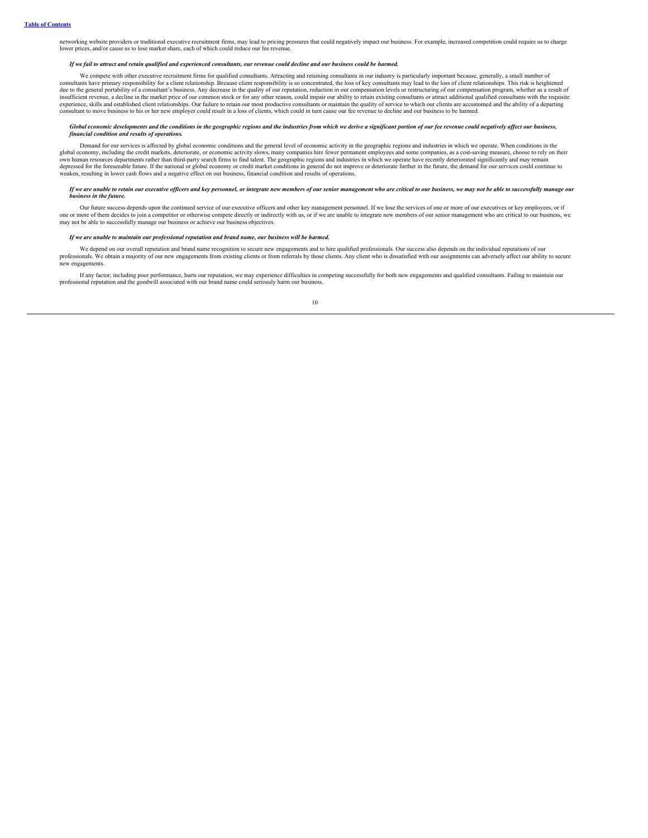networking website providers or traditional executive recruitment firms, may lead to pricing pressures that could negatively impact our business. For example, increased competition could require us to charge lower prices, and/or cause us to lose market share, each of which could reduce our fee reven

# .<br>If we fail to attract and retain qualified and experienced consultants, our revenue could decline and our business could be harmed.

We compete with other executive recruitment firms for qualified consultants. Attracting and retaining consultants in our industry is particularly important because, generally, a small number of consultants have primary responsibility for a client relationship. Because client responsibility is so concentrated, the loss of key consultants may lead to the loss of client relationships. This risk is heightened<br>due to insufficient revenue, a decline in the market price of our common stock or for any other reason, could impair our ability to retain existing consultants or attract additional qualified consultants with the requisite experience, skills and established client relationships. Our failure to retain our most productive consultants or maintain the quality of service to which our clients are accustomed and the ability of a departing consultant to move business to his or her new employer could result in a loss of clients, which could in turn cause our fee revenue to decline and our business to be harmed.

## Global economic developments and the conditions in the geographic regions and the industries from which we derive a significant portion of our fee revenue could negatively affect our business. *financial condition and results of operations.*

Demand for our services is affected by global economic conditions and the general level of economic activity in the geographic regions and industries in which we operate. When conditions in the global economy, including the credit markets, deteriorate, or economic activity slows, many companies hire fewer permanent employees and some companies, as a cost-saving measure, choose to rely on their<br>own human resources depressed for the foreseeable future. If the national or global economy or credit market conditions in general do not improve or deteriorate further in the future, the demand for our services could continue to<br>weaken, resu

#### If we are unable to retain our executive officers and key personnel, or integrate new members of our senior management who are critical to our business, we may not be able to successfully manage our *business in the future.*

Our future success depends upon the continued service of our executive officers and other key management personnel. If we lose the services of one or more of our executives or key employees, or if one or more of hem decide

# *If we are unable to maintain our professional reputation and brand name, our business will be harmed.*

We depend on our overall reputation and brand name recognition to secure new engagements and to hire qualified professionals. Our success also depends on the individual reputations of our professionals. We obtain a majority of our new engagements from existing clients or from referrals by those clients. Any client who is dissatisfied with our assignments can adversely affect our ability to secure new engagements.

If any factor, including poor performance, hurts our reputation, we may experience difficulties in competing successfully for both new engagements and qualified consultants. Failing to maintain our professional reputation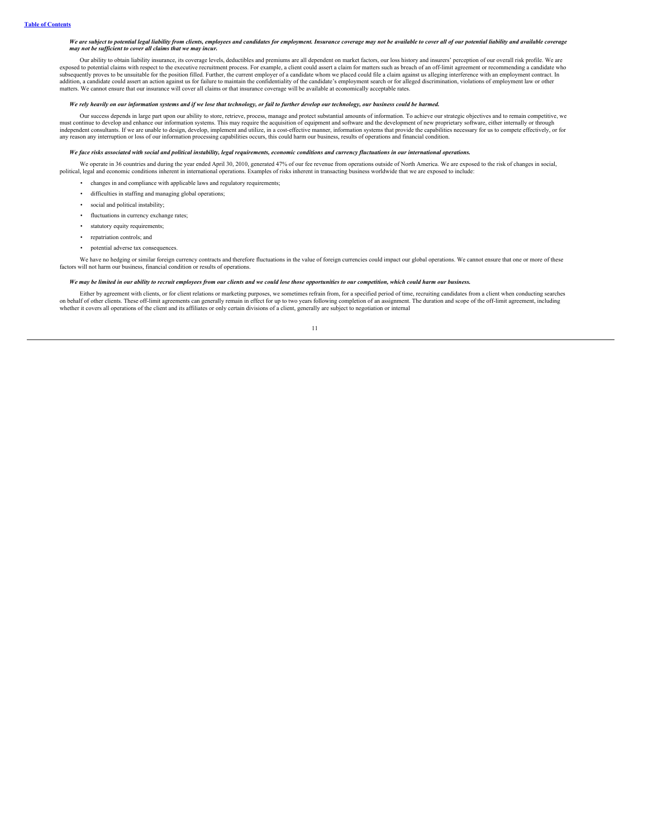### We are subject to potential legal liability from clients, employees and candidates for employment. Insurance coverage may not be available to cover all of our potential liability and available coverage *may not be suf icient to cover all claims that we may incur.*

Our ability to obtain liability insurance, its coverage levels, deductibles and premiums are all dependent on market factors, our loss history and insurers' perception of our overall risk profile. We are exposed to potential claims with respect to the executive recruitment process. For example, a client could assert a claim for matters such as breach of an off-limit agreement or recommending a candidate who subsequently pr matters. We cannot ensure that our insurance will cover all claims or that insurance coverage will be available at economically acceptable rates.

## We rely heavily on our information systems and if we lose that technology, or fail to further develop our technology, our business could be harmed.

Our success depends in large part upon our ability to store, retrieve, process, manage and protect substantial amounts of information. To achieve our strategic objectives and to remain competitive, we<br>must continue to deve any reason any interruption or loss of our information processing capabilities occurs, this could harm our business, results of operations and financial condition.

# We face risks associated with social and political instability, legal requirements, economic conditions and currency fluctuations in our international operations.

We operate in 36 countries and during the year ended April 30, 2010, generated 47% of our fee revenue from operations outside of North America. We are exposed to the risk of changes in social, political, legal and economic

- changes in and compliance with applicable laws and regulatory requirements;
- difficulties in staffing and managing global operations;
- social and political instability;
- fluctuations in currency exchange rates;
- statutory equity requirements;
- repatriation controls; and
- potential adverse tax consequences.

We have no hedging or similar foreign currency contracts and therefore fluctuations in the value of foreign currencies could impact our global operations. We cannot ensure that one or more of these factors will not harm our business, financial condition or results of operations.

# We may be limited in our ability to recruit employees from our clients and we could lose those opportunities to our competition, which could harm our business.

Either by agreement with clients, or for client relations or marketing purposes, we sometimes refrain from, for a specified period of time, recruiting candidates from a client when conducting searches on behalf of other clients. These off-limit agreements can generally remain in effect for up to two years following completion of an assignment. The duration and scope of the off-limit agreement, including<br>whether it cover

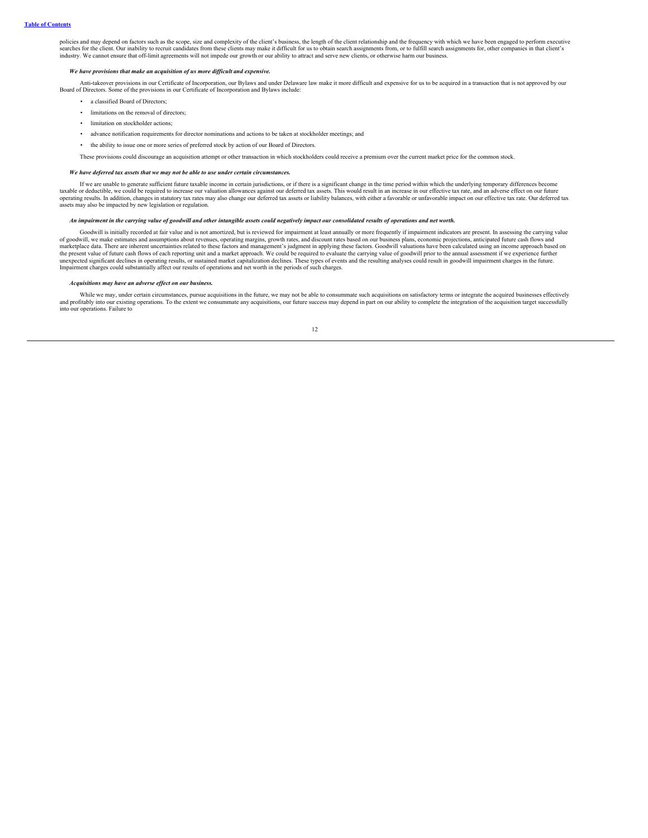policies and may depend on factors such as the scope, size and complexity of the client's business, the length of the client relationship and the frequency with which we have been engaged to perform executive searches for the client. Our inability to recruit candidates from these clients may make it difficult for us to obtain search assignments from, or to fulfill search assignments for, other companies in that client's industry. We cannot ensure that off-limit agreements will not impede our growth or our ability to attract and serve new clients, or otherwise harm our business.

### *We have provisions that make an acquisition of us more dif icult and expensive.*

Anti-takeover provisions in our Certificate of Incorporation, our Bylaws and under Delaware law make it more difficult and expensive for us to be acquired in a transaction that is not approved by our Board of Directors. So

- a classified Board of Directors;
- limitations on the removal of directors;
- limitation on stockholder actions;
- advance notification requirements for director nominations and actions to be taken at stockholder meetings; and
- the ability to issue one or more series of preferred stock by action of our Board of Directors.

These provisions could discourage an acquisition attempt or other transaction in which stockholders could receive a premium over the current market price for the common stock.

# *We have deferred tax assets that we may not be able to use under certain circumstances.*

If we are unable to generate sufficient future taxable income in certain jurisdictions, or if there is a significant change in the time period within which the underlying temporary differences become taxable or deductible, we could be required to increase our valuation allowances against our deferred tax assets. This would result in an increase in our effective tax rate, and an adverse effect on our future operating results. In addition, changes in statutory tax rates may also change our deferred tax assets or liability balances, with either a favorable or unfavorable impact on our effective tax rate. Our deferred tax assets may also be impacted by new legislation or regulation.

# An impairment in the carrying value of goodwill and other intangible assets could negatively impact our consolidated results of operations and net worth.

Goodwill is initially recorded at fair value and is not amortized, but is reviewed for impairment at least annually or more frequently if impairment indicators are present. In assessing the carrying value of goodwill, we make estimates and assumptions about revenues, operating margins, growth rates, and discount rates based on our business plans, economic projections, anticipated future cash flows and<br>marketplace data. Ther the present value of future cash flows of each reporting unit and a market approach. We could be required to evaluate the carrying value of goodwill prior to the annual assessment if we experience further<br>unexpected signif Impairment charges could substantially affect our results of operations and net worth in the periods of such charges.

## *Acquisitions may have an adverse ef ect on our business.*

While we may, under certain circumstances, pursue acquisitions in the future, we may not be able to consummate such acquisitions on satisfactory terms or integrate the acquired businesses effectively and profitably into our existing operations. To the extent we consummate any acquisitions, our future success may depend in part on our ability to complete the integration of the acquisition target successfully and profita into our operations. Failure to

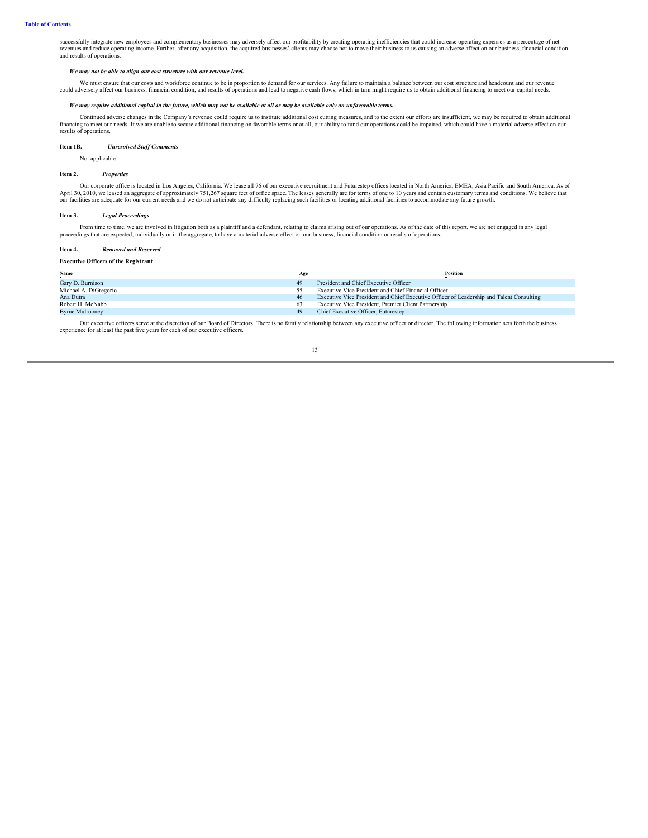successfully integrate new employees and complementary businesses may adversely affect our profitability by creating operating inefficiencies that could increase operating expenses as a percentage of net revenues and reduce operating income. Further, after any acquisition, the acquired businesses' clients may choose not to move their business to us causing an adverse affect on our business, financial condition and results of operations.

#### *We may not be able to align our cost structure with our revenue level.*

We must ensure that our costs and workforce continue to be in proportion to demand for our services. Any failure to maintain a balance between our cost structure and headcount and our revenue<br>could adversely affect our bus

# We may require additional capital in the future, which may not be available at all or may be available only on unfavorable terms.

Continued adverse changes in the Company's revenue could require us to institute additional cost cutting measures, and to the extent our efforts are insufficient, we may be required to obtain additional financing to meet o results of operations.

## **Item 1B.** *Unresolved Staf Comments*

<span id="page-14-1"></span><span id="page-14-0"></span>Not applicable.

### **Item 2.** *Properties*

Our corporate office is located in Los Angeles, California. We lease all 76 of our executive recruitment and Futurestep offices located in North America, EMEA, Asia Pacific and South America. As of<br>April 30, 2010, we lease our facilities are adequate for our current needs and we do not anticipate any difficulty replacing such facilities or locating additional facilities to accommodate any future growth.

# <span id="page-14-2"></span>**Item 3.** *Legal Proceedings*

From time to time, we are involved in litigation both as a plaintiff and a defendant, relating to claims arising out of our operations. As of the date of this report, we are not engaged in any legal proceedings that are expected, individually or in the aggregate, to have a material adverse effect on our business, financial condition or results of operations.

### <span id="page-14-3"></span>**Item 4.** *Removed and Reserved*

### <span id="page-14-4"></span>**Executive Officers of the Registrant**

| Name                   | Age | Position                                                                                 |
|------------------------|-----|------------------------------------------------------------------------------------------|
| Gary D. Burnison       | 49  | President and Chief Executive Officer                                                    |
| Michael A. DiGregorio  |     | Executive Vice President and Chief Financial Officer                                     |
| Ana Dutra              | 46  | Executive Vice President and Chief Executive Officer of Leadership and Talent Consulting |
| Robert H. McNabb       |     | Executive Vice President, Premier Client Partnership                                     |
| <b>Byrne Mulrooney</b> | 49  | Chief Executive Officer, Futurestep                                                      |

Our executive officers serve at the discretion of our Board of Directors. There is no family relationship between any executive officer or director. The following information sets forth the business experience for at least the past five years for each of our executive officers.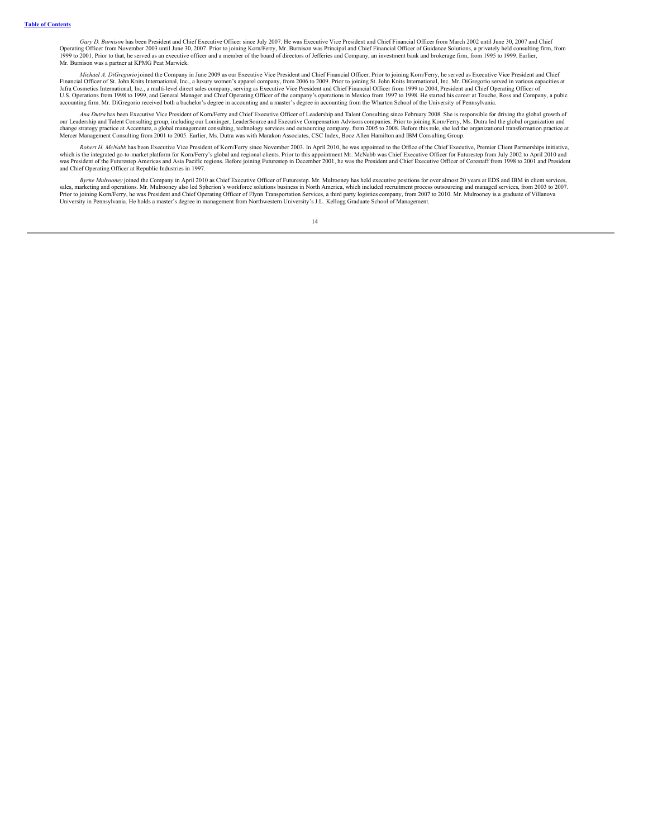*Gary D. Burnison* has been President and Chief Executive Officer since July 2007. He was Executive Vice President and Chief Financial Officer from March 2002 until June 30, 2007 and Chief Operating Officer from November 2003 until June 30, 2007. Prior to joining Korn/Ferry, Mr. Burnison was Principal and Chief Financial Officer of Guidance Solutions, a privately held consulting firm, from<br>1999 to 2001. Prio Mr. Burnison was a partner at KPMG Peat Marwick.

Michael A. DiGregorio joined the Company in June 2009 as our Executive Vice President and Chief Financial Officer. Prior to joining Korn/Ferry, he served as Executive Vice President and Chief Financial Officer of St. John Jafra Cosmetics International, Inc., a multi-level direct sales company, serving as Executive Vice President and Chief Financial Officer from 1999 to 2004, President and Chief Operating Officer of<br>U.S. Operations from 1998 accounting firm. Mr. DiGregorio received both a bachelor's degree in accounting and a master's degree in accounting from the Wharton School of the University of Pennsylvania.

*Ana Dutra* has been Executive Vice President of Korn/Ferry and Chief Executive Officer of Leadership and Talent Consulting since February 2008. She is responsible for driving the global growth of our Leadership and Talent Consulting group, including our Lominger, LeaderSource and Executive Compensation Advisors companies. Prior to joining Korn/Ferry, Ms. Dutra led the global organization and<br>change strategy practic

Robert H. McNabb has been Executive Vice President of Korn/Ferry since November 2003. In April 2010, he was appointed to the Office of the Chief Executive, Premier Client Partnerships initiative, which is the integrated go and Chief Operating Officer at Republic Industries in 1997.

Byrne Mulrooney joined the Company in April 2010 as Chief Executive Officer of Futurestep. Mr. Mulrooney has held executive positions for over almost 20 years at EDS and IBM in client services,<br>sales, marketing and operati University in Pennsylvania. He holds a master's degree in management from Northwestern University's J.L. Kellogg Graduate School of Management.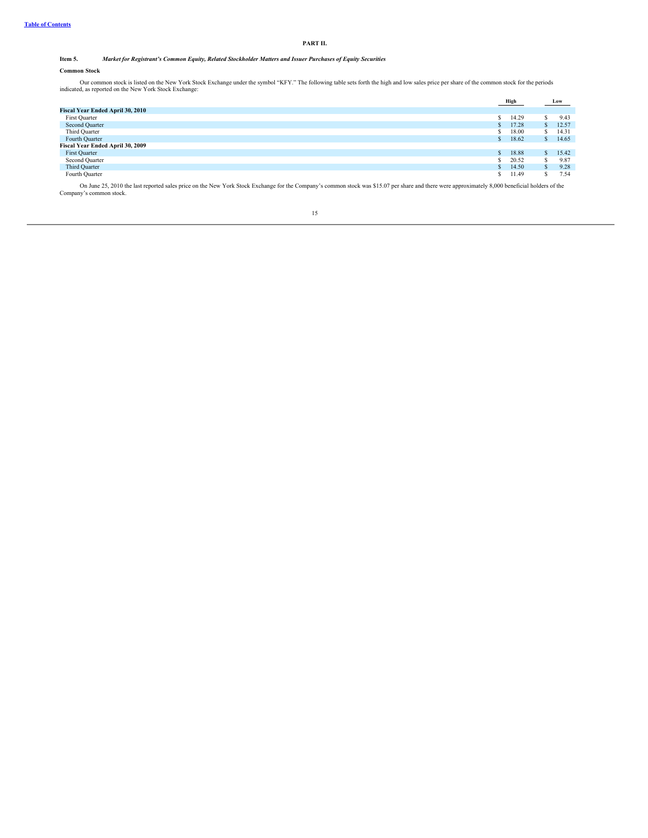# **PART II.**

# Item 5. Market for Registrant's Common Equity, Related Stockholder Matters and Issuer Purchases of Equity Securities

# <span id="page-16-0"></span>**Common Stock**

Our common stock is listed on the New York Stock Exchange under the symbol "KFY." The following table sets forth the high and low sales price per share of the common stock for the periods indicated, as reported on the New

|                                  | High          |       |    | Low   |
|----------------------------------|---------------|-------|----|-------|
| Fiscal Year Ended April 30, 2010 |               |       |    |       |
| First Quarter                    | ъ             | 14.29 |    | 9.43  |
| Second Quarter                   | $\mathcal{L}$ | 17.28 | S. | 12.57 |
| Third Quarter                    |               | 18.00 | S. | 14.31 |
| Fourth Quarter                   | - 62          | 18.62 | S. | 14.65 |
| Fiscal Year Ended April 30, 2009 |               |       |    |       |
| First Quarter                    | $\mathcal{L}$ | 18.88 |    | 15.42 |
| Second Quarter                   |               | 20.52 | \$ | 9.87  |
| Third Quarter                    | $\mathcal{L}$ | 14.50 | S. | 9.28  |
| Fourth Quarter                   |               | 11.49 | s  | 7.54  |

On June 25, 2010 the last reported sales price on the New York Stock Exchange for the Company's common stock was \$15.07 per share and there were approximately 8,000 beneficial holders of the Company's common stock.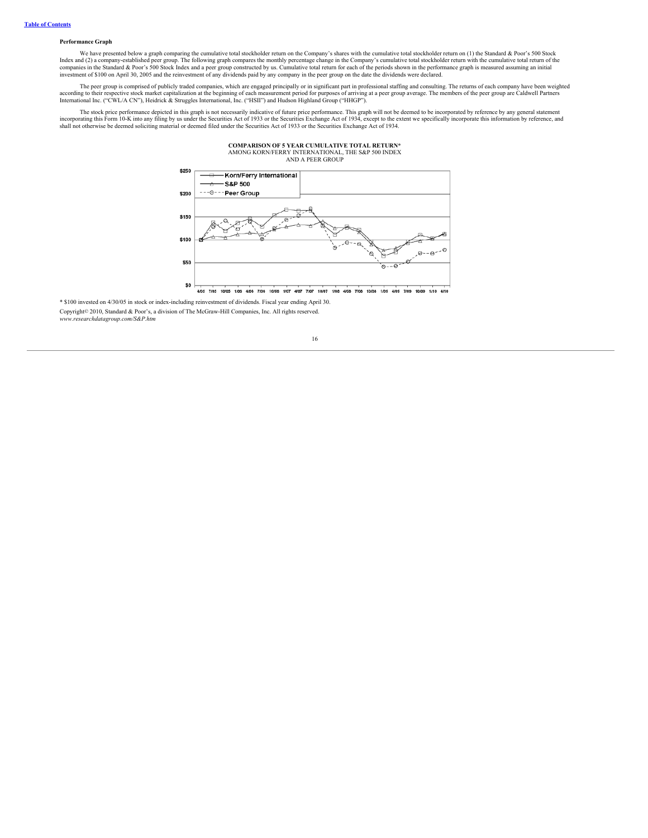# **Performance Graph**

We have presented below a graph comparing the cumulative total stockholder return on the Company's shares with the cumulative total stockholder return on (1) the Standard & Poor's 500 Stock Index and (2) a company-established peer group. The following graph compares the monthly percentage change in the Company's cumulative total stockholder return with the cumulative total return of the<br>companies in the Stand

The peer group is comprised of publicly traded companies, which are engaged principally or in significant part in professional staffing and consulting. The returns of each company have been weighted according to their resp

The stock price performance depicted in this graph is not necessarily indicative of future price performance. This graph will not be deemed to be incorporated by reference by any general statement incorporating this Form 10-K into any filing by us under the Securities Act of 1933 or the Securities Exchange Act of 1934, except to the extent we specifically incorporate this information by reference, and<br>shall not othe

**COMPARISON OF 5 YEAR CUMULATIVE TOTAL RETURN\***



4105 7105 10105 1106 4106 7106 10106 1107 4107 7107 10107 1108 4108 7108 10108 1109 4109 7109 10109 1110 4110

\* \$100 invested on 4/30/05 in stock or index-including reinvestment of dividends. Fiscal year ending April 30. Copyright© 2010, Standard & Poor's, a division of The McGraw-Hill Companies, Inc. All rights reserved. *www.researchdatagroup.com/S&P.htm*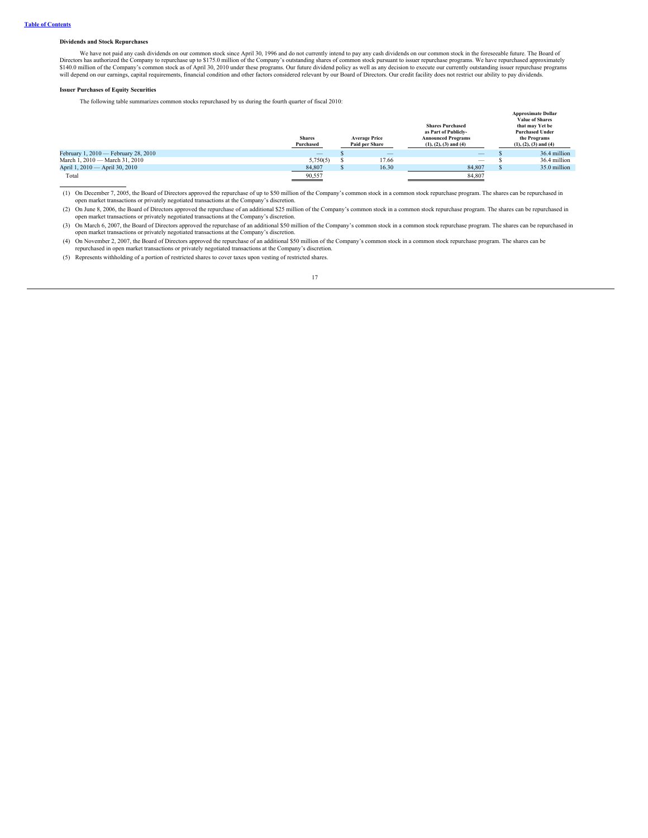# **Dividends and Stock Repurchases**

We have not paid any cash dividends on our common stock since April 30, 1996 and do not currently intend to pay any cash dividends on our common stock in the foreseeable future. The Board of Directors has authorized the Company to repurchase up to \$175.0 million of the Company's outstanding shares of common stock pursuant to issuer repurchase programs. We have repurchased approximately<br>\$140.0 million of the Co

# **Issuer Purchases of Equity Securities**

The following table summarizes common stocks repurchased by us during the fourth quarter of fiscal 2010:

|                                      | <b>Shares</b><br>Purchased | <b>Average Price</b><br>Paid per Share | <b>Shares Purchased</b><br>as Part of Publicly-<br><b>Announced Programs</b><br>$(1), (2), (3)$ and $(4)$ | <b>Approximate Dollar</b><br><b>Value of Shares</b><br>that may Yet be<br><b>Purchased Under</b><br>the Programs<br>$(1), (2), (3)$ and $(4)$ |
|--------------------------------------|----------------------------|----------------------------------------|-----------------------------------------------------------------------------------------------------------|-----------------------------------------------------------------------------------------------------------------------------------------------|
| February 1, 2010 - February 28, 2010 | $\overline{\phantom{m}}$   | $\overline{\phantom{a}}$               | $\overline{\phantom{m}}$                                                                                  | 36.4 million                                                                                                                                  |
| March 1, 2010 - March 31, 2010       | 5,750(5)                   | 17.66                                  | $\overline{\phantom{m}}$                                                                                  | 36.4 million                                                                                                                                  |
| April 1, 2010 — April 30, 2010       | 84,807                     | 16.30                                  | 84,807                                                                                                    | 35.0 million                                                                                                                                  |
| Total                                | 90,557                     |                                        | 84,807                                                                                                    |                                                                                                                                               |

(1) On December 7, 2005, the Board of Directors approved the repurchase of up to \$50 million of the Company's common stock in a common stock repurchase program. The shares can be repurchased in open market transactions or privately negotiated transactions at the Company's discretion.

(2) On June 8, 2006, the Board of Directors approved the repurchase of an additional \$25 million of the Company's common stock in a common stock repurchase program. The shares can be repurchased in open market transactions or privately negotiated transactions at the Company's discretion.

(3) On March 6, 2007, the Board of Directors approved the repurchase of an additional \$50 million of the Company's common stock in a common stock repurchase program. The shares can be repurchased in open market transaction

(4) On November 2, 2007, the Board of Directors approved the repurchase of an additional \$50 million of the Company's common stock in a common stock repurchase program. The shares can be repurchased in open market transact

(5) Represents withholding of a portion of restricted shares to cover taxes upon vesting of restricted shares.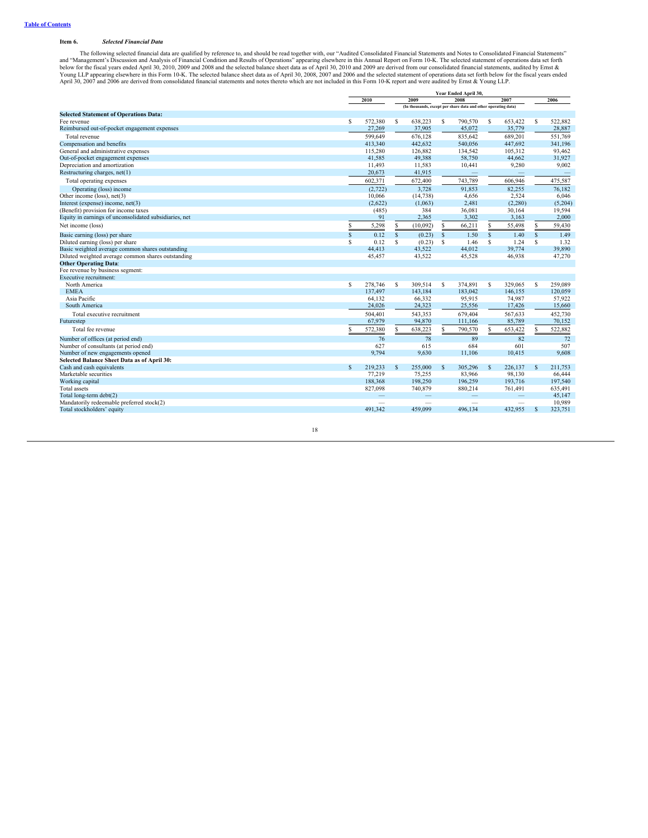# <span id="page-19-0"></span>**Item 6.** *Selected Financial Data*

The following selected financial data are qualified by reference to, and should be read together with, our "Audited Consolidated Financial Statements and Notes to Consolidated Financial Statements"<br>and "Management"s Discus

| 2010<br>2009<br>2008<br>2007<br>2006<br>(In thousands, except per share data and other operating data)<br><b>Selected Statement of Operations Data:</b><br>\$.<br>638,223<br>S<br>Fee revenue<br>S.<br>572,380<br>790,570<br>s<br>653,422<br>s<br>37,905<br>45,072<br>Reimbursed out-of-pocket engagement expenses<br>27,269<br>35,779<br>599,649<br>676,128<br>835,642<br>689,201<br>Total revenue<br>Compensation and benefits<br>413,340<br>442,632<br>540,056<br>447,692<br>General and administrative expenses<br>115,280<br>126,882<br>134,542<br>105.312<br>Out-of-pocket engagement expenses<br>41.585<br>49,388<br>58,750<br>44.662<br>Depreciation and amortization<br>11,493<br>9,280<br>11,583<br>10,441<br>Restructuring charges, net(1)<br>20,673<br>41,915<br>602,371<br>672,400<br>743,789<br>606,946<br>Total operating expenses<br>3.728<br>91.853<br>82.255<br>Operating (loss) income<br>(2, 722)<br>Other income (loss), net(3)<br>10,066<br>4,656<br>2.524<br>(14, 738)<br>Interest (expense) income, net(3)<br>(2,622)<br>(1,063)<br>2,481<br>(2, 280)<br>36,081<br>(Benefit) provision for income taxes<br>(485)<br>384<br>30,164<br>Equity in earnings of unconsolidated subsidiaries, net<br>91<br>3,302<br>3,163<br>2,365<br>Net income (loss)<br>S.<br>5,298<br>(10,092)<br>S<br>66,211<br>s.<br>55,498<br>\$<br>S<br>1.50<br>$\mathbf S$<br>0.12<br>$\mathbf{s}$<br>(0.23)<br>$\mathbf{s}$<br>$\mathbf{s}$<br>1.40<br>$\mathbf{s}$<br>Basic earning (loss) per share<br>S<br>s<br>1.24<br>Diluted earning (loss) per share<br>0.12<br>S<br>(0.23)<br>s<br>1.46<br>S<br>Basic weighted average common shares outstanding<br>44,413<br>43,522<br>44,012<br>39,774<br>Diluted weighted average common shares outstanding<br>45,457<br>43,522<br>45,528<br>46,938<br><b>Other Operating Data:</b><br>Fee revenue by business segment:<br>Executive recruitment:<br>278,746<br>309.514<br>374,891<br>329,065<br>North America<br>S<br>S<br>S<br>s<br>s<br>137,497<br>143,184<br>183,042<br>146,155<br><b>EMEA</b><br>64.132<br>66,332<br>95,915<br>74,987<br>Asia Pacific<br>South America<br>24,026<br>24,323<br>25,556<br>17,426<br>504,401<br>543,353<br>679,404<br>567,633<br>Total executive recruitment<br>67,979<br>94,870<br>85,789<br>111,166<br>Futurestep<br>638,223<br>S.<br>790,570<br>653,422<br>Total fee revenue<br>572,380<br>S.<br>s<br>S.<br>82<br>76<br>78<br>89<br>Number of offices (at period end)<br>Number of consultants (at period end)<br>627<br>615<br>684<br>601<br>Number of new engagements opened<br>9,794<br>9,630<br>11,106<br>10,415<br>Selected Balance Sheet Data as of April 30:<br>S.<br>$\mathbf{s}$ |                           | Year Ended April 30, |         |              |         |              |         |         |              |         |  |
|-----------------------------------------------------------------------------------------------------------------------------------------------------------------------------------------------------------------------------------------------------------------------------------------------------------------------------------------------------------------------------------------------------------------------------------------------------------------------------------------------------------------------------------------------------------------------------------------------------------------------------------------------------------------------------------------------------------------------------------------------------------------------------------------------------------------------------------------------------------------------------------------------------------------------------------------------------------------------------------------------------------------------------------------------------------------------------------------------------------------------------------------------------------------------------------------------------------------------------------------------------------------------------------------------------------------------------------------------------------------------------------------------------------------------------------------------------------------------------------------------------------------------------------------------------------------------------------------------------------------------------------------------------------------------------------------------------------------------------------------------------------------------------------------------------------------------------------------------------------------------------------------------------------------------------------------------------------------------------------------------------------------------------------------------------------------------------------------------------------------------------------------------------------------------------------------------------------------------------------------------------------------------------------------------------------------------------------------------------------------------------------------------------------------------------------------------------------------------------------------------------------------------------------------------------------------------------------------------------------------------------------------------------------------------|---------------------------|----------------------|---------|--------------|---------|--------------|---------|---------|--------------|---------|--|
|                                                                                                                                                                                                                                                                                                                                                                                                                                                                                                                                                                                                                                                                                                                                                                                                                                                                                                                                                                                                                                                                                                                                                                                                                                                                                                                                                                                                                                                                                                                                                                                                                                                                                                                                                                                                                                                                                                                                                                                                                                                                                                                                                                                                                                                                                                                                                                                                                                                                                                                                                                                                                                                                       |                           |                      |         |              |         |              |         |         |              |         |  |
|                                                                                                                                                                                                                                                                                                                                                                                                                                                                                                                                                                                                                                                                                                                                                                                                                                                                                                                                                                                                                                                                                                                                                                                                                                                                                                                                                                                                                                                                                                                                                                                                                                                                                                                                                                                                                                                                                                                                                                                                                                                                                                                                                                                                                                                                                                                                                                                                                                                                                                                                                                                                                                                                       |                           |                      |         |              |         |              |         |         |              |         |  |
|                                                                                                                                                                                                                                                                                                                                                                                                                                                                                                                                                                                                                                                                                                                                                                                                                                                                                                                                                                                                                                                                                                                                                                                                                                                                                                                                                                                                                                                                                                                                                                                                                                                                                                                                                                                                                                                                                                                                                                                                                                                                                                                                                                                                                                                                                                                                                                                                                                                                                                                                                                                                                                                                       |                           |                      |         |              |         |              |         |         |              |         |  |
|                                                                                                                                                                                                                                                                                                                                                                                                                                                                                                                                                                                                                                                                                                                                                                                                                                                                                                                                                                                                                                                                                                                                                                                                                                                                                                                                                                                                                                                                                                                                                                                                                                                                                                                                                                                                                                                                                                                                                                                                                                                                                                                                                                                                                                                                                                                                                                                                                                                                                                                                                                                                                                                                       |                           |                      |         |              |         |              |         |         |              | 522,882 |  |
|                                                                                                                                                                                                                                                                                                                                                                                                                                                                                                                                                                                                                                                                                                                                                                                                                                                                                                                                                                                                                                                                                                                                                                                                                                                                                                                                                                                                                                                                                                                                                                                                                                                                                                                                                                                                                                                                                                                                                                                                                                                                                                                                                                                                                                                                                                                                                                                                                                                                                                                                                                                                                                                                       |                           |                      |         |              |         |              |         |         |              | 28,887  |  |
|                                                                                                                                                                                                                                                                                                                                                                                                                                                                                                                                                                                                                                                                                                                                                                                                                                                                                                                                                                                                                                                                                                                                                                                                                                                                                                                                                                                                                                                                                                                                                                                                                                                                                                                                                                                                                                                                                                                                                                                                                                                                                                                                                                                                                                                                                                                                                                                                                                                                                                                                                                                                                                                                       |                           |                      |         |              |         |              |         |         |              | 551,769 |  |
|                                                                                                                                                                                                                                                                                                                                                                                                                                                                                                                                                                                                                                                                                                                                                                                                                                                                                                                                                                                                                                                                                                                                                                                                                                                                                                                                                                                                                                                                                                                                                                                                                                                                                                                                                                                                                                                                                                                                                                                                                                                                                                                                                                                                                                                                                                                                                                                                                                                                                                                                                                                                                                                                       |                           |                      |         |              |         |              |         |         |              | 341,196 |  |
|                                                                                                                                                                                                                                                                                                                                                                                                                                                                                                                                                                                                                                                                                                                                                                                                                                                                                                                                                                                                                                                                                                                                                                                                                                                                                                                                                                                                                                                                                                                                                                                                                                                                                                                                                                                                                                                                                                                                                                                                                                                                                                                                                                                                                                                                                                                                                                                                                                                                                                                                                                                                                                                                       |                           |                      |         |              |         |              |         |         |              | 93,462  |  |
|                                                                                                                                                                                                                                                                                                                                                                                                                                                                                                                                                                                                                                                                                                                                                                                                                                                                                                                                                                                                                                                                                                                                                                                                                                                                                                                                                                                                                                                                                                                                                                                                                                                                                                                                                                                                                                                                                                                                                                                                                                                                                                                                                                                                                                                                                                                                                                                                                                                                                                                                                                                                                                                                       |                           |                      |         |              |         |              |         |         |              | 31,927  |  |
|                                                                                                                                                                                                                                                                                                                                                                                                                                                                                                                                                                                                                                                                                                                                                                                                                                                                                                                                                                                                                                                                                                                                                                                                                                                                                                                                                                                                                                                                                                                                                                                                                                                                                                                                                                                                                                                                                                                                                                                                                                                                                                                                                                                                                                                                                                                                                                                                                                                                                                                                                                                                                                                                       |                           |                      |         |              |         |              |         |         |              | 9,002   |  |
|                                                                                                                                                                                                                                                                                                                                                                                                                                                                                                                                                                                                                                                                                                                                                                                                                                                                                                                                                                                                                                                                                                                                                                                                                                                                                                                                                                                                                                                                                                                                                                                                                                                                                                                                                                                                                                                                                                                                                                                                                                                                                                                                                                                                                                                                                                                                                                                                                                                                                                                                                                                                                                                                       |                           |                      |         |              |         |              |         |         |              |         |  |
|                                                                                                                                                                                                                                                                                                                                                                                                                                                                                                                                                                                                                                                                                                                                                                                                                                                                                                                                                                                                                                                                                                                                                                                                                                                                                                                                                                                                                                                                                                                                                                                                                                                                                                                                                                                                                                                                                                                                                                                                                                                                                                                                                                                                                                                                                                                                                                                                                                                                                                                                                                                                                                                                       |                           |                      |         |              |         |              |         |         |              | 475,587 |  |
|                                                                                                                                                                                                                                                                                                                                                                                                                                                                                                                                                                                                                                                                                                                                                                                                                                                                                                                                                                                                                                                                                                                                                                                                                                                                                                                                                                                                                                                                                                                                                                                                                                                                                                                                                                                                                                                                                                                                                                                                                                                                                                                                                                                                                                                                                                                                                                                                                                                                                                                                                                                                                                                                       |                           |                      |         |              |         |              |         |         |              | 76.182  |  |
|                                                                                                                                                                                                                                                                                                                                                                                                                                                                                                                                                                                                                                                                                                                                                                                                                                                                                                                                                                                                                                                                                                                                                                                                                                                                                                                                                                                                                                                                                                                                                                                                                                                                                                                                                                                                                                                                                                                                                                                                                                                                                                                                                                                                                                                                                                                                                                                                                                                                                                                                                                                                                                                                       |                           |                      |         |              |         |              |         |         |              | 6.046   |  |
|                                                                                                                                                                                                                                                                                                                                                                                                                                                                                                                                                                                                                                                                                                                                                                                                                                                                                                                                                                                                                                                                                                                                                                                                                                                                                                                                                                                                                                                                                                                                                                                                                                                                                                                                                                                                                                                                                                                                                                                                                                                                                                                                                                                                                                                                                                                                                                                                                                                                                                                                                                                                                                                                       |                           |                      |         |              |         |              |         |         |              | (5,204) |  |
|                                                                                                                                                                                                                                                                                                                                                                                                                                                                                                                                                                                                                                                                                                                                                                                                                                                                                                                                                                                                                                                                                                                                                                                                                                                                                                                                                                                                                                                                                                                                                                                                                                                                                                                                                                                                                                                                                                                                                                                                                                                                                                                                                                                                                                                                                                                                                                                                                                                                                                                                                                                                                                                                       |                           |                      |         |              |         |              |         |         |              | 19,594  |  |
|                                                                                                                                                                                                                                                                                                                                                                                                                                                                                                                                                                                                                                                                                                                                                                                                                                                                                                                                                                                                                                                                                                                                                                                                                                                                                                                                                                                                                                                                                                                                                                                                                                                                                                                                                                                                                                                                                                                                                                                                                                                                                                                                                                                                                                                                                                                                                                                                                                                                                                                                                                                                                                                                       |                           |                      |         |              |         |              |         |         |              | 2,000   |  |
|                                                                                                                                                                                                                                                                                                                                                                                                                                                                                                                                                                                                                                                                                                                                                                                                                                                                                                                                                                                                                                                                                                                                                                                                                                                                                                                                                                                                                                                                                                                                                                                                                                                                                                                                                                                                                                                                                                                                                                                                                                                                                                                                                                                                                                                                                                                                                                                                                                                                                                                                                                                                                                                                       |                           |                      |         |              |         |              |         |         |              | 59,430  |  |
|                                                                                                                                                                                                                                                                                                                                                                                                                                                                                                                                                                                                                                                                                                                                                                                                                                                                                                                                                                                                                                                                                                                                                                                                                                                                                                                                                                                                                                                                                                                                                                                                                                                                                                                                                                                                                                                                                                                                                                                                                                                                                                                                                                                                                                                                                                                                                                                                                                                                                                                                                                                                                                                                       |                           |                      |         |              |         |              |         |         |              | 1.49    |  |
|                                                                                                                                                                                                                                                                                                                                                                                                                                                                                                                                                                                                                                                                                                                                                                                                                                                                                                                                                                                                                                                                                                                                                                                                                                                                                                                                                                                                                                                                                                                                                                                                                                                                                                                                                                                                                                                                                                                                                                                                                                                                                                                                                                                                                                                                                                                                                                                                                                                                                                                                                                                                                                                                       |                           |                      |         |              |         |              |         |         |              | 1.32    |  |
|                                                                                                                                                                                                                                                                                                                                                                                                                                                                                                                                                                                                                                                                                                                                                                                                                                                                                                                                                                                                                                                                                                                                                                                                                                                                                                                                                                                                                                                                                                                                                                                                                                                                                                                                                                                                                                                                                                                                                                                                                                                                                                                                                                                                                                                                                                                                                                                                                                                                                                                                                                                                                                                                       |                           |                      |         |              |         |              |         |         |              | 39,890  |  |
|                                                                                                                                                                                                                                                                                                                                                                                                                                                                                                                                                                                                                                                                                                                                                                                                                                                                                                                                                                                                                                                                                                                                                                                                                                                                                                                                                                                                                                                                                                                                                                                                                                                                                                                                                                                                                                                                                                                                                                                                                                                                                                                                                                                                                                                                                                                                                                                                                                                                                                                                                                                                                                                                       |                           |                      |         |              |         |              |         |         |              | 47,270  |  |
|                                                                                                                                                                                                                                                                                                                                                                                                                                                                                                                                                                                                                                                                                                                                                                                                                                                                                                                                                                                                                                                                                                                                                                                                                                                                                                                                                                                                                                                                                                                                                                                                                                                                                                                                                                                                                                                                                                                                                                                                                                                                                                                                                                                                                                                                                                                                                                                                                                                                                                                                                                                                                                                                       |                           |                      |         |              |         |              |         |         |              |         |  |
|                                                                                                                                                                                                                                                                                                                                                                                                                                                                                                                                                                                                                                                                                                                                                                                                                                                                                                                                                                                                                                                                                                                                                                                                                                                                                                                                                                                                                                                                                                                                                                                                                                                                                                                                                                                                                                                                                                                                                                                                                                                                                                                                                                                                                                                                                                                                                                                                                                                                                                                                                                                                                                                                       |                           |                      |         |              |         |              |         |         |              |         |  |
|                                                                                                                                                                                                                                                                                                                                                                                                                                                                                                                                                                                                                                                                                                                                                                                                                                                                                                                                                                                                                                                                                                                                                                                                                                                                                                                                                                                                                                                                                                                                                                                                                                                                                                                                                                                                                                                                                                                                                                                                                                                                                                                                                                                                                                                                                                                                                                                                                                                                                                                                                                                                                                                                       |                           |                      |         |              |         |              |         |         |              |         |  |
|                                                                                                                                                                                                                                                                                                                                                                                                                                                                                                                                                                                                                                                                                                                                                                                                                                                                                                                                                                                                                                                                                                                                                                                                                                                                                                                                                                                                                                                                                                                                                                                                                                                                                                                                                                                                                                                                                                                                                                                                                                                                                                                                                                                                                                                                                                                                                                                                                                                                                                                                                                                                                                                                       |                           |                      |         |              |         |              |         |         |              | 259,089 |  |
|                                                                                                                                                                                                                                                                                                                                                                                                                                                                                                                                                                                                                                                                                                                                                                                                                                                                                                                                                                                                                                                                                                                                                                                                                                                                                                                                                                                                                                                                                                                                                                                                                                                                                                                                                                                                                                                                                                                                                                                                                                                                                                                                                                                                                                                                                                                                                                                                                                                                                                                                                                                                                                                                       |                           |                      |         |              |         |              |         |         |              | 120,059 |  |
|                                                                                                                                                                                                                                                                                                                                                                                                                                                                                                                                                                                                                                                                                                                                                                                                                                                                                                                                                                                                                                                                                                                                                                                                                                                                                                                                                                                                                                                                                                                                                                                                                                                                                                                                                                                                                                                                                                                                                                                                                                                                                                                                                                                                                                                                                                                                                                                                                                                                                                                                                                                                                                                                       |                           |                      |         |              |         |              |         |         |              | 57,922  |  |
|                                                                                                                                                                                                                                                                                                                                                                                                                                                                                                                                                                                                                                                                                                                                                                                                                                                                                                                                                                                                                                                                                                                                                                                                                                                                                                                                                                                                                                                                                                                                                                                                                                                                                                                                                                                                                                                                                                                                                                                                                                                                                                                                                                                                                                                                                                                                                                                                                                                                                                                                                                                                                                                                       |                           |                      |         |              |         |              |         |         |              | 15,660  |  |
|                                                                                                                                                                                                                                                                                                                                                                                                                                                                                                                                                                                                                                                                                                                                                                                                                                                                                                                                                                                                                                                                                                                                                                                                                                                                                                                                                                                                                                                                                                                                                                                                                                                                                                                                                                                                                                                                                                                                                                                                                                                                                                                                                                                                                                                                                                                                                                                                                                                                                                                                                                                                                                                                       |                           |                      |         |              |         |              |         |         |              | 452,730 |  |
|                                                                                                                                                                                                                                                                                                                                                                                                                                                                                                                                                                                                                                                                                                                                                                                                                                                                                                                                                                                                                                                                                                                                                                                                                                                                                                                                                                                                                                                                                                                                                                                                                                                                                                                                                                                                                                                                                                                                                                                                                                                                                                                                                                                                                                                                                                                                                                                                                                                                                                                                                                                                                                                                       |                           |                      |         |              |         |              |         |         |              | 70,152  |  |
|                                                                                                                                                                                                                                                                                                                                                                                                                                                                                                                                                                                                                                                                                                                                                                                                                                                                                                                                                                                                                                                                                                                                                                                                                                                                                                                                                                                                                                                                                                                                                                                                                                                                                                                                                                                                                                                                                                                                                                                                                                                                                                                                                                                                                                                                                                                                                                                                                                                                                                                                                                                                                                                                       |                           |                      |         |              |         |              |         |         |              | 522,882 |  |
|                                                                                                                                                                                                                                                                                                                                                                                                                                                                                                                                                                                                                                                                                                                                                                                                                                                                                                                                                                                                                                                                                                                                                                                                                                                                                                                                                                                                                                                                                                                                                                                                                                                                                                                                                                                                                                                                                                                                                                                                                                                                                                                                                                                                                                                                                                                                                                                                                                                                                                                                                                                                                                                                       |                           |                      |         |              |         |              |         |         |              | 72      |  |
|                                                                                                                                                                                                                                                                                                                                                                                                                                                                                                                                                                                                                                                                                                                                                                                                                                                                                                                                                                                                                                                                                                                                                                                                                                                                                                                                                                                                                                                                                                                                                                                                                                                                                                                                                                                                                                                                                                                                                                                                                                                                                                                                                                                                                                                                                                                                                                                                                                                                                                                                                                                                                                                                       |                           |                      |         |              |         |              |         |         |              | 507     |  |
|                                                                                                                                                                                                                                                                                                                                                                                                                                                                                                                                                                                                                                                                                                                                                                                                                                                                                                                                                                                                                                                                                                                                                                                                                                                                                                                                                                                                                                                                                                                                                                                                                                                                                                                                                                                                                                                                                                                                                                                                                                                                                                                                                                                                                                                                                                                                                                                                                                                                                                                                                                                                                                                                       |                           |                      |         |              |         |              |         |         |              | 9,608   |  |
|                                                                                                                                                                                                                                                                                                                                                                                                                                                                                                                                                                                                                                                                                                                                                                                                                                                                                                                                                                                                                                                                                                                                                                                                                                                                                                                                                                                                                                                                                                                                                                                                                                                                                                                                                                                                                                                                                                                                                                                                                                                                                                                                                                                                                                                                                                                                                                                                                                                                                                                                                                                                                                                                       |                           |                      |         |              |         |              |         |         |              |         |  |
|                                                                                                                                                                                                                                                                                                                                                                                                                                                                                                                                                                                                                                                                                                                                                                                                                                                                                                                                                                                                                                                                                                                                                                                                                                                                                                                                                                                                                                                                                                                                                                                                                                                                                                                                                                                                                                                                                                                                                                                                                                                                                                                                                                                                                                                                                                                                                                                                                                                                                                                                                                                                                                                                       | Cash and cash equivalents |                      | 219,233 | <sup>S</sup> | 255,000 | $\mathbf{s}$ | 305,296 | 226,137 | <sup>S</sup> | 211,753 |  |
| 83,966<br>Marketable securities<br>77.219<br>75,255<br>98.130                                                                                                                                                                                                                                                                                                                                                                                                                                                                                                                                                                                                                                                                                                                                                                                                                                                                                                                                                                                                                                                                                                                                                                                                                                                                                                                                                                                                                                                                                                                                                                                                                                                                                                                                                                                                                                                                                                                                                                                                                                                                                                                                                                                                                                                                                                                                                                                                                                                                                                                                                                                                         |                           |                      |         |              |         |              |         |         |              | 66,444  |  |
| 188,368<br>198,250<br>196,259<br>Working capital<br>193,716                                                                                                                                                                                                                                                                                                                                                                                                                                                                                                                                                                                                                                                                                                                                                                                                                                                                                                                                                                                                                                                                                                                                                                                                                                                                                                                                                                                                                                                                                                                                                                                                                                                                                                                                                                                                                                                                                                                                                                                                                                                                                                                                                                                                                                                                                                                                                                                                                                                                                                                                                                                                           |                           |                      |         |              |         |              |         |         |              | 197,540 |  |
| Total assets<br>740,879<br>880,214<br>761,491<br>827,098                                                                                                                                                                                                                                                                                                                                                                                                                                                                                                                                                                                                                                                                                                                                                                                                                                                                                                                                                                                                                                                                                                                                                                                                                                                                                                                                                                                                                                                                                                                                                                                                                                                                                                                                                                                                                                                                                                                                                                                                                                                                                                                                                                                                                                                                                                                                                                                                                                                                                                                                                                                                              |                           |                      |         |              |         |              |         |         |              | 635,491 |  |
| Total long-term debt(2)<br>$\overline{\phantom{0}}$<br>-<br>$\qquad \qquad -$                                                                                                                                                                                                                                                                                                                                                                                                                                                                                                                                                                                                                                                                                                                                                                                                                                                                                                                                                                                                                                                                                                                                                                                                                                                                                                                                                                                                                                                                                                                                                                                                                                                                                                                                                                                                                                                                                                                                                                                                                                                                                                                                                                                                                                                                                                                                                                                                                                                                                                                                                                                         |                           |                      |         |              |         |              |         |         |              | 45,147  |  |
| Mandatorily redeemable preferred stock(2)<br>$\overline{\phantom{0}}$<br>$\overline{\phantom{0}}$                                                                                                                                                                                                                                                                                                                                                                                                                                                                                                                                                                                                                                                                                                                                                                                                                                                                                                                                                                                                                                                                                                                                                                                                                                                                                                                                                                                                                                                                                                                                                                                                                                                                                                                                                                                                                                                                                                                                                                                                                                                                                                                                                                                                                                                                                                                                                                                                                                                                                                                                                                     |                           |                      |         |              |         |              |         |         |              | 10,989  |  |
| Total stockholders' equity<br>491.342<br>459,099<br>496.134<br>432.955<br><sup>\$</sup>                                                                                                                                                                                                                                                                                                                                                                                                                                                                                                                                                                                                                                                                                                                                                                                                                                                                                                                                                                                                                                                                                                                                                                                                                                                                                                                                                                                                                                                                                                                                                                                                                                                                                                                                                                                                                                                                                                                                                                                                                                                                                                                                                                                                                                                                                                                                                                                                                                                                                                                                                                               |                           |                      |         |              |         |              |         |         |              | 323,751 |  |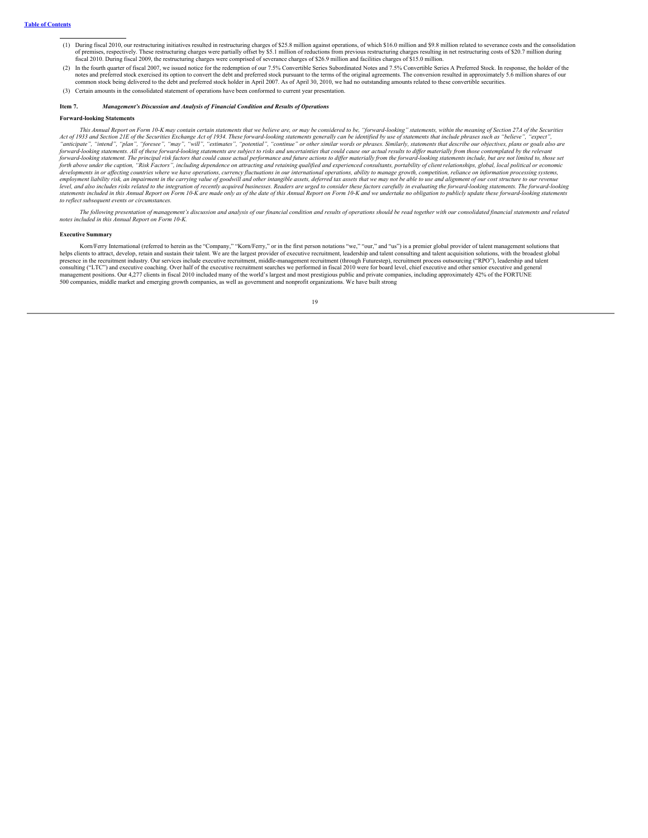- (1) During fiscal 2010, our restructuring initiatives resulted in restructuring charges of \$25.8 million against operations, of which \$16.0 million and \$9.8 million related to severance costs and the consolidation of premises, respectively. These restructuring charges were partially offset by \$5.1 million of reductions from previous restructuring charges resulting in net restructuring costs of \$20.7 million during<br>fiscal 2010. Durin
- (2) In the fourth quarter of fiscal 2007, we issued notice for the redemption of our 7.5% Convertible Series Subordinated Notes and 7.5% Convertible Series A Preferred Stock. In response, the holder of the notes and preferred stock exercised its option to convert the debt and preferred stock pursuant to the terms of the original agreements. The conversion resulted in approximately 5.6 million shares of our common stock being delivered to the debt and preferred stock holder in April 2007. As of April 30, 2010, we had no outstanding amounts related to these convertible securities.
- <span id="page-20-0"></span>(3) Certain amounts in the consolidated statement of operations have been conformed to current year presentation.

# **Item 7.** *Management's Discussion and Analysis of Financial Condition and Results of Operations*

### **Forward-looking Statements**

This Annual Report on Form 10-K may contain certain statements that we believe are, or may be considered to be, "forward-looking" statements, within the meaning of Section 27A of the Securities Act of 1933 and Section 21E of the Securities Exchange Act of 1934. These forward-looking statements generally can be identified by use of statements that include phrases such as "believe", "expect "anticipate", "intend", "plan", "foresee", "may", "will", "estimates", "potential", "continue" or other similar words or phrases. Similarly, statements that describe our objectives, plans or goals also are<br>forward-looking forward-looking statement. The principal risk factors that could cause actual performance and future actions to differ materially from the forward-looking statements include, but are not limited to, those set<br>forth above u developments in or affecting countries where we have operations, currency fluctuations in our international operations, ability to manage growth, competition, reliance on information processing systems, employment liability risk, an impairment in the carrying value of goodwill and other intangible assets, deferred tax assets that we may not be able to use and alignment of our cost structure to our revenue<br>level, and also *to reflect subsequent events or circumstances.*

The following presentation of management's discussion and analysis of our financial condition and results of operations should be read together with our consolidated financial statements and related *notes included in this Annual Report on Form 10-K.*

## **Executive Summary**

Korn/Ferry International (referred to herein as the "Company," "Korn/Ferry," or in the first person notations "we," "our," and "us") is a premier global provider of talent management solutions that helps clients to attract, develop, retain and sustain their talent. We are the largest provider of executive recruitment, leadership and talent consulting and talent acquisition solutions, with the broadest global<br>presence consulting ("LTC") and executive coaching. Over half of the executive recruitment searches we performed in fiscal 2010 were for board level, chief executive and other senior executive and general management positions. Our 4,277 clients in fiscal 2010 included many of the world's largest and most prestigious public and private companies, including approximately 42% of the FORTUNE<br>500 companies, middle market and eme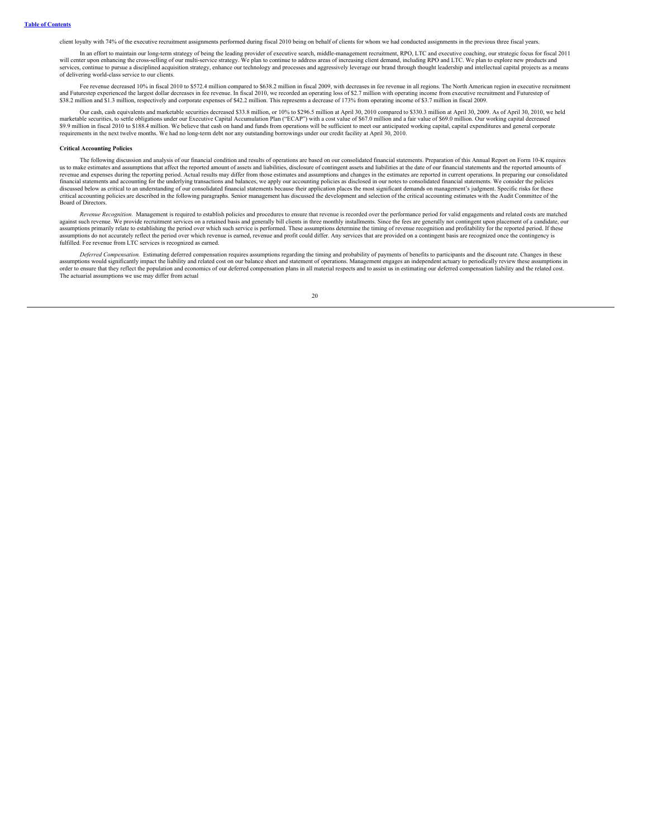client loyalty with 74% of the executive recruitment assignments performed during fiscal 2010 being on behalf of clients for whom we had conducted assignments in the previous three fiscal years.

In an effort to maintain our long-term strategy of being the leading provider of executive search, middle-management recruitment, RPO, LTC and executive coaching, our strategic focus for fiscal 2011 will center upon enhancing the cross-selling of our multi-service strategy. We plan to continue to address areas of increasing client demand, including RPO and LTC. We plan to explore new products and services, continue to pursue a disciplined acquisition strategy, enhance our technology and processes and aggressively leverage our brand through thought leadership and intellectual capital projects as a means of delivering world-class service to our clients.

Fee revenue decreased 10% in fiscal 2010 to \$572.4 million compared to \$638.2 million in fiscal 2009, with decreases in fee revenue in all regions. The North American region in executive recruitment and Futurestep experien \$38.2 million and \$1.3 million, respectively and corporate expenses of \$42.2 million. This represents a decrease of 173% from operating income of \$3.7 million in fiscal 2009.

Our cash, cash equivalents and marketable securities decreased \$33.8 million, or 10% to \$296.5 million at April 30, 2010 compared to \$330.3 million at April 30, 2009. As of April 30, 2010, we held marketable securities, to settle obligations under our Executive Capital Accumulation Plan ("ECAP") with a cost value of \$67.0 million and a fair value of \$69.0 million. Our working capital decreased<br>\$9.9 million in fiscal requirements in the next twelve months. We had no long-term debt nor any outstanding borrowings under our credit facility at April 30, 2010.

### **Critical Accounting Policies**

The following discussion and analysis of our financial condition and results of operations are based on our consolidated financial statements. Preparation of this Annual Report on Form 10-K requires us to make estimates and assumptions that affect the reported amount of assets and liabilities, disclosure of contingent assets and liabilities at the date of our financial statements and the reported amounts of revenue and expenses during the reporting period. Actual results may differ from those estimates and assumptions and changes in the estimates are reported in current operations. In preparing our consolidated financial stat critical accounting policies are described in the following paragraphs. Senior management has discussed the development and selection of the critical accounting estimates with the Audit Committee of the Board of Directors.

*Revenue Recognition.* Management is required to establish policies and procedures to ensure that revenue is recorded over the performance period for valid engagements and related costs are matched against such revenue. We provide recruitment services on a retained basis and generally bill clients in three monthly installments. Since the fees are generally not contingent upon placement of a candidate, our assumptions primarily relate to establishing the period over which such service is performed. These assumptions determine the timing of revenue recognition and profitability for the reported period. If these assumptions do not accurately reflect the period over which revenue is earned, revenue and profit could differ. Any services that are provided on a contingent basis are recognized once the contingency is fulfilled. Fee revenue from LTC services is recognized as earned.

*Deferred Compensation.* Estimating deferred compensation requires assumptions regarding the timing and probability of payments of benefits to participants and the discount rate. Changes in these assumptions would significantly impact the liability and related cost on our balance sheet and statement of operations. Management engages an independent actuary to periodically review these assumptions in<br>order to ensure The actuarial assumptions we use may differ from actual

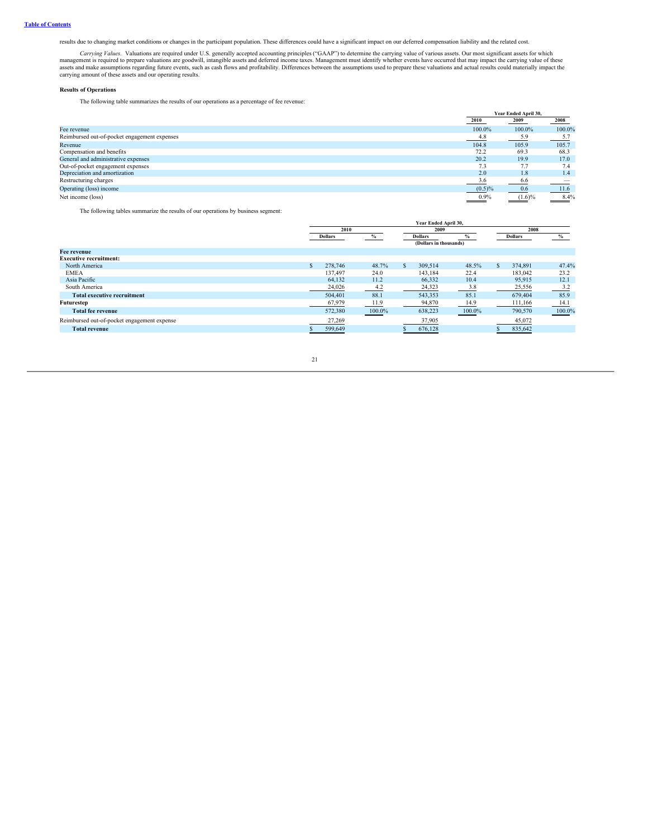results due to changing market conditions or changes in the participant population. These differences could have a significant impact on our deferred compensation liability and the related cost.

Carrying Values. Valuations are required under U.S. generally accepted accounting principles ("GAAP") to determine the carrying value of various assets. Our most significant assets for which management is required to prepa

# **Results of Operations**

The following table summarizes the results of our operations as a percentage of fee revenue:

|                                              |                   | Year Ended April 30, |        |
|----------------------------------------------|-------------------|----------------------|--------|
|                                              | 2010              | 2009                 | 2008   |
| Fee revenue                                  | 100.0%            | 100.0%               | 100.0% |
| Reimbursed out-of-pocket engagement expenses | 4.8               | 5.9                  | 5.7    |
| Revenue                                      | 104.8             | 105.9                | 105.7  |
| Compensation and benefits                    | 72.2              | 69.3                 | 68.3   |
| General and administrative expenses          | 20.2              | 19.9                 | 17.0   |
| Out-of-pocket engagement expenses            | 7.3               | 7.7                  | 7.4    |
| Depreciation and amortization                | 2.0               | 1.8                  | 1.4    |
| Restructuring charges                        | 3.6               | 6.6                  |        |
| Operating (loss) income                      | $(0.5)\%$         | 0.6                  | 11.6   |
| Net income (loss)                            | $\frac{0.9\%}{2}$ | $(1.6)\%$            | 8.4%   |

The following tables summarize the results of our operations by business segment:

|                                             |                | Year Ended April 30. |                        |        |                |         |        |  |  |  |  |
|---------------------------------------------|----------------|----------------------|------------------------|--------|----------------|---------|--------|--|--|--|--|
|                                             | 2010           |                      | 2009                   | 2008   |                |         |        |  |  |  |  |
|                                             | <b>Dollars</b> |                      | <b>Dollars</b>         |        | <b>Dollars</b> |         | %      |  |  |  |  |
|                                             |                |                      | (Dollars in thousands) |        |                |         |        |  |  |  |  |
| Fee revenue                                 |                |                      |                        |        |                |         |        |  |  |  |  |
| <b>Executive recruitment:</b>               |                |                      |                        |        |                |         |        |  |  |  |  |
| North America                               | 278,746        | 48.7%                | 309,514                | 48.5%  |                | 374,891 | 47.4%  |  |  |  |  |
| <b>EMEA</b>                                 | 137.497        | 24.0                 | 143,184                | 22.4   |                | 183,042 | 23.2   |  |  |  |  |
| Asia Pacific                                | 64.132         | 11.2                 | 66,332                 | 10.4   |                | 95,915  | 12.1   |  |  |  |  |
| South America                               | 24,026         | 4.2                  | 24,323                 | 3.8    |                | 25,556  | 3.2    |  |  |  |  |
| <b>Total executive recruitment</b>          | 504,401        | 88.1                 | 543,353                | 85.1   |                | 679,404 | 85.9   |  |  |  |  |
| Futurestep                                  | 67,979         | 11.9                 | 94,870                 | 14.9   |                | 111,166 | 14.1   |  |  |  |  |
| <b>Total fee revenue</b>                    | 572.380        | 100.0%               | 638,223                | 100.0% |                | 790,570 | 100.0% |  |  |  |  |
| Reimbursed out-of-pocket engagement expense | 27,269         |                      | 37,905                 |        |                | 45,072  |        |  |  |  |  |
| <b>Total revenue</b>                        | 599,649        |                      | 676,128                |        |                | 835,642 |        |  |  |  |  |
|                                             |                |                      |                        |        |                |         |        |  |  |  |  |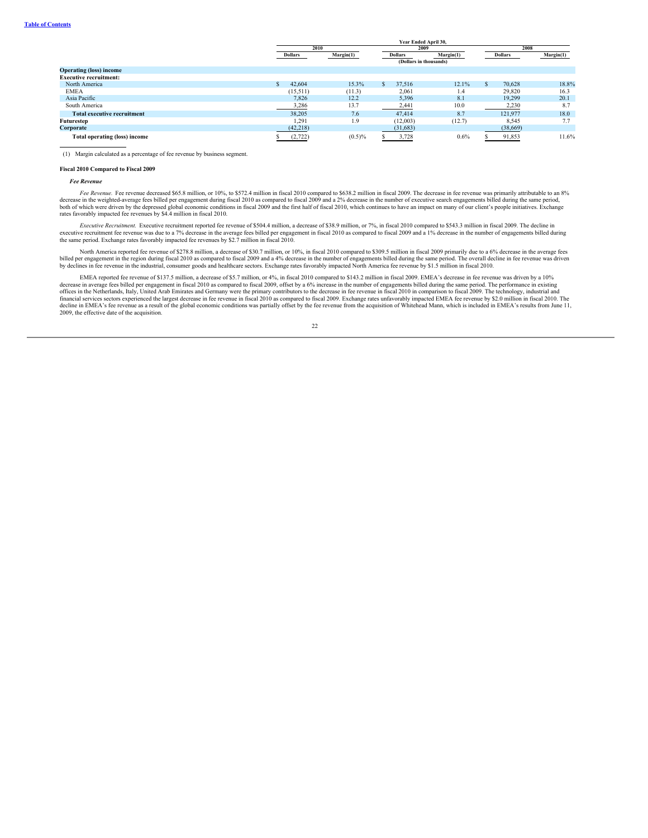|                                    | Year Ended April 30, |                |           |  |                        |           |  |                |           |  |  |
|------------------------------------|----------------------|----------------|-----------|--|------------------------|-----------|--|----------------|-----------|--|--|
|                                    |                      | 2010           |           |  | 2009                   |           |  | 2008           |           |  |  |
|                                    |                      | <b>Dollars</b> | Margin(1) |  | <b>Dollars</b>         | Margin(1) |  | <b>Dollars</b> | Margin(1) |  |  |
|                                    |                      |                |           |  | (Dollars in thousands) |           |  |                |           |  |  |
| <b>Operating (loss) income</b>     |                      |                |           |  |                        |           |  |                |           |  |  |
| <b>Executive recruitment:</b>      |                      |                |           |  |                        |           |  |                |           |  |  |
| North America                      |                      | 42.604         | 15.3%     |  | 37.516                 | 12.1%     |  | 70.628         | 18.8%     |  |  |
| <b>EMEA</b>                        |                      | (15, 511)      | (11.3)    |  | 2,061                  | 1.4       |  | 29.820         | 16.3      |  |  |
| Asia Pacific                       |                      | 7,826          | 12.2      |  | 5,396                  | 8.1       |  | 19,299         | 20.1      |  |  |
| South America                      |                      | 3,286          | 13.7      |  | 2,441                  | 10.0      |  | 2,230          | 8.7       |  |  |
| <b>Total executive recruitment</b> |                      | 38,205         | 7.6       |  | 47,414                 | 8.7       |  | 121.977        | 18.0      |  |  |
| Futurestep                         |                      | 1.291          | 1.9       |  | (12,003)               | (12.7)    |  | 8,545          | 7.7       |  |  |
| Corporate                          |                      | (42, 218)      |           |  | (31,683)               |           |  | (38,669)       |           |  |  |
| Total operating (loss) income      |                      | (2,722)        | $(0.5)\%$ |  | 3,728                  | 0.6%      |  | 91,853         | 11.6%     |  |  |

(1) Margin calculated as a percentage of fee revenue by business segment.

#### **Fiscal 2010 Compared to Fiscal 2009**

## *Fee Revenue*

Fee Revenue. Fee revenue decreased \$65.8 million, or 10%, to \$572.4 million in fiscal 2010 compared to \$638.2 million in fiscal 2009. The decrease in fee revenue was primarily attributable to an 8% decrease in the weighted-average fees billed per engagement during fiscal 2010 as compared to fiscal 2009 and a 2% decrease in the number of executive search engagements billed during the same period,<br>both of which were dr rates favorably impacted fee revenues by \$4.4 million in fiscal 2010.

*Executive Recruitment.* Executive recruitment reported fee revenue of \$504.4 million, a decrease of \$38.9 million, or 7%, in fiscal 2010 compared to \$543.3 million in fiscal 2009. The decline in executive recruitment repo

North America reported fee revenue of \$278.8 million, a decrease of \$30.7 million, or 10%, in fiscal 2010 compared to \$309.5 million in fiscal 2009 primarily due to a 6% decrease in the average fees billed per engagement in the region during fiscal 2010 as compared to fiscal 2009 and a 4% decrease in the number of engagements billed during the same period. The overall decline in fee revenue was driven<br>by declines in f

EMEA reported fee revenue of \$137.5 million, a decrease of \$5.7 million, or 4%, in fiscal 2010 compared to \$143.2 million in fiscal 2009. EMEA's decrease in fee revenue was driven by a 10% decrease in average fees billed per engagement in fiscal 2010 as compared to fiscal 2009, offset by a 6% increase in the number of engagements billed during the same period. The performance in existing<br>offices in the Nethe decline in EMEA's fee revenue as a result of the global economic conditions was partially offset by the fee revenue from the acquisition of Whitehead Mann, which is included in EMEA's results from June 11, 2009, the effective date of the acquisition.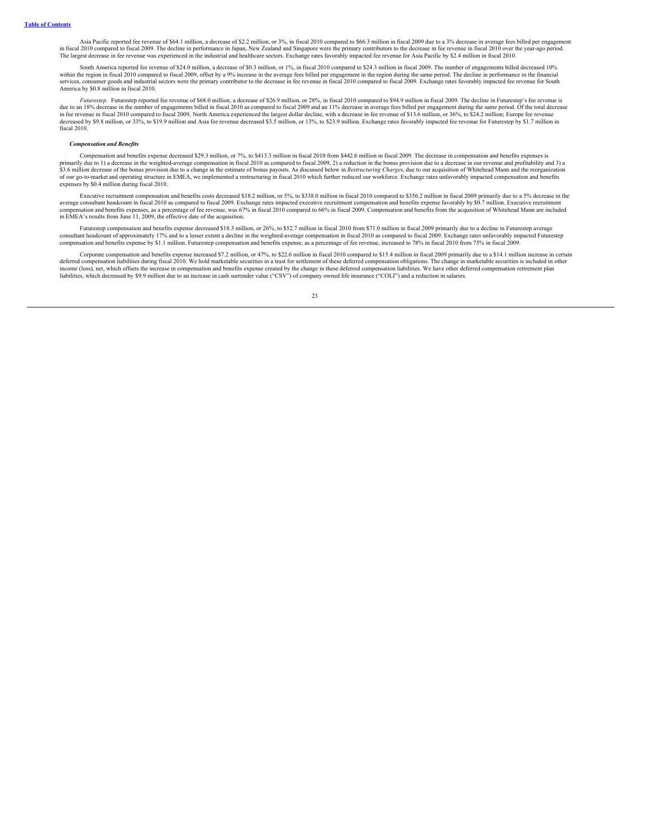Asia Pacific reported fee revenue of \$64.1 million, a decrease of \$2.2 million, or 3%, in fiscal 2010 compared to \$66.3 million in fiscal 2009 due to a 3% decrease in average fees billed per engagement in fiscal 2010 compared to fiscal 2009. The decline in performance in Japan, New Zealand and Singapore were the primary contributors to the decrease in fee revenue in fiscal 2010 over the year-ago period. The largest decrease in fee revenue was experienced in the industrial and healthcare sectors. Exchange rates favorably impacted fee revenue for Asia Pacific by \$2.4 million in fiscal 2010.

South America reported fee revenue of \$24.0 million, a decrease of \$0.3 million, or 1%, in fiscal 2010 compared to \$24.3 million in fiscal 2009. The number of engagements billed decreased 10% within the region in fiscal 2010 compared to fiscal 2009, offset by a 9% increase in the average fees billed per engagement in the region during the same period. The decline in performance in the financial<br>services, consum America by \$0.8 million in fiscal 2010.

*Futurestep.* Futurestep reported fee revenue of \$68.0 million, a decrease of \$26.9 million, or 28%, in fiscal 2010 compared to \$94.9 million in fiscal 2009. The decline in Futurestep's fee revenue is due to an 18% decrease in the number of engagements billed in fiscal 2010 as compared to fiscal 2009 and an 11% decrease in average fees billed per engagement during the same period. Of the total decrease<br>in fee revenue in decreased by \$9.8 million, or 33%, to \$19.9 million and Asia fee revenue decreased \$3.5 million, or 13%, to \$23.9 million. Exchange rates favorably impacted fee revenue for Futurestep by \$1.7 million in fiscal 2010.

## *Compensation and Benefits*

Compensation and benefits expense decreased \$29.3 million, or 7%, to \$413.3 million in fiscal 2010 from \$442.6 million in fiscal 2009. The decrease in compensation and benefits expenses is compensation and benefits expense \$3.6 million decrease of the bonus provision due to a change in the estimate of bonus payouts. As discussed below in *Restructuring Charges*, due to our acquisition of Whitehead Mann and the reorganization of our go-to-market and operating structure in EMEA, we implemented a restructuring in fiscal 2010 which further reduced our workforce. Exchange rates unfavorably impacted compensation and benefits expenses by \$0.4 million during fiscal 2010.

Executive recruitment compensation and benefits costs decreased \$18.2 million, or 5%, to \$338.0 million in fiscal 2010 compared to \$356.2 million in fiscal 2009 primarily due to a 5% decrease in the average consultant headcount in fiscal 2010 as compared to fiscal 2009. Exchange rates impacted executive recruitment compensation and benefits expense favorably by \$0.7 million. Executive recruitment<br>compensation and bene in EMEA's results from June 11, 2009, the effective date of the acquisition.

Futurestep compensation and benefits expense decreased \$18.3 million, or 26%, to \$52.7 million in fiscal 2010 from \$71.0 million in fiscal 2009 primarily due to a decline in Futurestep average consultant headcount of approximately 17% and to a lesser extent a decline in the weighted-average compensation in fiscal 2010 as compared to fiscal 2009. Exchange rates unfavorably impacted Futurestep<br>compensation and ben

Corporate compensation and benefits expense increased \$7.2 million, or 47%, to \$22.6 million in fiscal 2010 compared to \$15.4 million in fiscal 2009 primarily due to a \$14.1 million increase in certain deferred compensation liabilities during fiscal 2010. We hold marketable securities in a trust for settlement of these deferred compensation obligations. The change in marketable securities is included in other displicitio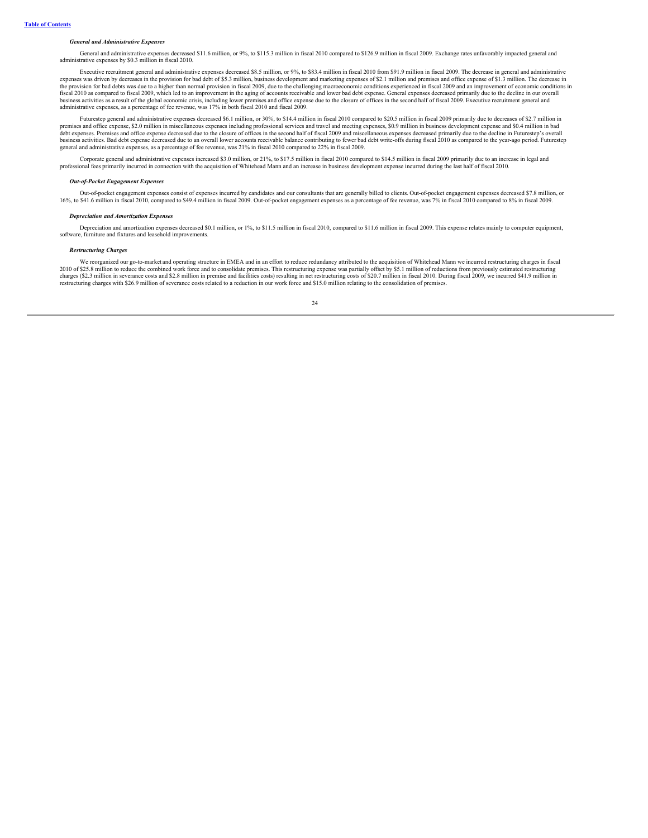## *General and Administrative Expenses*

General and administrative expenses decreased \$11.6 million, or 9%, to \$115.3 million in fiscal 2010 compared to \$126.9 million in fiscal 2009. Exchange rates unfavorably impacted general and administrative expenses by \$0.3 million in fiscal 2010.

Executive recruitment general and administrative expenses decreased \$8.5 million, or 9%, to \$83.4 million in fiscal 2010 from \$91.9 million in fiscal 2009. The decrease in general and administrative expenses was driven by the provision for bad debts was due to a higher than normal provision in fiscal 2009, due to the challenging macroeconomic conditions experienced in fiscal 2009 and an improvement of economic conditions in fiscal 2010 as compared to fiscal 2009, which led to an improvement in the aging of accounts receivable and lower bad debt expense. General expenses decreased primarily due to the decline in our overall usiness activities as a result of the global economic crisis, including lower premises and office expense due to the closure of offices in the second half of fiscal 2009. Executive recruitment general and administrative expenses, as a percentage of fee revenue, was 17% in both fiscal 2010 and fiscal 2009.

Futurestep general and administrative expenses decreased \$6.1 million, or 30%, to \$14.4 million in fiscal 2010 compared to \$20.5 million in fiscal 2009 primarily due to decreases of \$2.7 million in premises and office expense, \$2.0 million in miscellaneous expenses including professional services and travel and meeting expenses, \$0.9 million in business development expense and \$0.4 million in bad debt expenses. Premises and office expense decreased due to the closure of offices in the second half of fiscal 2009 and miscellaneous expenses decreased primarily due to the decline in Futurestep's overall<br>business activi general and administrative expenses, as a percentage of fee revenue, was 21% in fiscal 2010 compared to 22% in fiscal 2009.

Corporate general and administrative expenses increased \$3.0 million, or 21%, to \$17.5 million in fiscal 2010 compared to \$14.5 million in fiscal 2009 primarily due to an increase in legal and professional fees primarily incurred in connection with the acquisition of Whitehead Mann and an increase in business development expense incurred during the last half of fiscal 2010.

# *Out-of-Pocket Engagement Expenses*

Out-of-pocket engagement expenses consist of expenses incurred by candidates and our consultants that are generally billed to clients. Out-of-pocket engagement expenses decreased \$7.8 million, or 16%, to \$41.6 million in fiscal 2010, compared to \$49.4 million in fiscal 2009. Out-of-pocket engagement expenses as a percentage of fee revenue, was 7% in fiscal 2010 compared to 8% in fiscal 2009.

#### *Depreciation and Amortization Expenses*

Depreciation and amortization expenses decreased \$0.1 million, or 1%, to \$11.5 million in fiscal 2010, compared to \$11.6 million in fiscal 2009. This expense relates mainly to computer equipment, expense and fixtures and l software, furniture and fixtures and leaseh

## *Restructuring Charges*

We reorganized our go-to-market and operating structure in EMEA and in an effort to reduce redundancy attributed to the acquisition of Whitehead Mann we incurred restructuring charges in fiscal 2010 of \$25.8 million to reduce the combined work force and to consolidate premises. This restructuring expense was partially offset by \$5.1 million of reductions from previously estimated restructuring<br>charges (\$2.3 milli

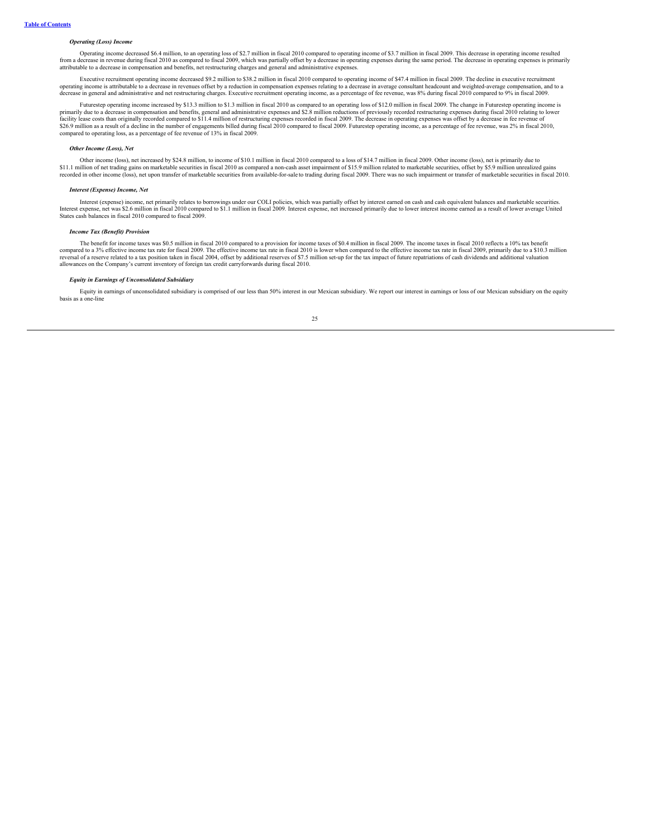# *Operating (Loss) Income*

Operating income decreased \$6.4 million, to an operating loss of \$2.7 million in fiscal 2010 compared to operating income of \$3.7 million in fiscal 2009. This decrease in operating income resulted from a decrease in revenue during fiscal 2010 as compared to fiscal 2009, which was partially offset by a decrease in operating expenses during the same period. The decrease in operating expenses is primarily attributable

Executive recruitment operating income decreased \$9.2 million to \$38.2 million in fiscal 2010 compared to operating income of \$47.4 million in fiscal 2009. The decline in executive recruitment operating income is attributable to a decrease in revenues offset by a reduction in compensation expenses relating to a decrease in average consultant headcount and weighted-average compensation, and to a decrease in general and administrative and net restructuring charges. Executive recruitment operating income, as a percentage of fee revenue, was 8% during fiscal 2010 compared to 9% in fiscal 2009.

Futurestep operating income increased by \$13.3 million to \$1.3 million in fiscal 2010 as compared to an operating loss of \$12.0 million in fiscal 2009. The change in Futurestep operating income is<br>primarily due to a decrea facility lease costs than originally recorded compared to \$11.4 million of restructuring expenses recorded in fiscal 2009. The decrease in operating expenses was offset by a decrease in fee revenue of<br>\$26.9 million as a re compared to operating loss, as a percentage of fee revenue of 13% in fiscal 2009.

### *Other Income (Loss), Net*

Other income (loss), net increased by \$24.8 million, to income of \$10.1 million in fiscal 2010 compared to a loss of \$14.7 million in fiscal 2009. Other income (loss), net is primarily due to \$11.1 million of net trading gains on marketable securities in fiscal 2010 as compared a non-cash asset impairment of \$15.9 million related to marketable securities, offset by \$5.9 million unrealized gains recorded in other income (loss), net upon transfer of marketable securities from available-for-sale to trading during fiscal 2009. There was no such impairment or transfer of marketable securities in fiscal 2010.

### *Interest (Expense) Income, Net*

Interest (expense) income, net primarily relates to borrowings under our COLI policies, which was partially offset by interest earned on cash and cash equivalent balances and marketable securities. Interest expense, net was \$2.6 million in fiscal 2010 compared to \$1.1 million in fiscal 2009. Interest expense, net increased primarily due to lower interest income earned as a result of lower average United<br>States cash b

# *Income Tax (Benefit) Provision*

The benefit for income taxes was \$0.5 million in fiscal 2010 compared to a provision for income taxes of \$0.4 million in fiscal 2009. The income taxes in fiscal 2010 reflects a 10% tax benefit compared to a 3% effective income tax rate for fiscal 2009. The effective income tax rate in fiscal 2010 is lower when compared to the effective income tax rate in fiscal 2009, primarily due to a \$10.3 million reversal of a reserve related to a tax position taken in fiscal 2004, offset by additional reserves of \$7.5 million set-up for the tax impact of future repatriations of cash dividends and additional valuation allowances on the Company's current inventory of foreign tax credit carryforwards during fiscal 2010.

# *Equity in Earnings of Unconsolidated Subsidiary*

Equity in earnings of unconsolidated subsidiary is comprised of our less than 50% interest in our Mexican subsidiary. We report our interest in earnings or loss of our Mexican subsidiary on the equity basis as a one-line

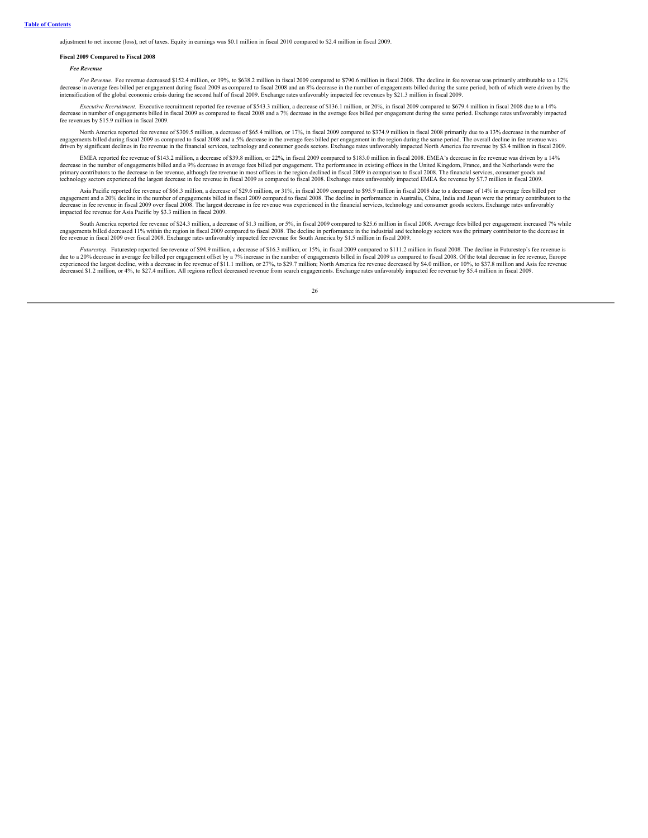adjustment to net income (loss), net of taxes. Equity in earnings was \$0.1 million in fiscal 2010 compared to \$2.4 million in fiscal 2009.

#### **Fiscal 2009 Compared to Fiscal 2008**

### *Fee Revenue*

Fee Revenue. Fee revenue decreased \$152.4 million, or 19%, to \$638.2 million in fiscal 2009 compared to \$790.6 million in fiscal 2008. The decline in fee revenue was primarily attributable to a 12% decrease in average fees billed per engagement during fiscal 2009 as compared to fiscal 2008 and an 8% decrease in the number of engagements billed during the same period, both of which were driven by the<br>intensification o

*Executive Recruitment.* Executive recruitment reported fee revenue of \$543.3 million, a decrease of \$136.1 million, or 20%, in fiscal 2009 compared to \$679.4 million in fiscal 2008 due to a 14% decrease in number of engagements billed in fiscal 2009 as compared to fiscal 2008 and a 7% decrease in the average fees billed per engagement during the same period. Exchange rates unfavorably impacted fee revenues by \$15.9 million in fiscal 2009.

North America reported fee revenue of \$309.5 million, a decrease of \$65.4 million, or 17%, in fiscal 2009 compared to \$374.9 million in fiscal 2008 primarily due to a 13% decrease in the number of engagements billed during fiscal 2009 as compared to fiscal 2008 and a 5% decrease in the average fees billed per engagement in the region during the same period. The overall decline in fee revenue was driven by significant declines in fee revenue in the financial services, technology and consumer goods sectors. Exchange rates unfavorably impacted North America fee revenue by \$3.4 million in fiscal 2009.

EMEA reported fee revenue of \$143.2 million, a decrease of \$39.8 million, or 22%, in fiscal 2009 compared to \$183.0 million in fiscal 2008. EMEA's decrease in fee revenue was driven by a 14% decrease in the number of engagements billed and a 9% decrease in average fees billed per engagement. The performance in existing offices in the United Kingdom, France, and the Netherlands were the retained by the financia

Asia Pacific reported fee revenue of \$66.3 million, a decrease of \$29.6 million, or 31%, in fiscal 2009 compared to \$95.9 million in fiscal 2008 due to a decrease of 14% in average fees billed per engagement and a 20% decline in the number of engagements billed in fiscal 2009 compared to fiscal 2008. The decline in performance in Australia, China, India and Japan were the primary contributors to the<br>decrease in fee impacted fee revenue for Asia Pacific by \$3.3 million in fiscal 2009.

South America reported fee revenue of \$24.3 million, a decrease of \$1.3 million, or 5%, in fiscal 2009 compared to \$25.6 million in fiscal 2008. Average fees billed per engagement increased 7% while engagements billed decreased 11% within the region in fiscal 2009 compared to fiscal 2008. The decline in performance in the industrial and technology sectors was the primary contributor to the decrease in<br>fee revenue in f

*Futurestep.* Futurestep reported fee revenue of \$94.9 million, a decrease of \$16.3 million, or 15%, in fiscal 2009 compared to \$111.2 million in fiscal 2008. The decline in Futurestep's fee revenue is due to a 20% decrease in average fee billed per engagement offset by a 7% increase in the number of engagements billed in fiscal 2009 as compared to fiscal 2008. Of the total decrease in fee revenue, Europe<br>experienced the decreased \$1.2 million, or 4%, to \$27.4 million. All regions reflect decreased revenue from search engagements. Exchange rates unfavorably impacted fee revenue by \$5.4 million in fiscal 2009.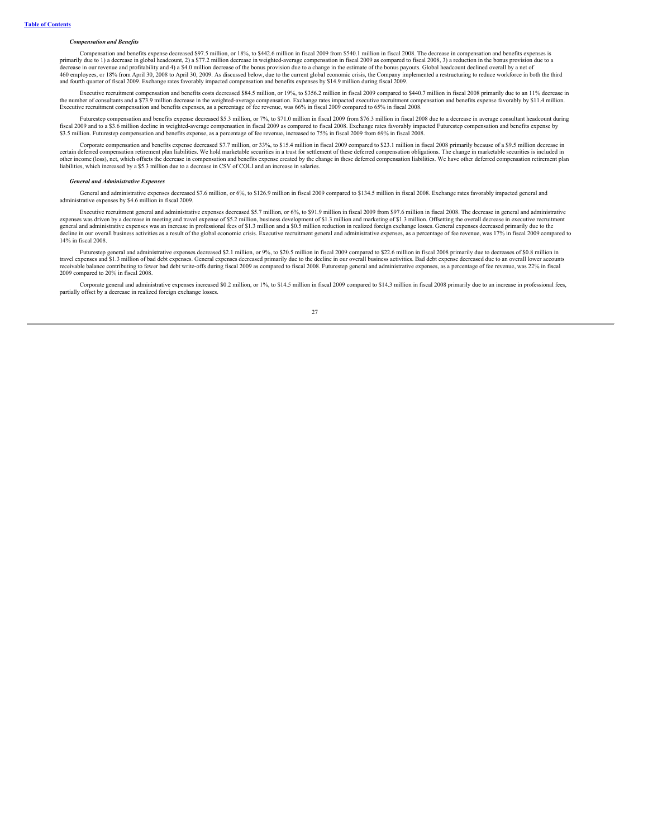### *Compensation and Benefits*

Compensation and benefits expense decreased \$97.5 million, or 18%, to \$442.6 million in fiscal 2009 from \$540.1 million in fiscal 2008. The decrease in compensation and benefits expenses is primarily due to 1) a decrease in global headcount, 2) a \$77.2 million decrease in weighted-average compensation in fiscal 2009 as compared to fiscal 2008, 3) a reduction in the bonus provision due to a<br>decrease in our rev and fourth quarter of fiscal 2009. Exchange rates favorably impacted compensation and benefits expenses by \$14.9 million during fiscal 2009.

Executive recruitment compensation and benefits costs decreased \$84.5 million, or 19%, to \$356.2 million in fiscal 2009 compared to \$440.7 million in fiscal 2008 primarily due to an 11% decrease in the number of consultants and a \$73.9 million decrease in the weighted-average compensation. Exchange rates impacted executive recruitment compensation and benefits expense favorably by \$11.4 million. Executive recruitment compensation and benefits expenses, as a percentage of fee revenue, was 66% in fiscal 2009 compared to 65% in fiscal 2008.

Futurestep compensation and benefits expense decreased \$5.3 million, or 7%, to \$71.0 million in fiscal 2009 from \$76.3 million in fiscal 2008 due to a decrease in average consultant headcount during fiscal 2009 and to a \$3.6 million decline in weighted-average compensation in fiscal 2009 as compared to fiscal 2008. Exchange rates favorably impacted Futurestep compensation and benefits expense by \$3.5 million. Futurestep compensation and benefits expense, as a percentage of fee revenue, increased to 75% in fiscal 2009 from 69% in fiscal 2008.

Corporate compensation and benefits expense decreased \$7.7 million, or 33%, to \$15.4 million in fiscal 2009 compared to \$23.1 million in fiscal 2008 primarily because of a \$9.5 million decrease in certain deferred compensation retirement plan liabilities. We hold marketable securities in a trust for settlement of these deferred compensation obligations. The change in marketable securities is included in other income (loss), net, which offsets the decrease in compensation and benefits expense created by the change in these deferred compensation liabilities. We have other deferred compensation retirement plan liabilities, which increased by a \$5.3 million due to a decrease in CSV of COLI and an increase in salaries.

### *General and Administrative Expenses*

General and administrative expenses decreased \$7.6 million, or 6%, to \$126.9 million in fiscal 2009 compared to \$134.5 million in fiscal 2008. Exchange rates favorably impacted general and administrative expenses by \$4.6 million in fiscal 2009.

Executive recruitment general and administrative expenses decreased \$5.7 million, or 6%, to \$91.9 million in fiscal 2009 from \$97.6 million in fiscal 2008. The decrease in general and administrative expenses was driven by a decrease in meeting and travel expense of \$5.2 million, business development of \$1.3 million and marketing of \$1.3 million. Offsetting the overall decrease in executive recruitment<br>general and admi decline in our overall business activities as a result of the global economic crisis. Executive recruitment general and administrative expenses, as a percentage of fee revenue, was 17% in fiscal 2009 compared to 14% in fiscal 2008.

Futurestep general and administrative expenses decreased \$2.1 million, or 9%, to \$20.5 million in fiscal 2009 compared to \$22.6 million in fiscal 2008 primarily due to decreases of \$0.8 million in travel expenses and \$1.3 million of bad debt expenses. General expenses decreased primarily due to the decline in our overall business activities. Bad debt expense decreased due to an overall lower accounts<br>receivable bala 2009 compared to 20% in fiscal 2008.

Corporate general and administrative expenses increased \$0.2 million, or 1%, to \$14.5 million in fiscal 2009 compared to \$14.3 million in fiscal 2008 primarily due to an increase in professional fees, partially offset by a decrease in realized foreign exchange losses.

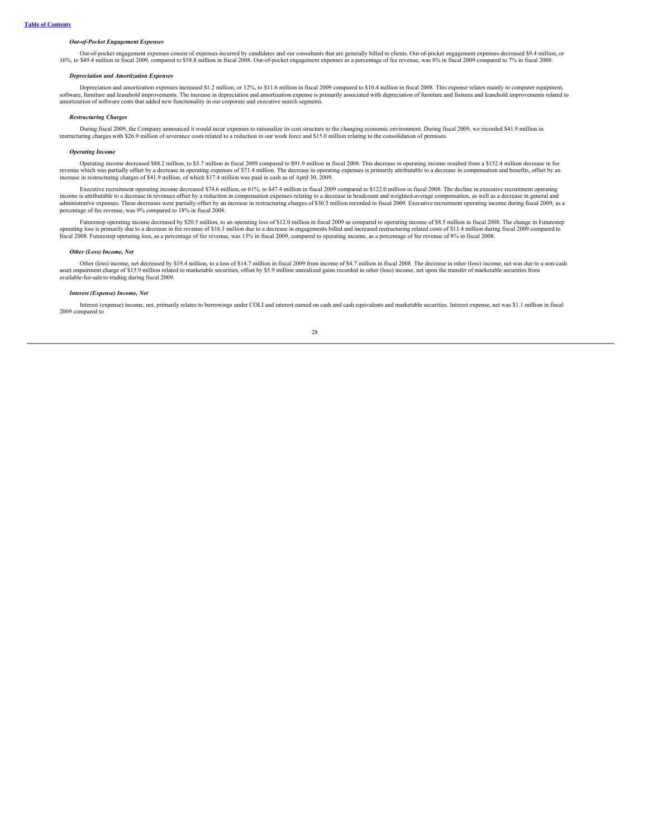# *Out-of-Pocket Engagement Expenses*

Out-of-pocket engagement expenses consist of expenses incurred by candidates and our consultants that are generally billed to clients. Out-of-pocket engagement expenses decreased \$9.4 million, or 16%, to \$49.4 million in fiscal 2009, compared to \$58.8 million in fiscal 2008. Out-of-pocket engagement expenses as a percentage of fee revenue, was 8% in fiscal 2009 compared to 7% in fiscal 2008.

## *Depreciation and Amortization Expenses*

Depreciation and amortization expenses increased \$1.2 million, or 12%, to \$11.6 million in fiscal 2009 compared to \$10.4 million in fiscal 2008. This expense relates mainly to computer equipment, software, furniture and leasehold improvements. The increase in depreciation and amortization expense is primarily associated with depreciation of furniture and fixtures and leasehold improvements related to amortization of software costs that added new functionality in our corporate and executive search segments.

## *Restructuring Charges*

During fiscal 2009, the Company announced it would incur expenses to rationalize its cost structure to the changing economic environment. During fiscal 2009, we recorded \$41.9 million in restructuring charges with \$26.9 million of severance costs related to a reduction in our work force and \$15.0 million relating to the consolidation of premises.

#### *Operating Income*

Operating income decreased \$88.2 million, to \$3.7 million in fiscal 2009 compared to \$91.9 million in fiscal 2008. This decrease in operating income resulted from a \$152.4 million decrease in fee revenue which was partially offset by a decrease in operating expenses of \$71.4 million. The decrease in operating expenses is primarily attributable to a decrease in compensation and benefits, offset by an<br>increase in res

Executive recruitment operating income decreased \$74.6 million, or 61%, to \$47.4 million in fiscal 2009 compared to \$122.0 million in fiscal 2008. The decline in executive recruitment operating to a decrease in general and administrative expenses. These decreases were partially offset by an increase in restructuring charges of \$30.5 million recorded in fiscal 2009. Executive recruitment operating income during fiscal 2009, as a percentage of fee revenue, was 9% compared to 18% in fiscal 2008.

Futurestep operating income decreased by \$20.5 million, to an operating loss of \$12.0 million in fiscal 2009 as compared to operating income of \$8.5 million in fiscal 2008. The change in Futurestep operating loss is primar fiscal 2008. Futurestep operating loss, as a percentage of fee revenue, was 13% in fiscal 2009, compared to operating income, as a percentage of fee revenue of 8% in fiscal 2008.

#### *Other (Loss) Income, Net*

Other (loss) income, net decreased by \$19.4 million, to a loss of \$14.7 million in fiscal 2009 from income of \$4.7 million in fiscal 2008. The decrease in other (loss) income, net was due to a non-cash asset impairment charge of \$15.9 million related to marketable securities, offset by \$5.9 million unrealized gains recorded in other (loss) income, net upon the transfer of marketable securities from<br>available-for-sale to

## *Interest (Expense) Income, Net*

Interest (expense) income, net, primarily relates to borrowings under COLI and interest earned on cash and cash equivalents and marketable securities. Interest expense, net was \$1.1 million in fiscal 2009 compared to

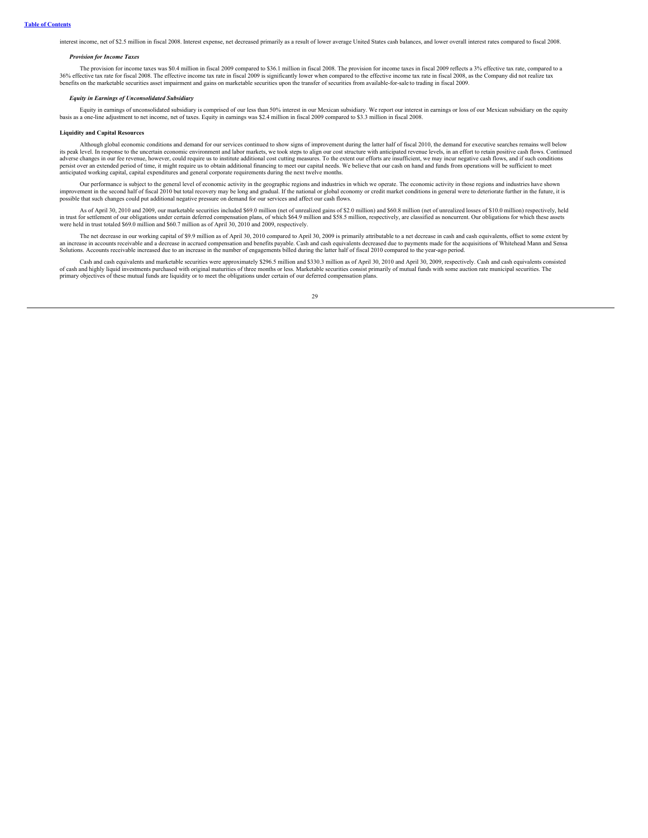interest income, net of \$2.5 million in fiscal 2008. Interest expense, net decreased primarily as a result of lower average United States cash balances, and lower overall interest rates compared to fiscal 2008.

### *Provision for Income Taxes*

The provision for income taxes was \$0.4 million in fiscal 2009 compared to \$36.1 million in fiscal 2008. The provision for income taxes in fiscal 2009 reflects a 3% effective tax rate, compared to a <sup>266</sup> effective tax rate for fiscal 2008. The effective income tax rate in fiscal 2008 is significantly lower when compared to the effective income tax rate in fiscal 2008, as the Company did not realize tax rate in fiscal benefits on the marketable securities asset impairment and gains on marketable securities upon the transfer of securities from available-for-sale to trading in fiscal 2009.

#### *Equity in Earnings of Unconsolidated Subsidiary*

Equity in earnings of unconsolidated subsidiary is comprised of our less than 50% interest in our Mexican subsidiary. We report our interest in earnings or loss of our Mexican subsidiary on the equity basis as a one-line adjustment to net income, net of taxes. Equity in earnings was \$2.4 million in fiscal 2009 compared to \$3.3 million in fiscal 2008.

# **Liquidity and Capital Resources**

Although global economic conditions and demand for our services continued to show signs of improvement during the latter half of fiscal 2010, the demand for executive searches remains well below its peak level. In response to the uncertain economic environment and labor markets, we took steps to align our cost structure with anticipated revenue levels, in an effort to retain positive cash flows. Continued its peak anticipated working capital, capital expenditures and general corporate requirements during the next twelve months.

Our performance is subject to the general level of economic activity in the geographic regions and industries in which we operate. The economic activity in those regions and industries have shown improvement in the second half of fiscal 2010 but total recovery may be long and gradual. If the national or global economy or credit market conditions in general were to deteriorate further in the future, it is<br>possible t

As of April 30, 2010 and 2009, our marketable securities included \$69.0 million (net of unrealized gains of \$2.0 million) and \$60.8 million (net of unrealized losses of \$10.0 million) respectively, held in trust for settlement of our obligations under certain deferred compensation plans, of which \$64.9 million and \$58.5 million, respectively, are classified as noncurrent. Our obligations for which these assets<br>were held i

The net decrease in our working capital of \$9.9 million as of April 30, 2010 compared to April 30, 2009 is primarily attributable to a net decrease in cash and cash equivalents, offset to some extent by an increase in accounts receivable and a decrease in accrued compensation and benefits payable. Cash and cash equivalents decreased due to payments made for the acquisitions of Whitehead Mann and Sensa<br>an increase in accru Solutions. Accounts receivable increased due to an increase in the number of engagements billed during the latter half of fiscal 2010 compared to the year-ago period.

Cash and cash equivalents and marketable securities were approximately \$296.5 million and \$330.3 million as of April 30, 2010 and April 30, 2009, respectively. Cash and cash equivalents consisted of cash and highly liquid investments purchased with original maturities of three months or less. Marketable securities consist primarily of mutual funds with some auction rate municipal securities. The primary objectives of these mutual funds are liquidity or to meet the obligations under certain of our deferred compensation plans.

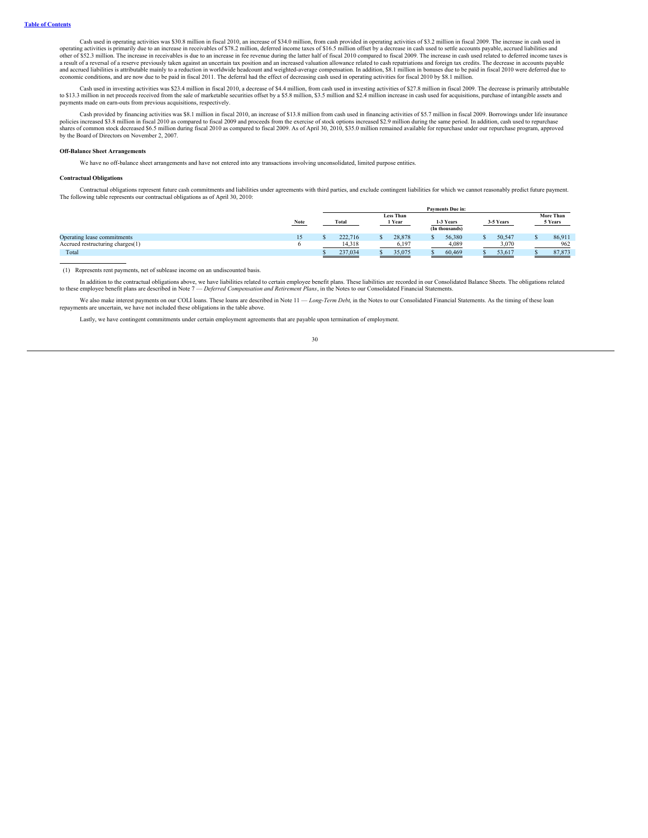Cash used in operating activities was \$30.8 million in fiscal 2010, an increase of \$34.0 million, from cash provided in operating activities of \$3.2 million in fiscal 2009. The increase in cash used in operating activities is primarily due to an increase in receivables of \$78.2 million, deferred income taxes of \$16.5 million offset by a decrease in cash used to settle accounts payable, accrued liabilities and<br>other of \$5 a result of a reversal of a reserve previously taken against an uncertain tax position and an increased valuation allowance related to cash repatriations and foreign tax credits. The decrease in accounts payable<br>and accrue economic conditions, and are now due to be paid in fiscal 2011. The deferral had the effect of decreasing cash used in operating activities for fiscal 2010 by \$8.1 million.

Cash used in investing activities was \$23.4 million in fiscal 2010, a decrease of \$4.4 million, from cash used in investing activities of \$27.8 million in fiscal 2009. The decrease is primarily attributable serurition of s payments made on earn-outs from previous acquisitions, respectively.

Cash provided by financing activities was \$8.1 million in fiscal 2010, an increase of \$13.8 million from cash used in financing activities of \$5.7 million in fiscal 2009. Borrowings under life insurance policies increased by the Board of Directors on November 2, 2007.

### **Off-Balance Sheet Arrangements**

We have no off-balance sheet arrangements and have not entered into any transactions involving unconsolidated, limited purpose entities.

### **Contractual Obligations**

Contractual obligations represent future cash commitments and liabilities under agreements with third parties, and exclude contingent liabilities for which we cannot reasonably predict future payment. The following table represents our contractual obligations as of April 30, 2010:

|                                  |      | <b>Payments Due in:</b> |         |        |        |           |                |           |                  |         |        |
|----------------------------------|------|-------------------------|---------|--------|--------|-----------|----------------|-----------|------------------|---------|--------|
|                                  |      | <b>Less Than</b>        |         |        |        |           |                |           | <b>More Than</b> |         |        |
|                                  | Note | Total                   |         | 1 Year |        | 1-3 Years |                | 3-5 Years |                  | 5 Years |        |
|                                  |      |                         |         |        |        |           | (In thousands) |           |                  |         |        |
| Operating lease commitments      |      |                         | 222,716 |        | 28.878 |           | 56,380         |           | 50.547           |         | 86.911 |
| Accrued restructuring charges(1) |      |                         | 14,318  |        | 6.197  |           | 4,089          |           | 3.070            |         | 962    |
| Total                            |      |                         | 237,034 |        | 35,075 |           | 60,469         |           | 53,617           |         | 87.873 |

(1) Represents rent payments, net of sublease income on an undiscounted basis.

In addition to the contractual obligations above, we have liabilities related to certain employee benefit plans. These liabilities are recorded in our Consolidated Balance Sheets. The obligations related to these employee benefit plans are described in Note 7 — *Deferred Compensation and Retirement Plans*, in the Notes to our Consolidated Financial Statements.

We also make interest payments on our COLI loans. These loans are described in Note 11 — *Long-Term Debt*, in the Notes to our Consolidated Financial Statements. As the timing of these loan repayments are uncertain, we have not included these obligations in the table above.

Lastly, we have contingent commitments under certain employment agreements that are payable upon termination of employment.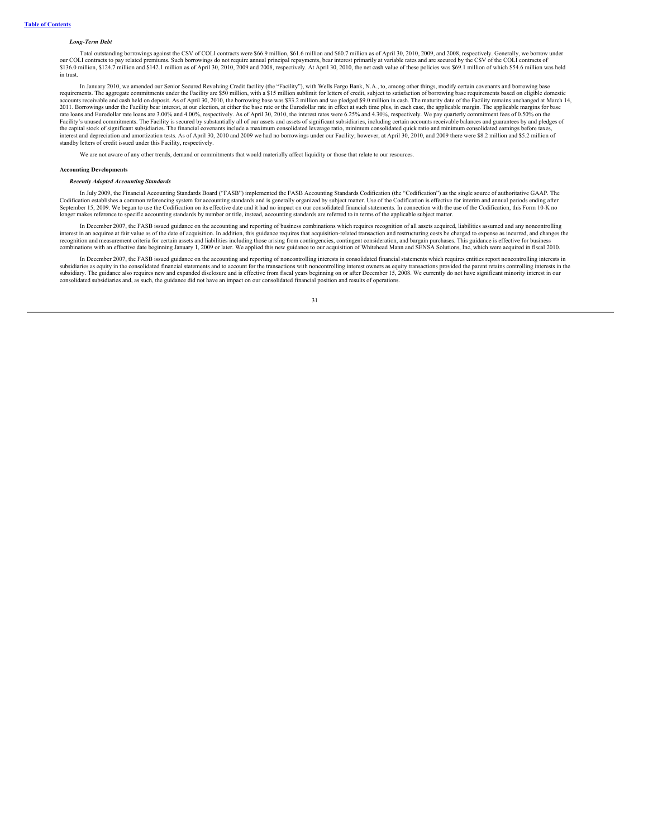## *Long-Term Debt*

Total outstanding borrowings against the CSV of COLI contracts were \$66.9 million, \$61.6 million and \$60.7 million as of April 30, 2010, 2009, and 2008, respectively. Generally, we borrow under our COLI contracts to pay related premiums. Such borrowings do not require annual principal repayments, bear interest primarily at variable rates and are secured by the CSV of the COLI contracts of<br>\$136.0 million, \$124.7 m in trust.

In January 2010, we amended our Senior Secured Revolving Credit facility (the "Facility"), with Wells Fargo Bank, N.A., to, among other things, modify certain covenants and borrowing base requirements. The aggregate commitments under the Facility are \$50 million, with a \$15 million sublimit for letters of credit, subject to satisfaction of borrowing base requirements based on eligible domestic unts receivable and cash held on deposit. As of April 30, 2010, the borrowing base was \$33.2 million and we pledged \$9.0 million in cash. The maturity date of the Facility remains unchanged at March 14, 2011. Borrowings under the Facility bear interest, at our election, at either the base rate or the Eurodollar rate in effect at such time plus, in each case, the applicable margin. The applicable margins for base rate loans and Eurodollar rate loans are 3.00% and 4.00%, respectively. As of April 30, 2010, the interest rates were 6.25% and 4.30%, respectively. We pay quarterly commitment fees of 0.50% on the Facility's unused commitments. The Facility is secured by substantially all of our assets and assets of significant subsidiaries, including certain accounts receivable balances and guarantees by and pledges of<br>the capital standby letters of credit issued under this Facility, respectively.

We are not aware of any other trends, demand or commitments that would materially affect liquidity or those that relate to our resources.

#### **Accounting Developments**

### *Recently Adopted Accounting Standards*

In July 2009, the Financial Accounting Standards Board ("FASB") implemented the FASB Accounting Standards Codification (the "Codification") as the single source of authoritative GAAP. The Codification establishes a common referencing system for accounting standards and is generally organized by subject matter. Use of the Codification is effective for interim and annual periods ending after<br>September 15, 200 longer makes reference to specific accounting standards by number or title, instead, accounting standards are referred to in terms of the applicable subject matter.

In December 2007, the FASB issued guidance on the accounting and reporting of business combinations which requires recognition of all assets acquired, liabilities assumed and any noncontrolling interest in an acquiree at fair value as of the date of acquisition. In addition, this guidance requires that acquisition-related transaction and restructuring costs be charged to expense as incurred, and changes the<br>recog

In December 2007, the FASB issued guidance on the accounting and reporting of noncontrolling interests in consolidated financial statements which requires entities report noncontrolling interests in subsidiaries as equity in the consolidated financial statements and to account for the transactions with noncontrolling interest owners as equity transactions provided the parent retains controlling interests in the<br>subsid consolidated subsidiaries and, as such, the guidance did not have an impact on our consolidated financial position and results of operations.

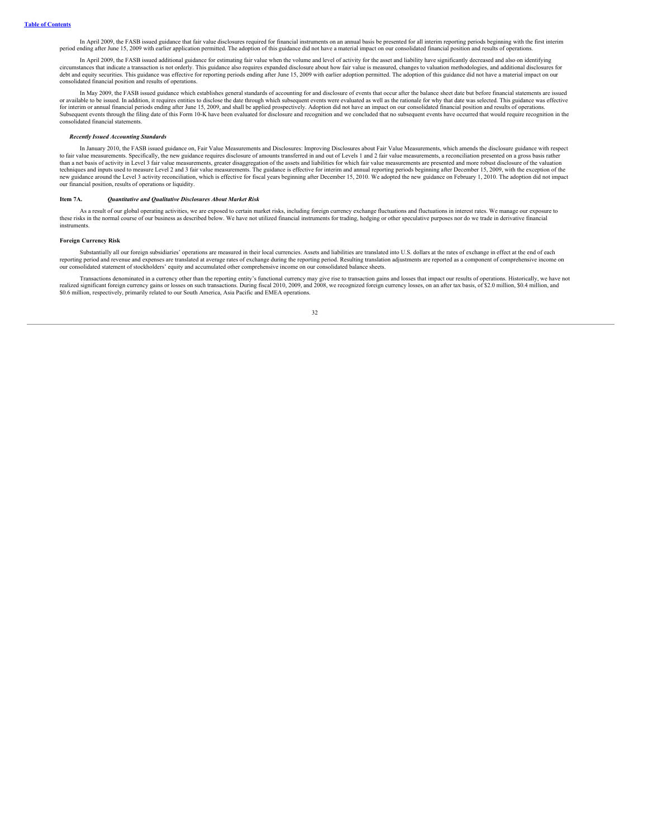In April 2009, the FASB issued guidance that fair value disclosures required for financial instruments on an annual basis be presented for all interim reporting periods beginning with the first interim period ending after June 15, 2009 with earlier application permitted. The adoption of this guidance did not have a material impact on our consolidated financial position and results of operation

In April 2009, the FASB issued additional guidance for estimating fair value when the volume and level of activity for the asset and liability have significantly decreased and also on identifying circumstances that indicate a transaction is not orderly. This guidance also requires expanded disclosure about how fair value is measured, changes to valuation methodologies, and additional disclosures for<br>debt and equity consolidated financial position and results of operations.

In May 2009, the FASB issued guidance which establishes general standards of accounting for and disclosure of events that occur after the balance sheet date but before financial statements are issued or available to be issued. In addition, it requires entities to disclose the date through which subsequent events were evaluated as well as the rationale for why that date was selected. This guidance was effective for interim or annual financial periods ending after June 15, 2009, and shall be applied prospectively. Adoption did not have an impact on our consolidated financial position and results of operations.<br>Subsequent events th consolidated financial statements.

## *Recently Issued Accounting Standards*

In January 2010, the FASB issued guidance on, Fair Value Measurements and Disclosures: Improving Disclosures about Fair Value Measurements, which amends the disclosure guidance with respect to fair value measurements. Specifically, the new guidance requires disclosure of amounts transferred in and out of Levels 1 and 2 fair value measurements, a reconciliation presented on a gross basis rather than a net basi

#### <span id="page-33-0"></span>**Item 7A.** *Quantitative and Qualitative Disclosures About Market Risk*

As a result of our global operating activities, we are exposed to certain market risks, including foreign currency exchange fluctuations and fluctuations in interest rates. We manage our exposure to these risks in the norm instruments.

## **Foreign Currency Risk**

Substantially all our foreign subsidiaries' operations are measured in their local currencies. Assets and liabilities are translated into U.S. dollars at the rates of exchange in effect at the end of each reporting period and revenue and expenses are translated at average rates of exchange during the reporting period. Resulting translation adjustments are reported as a component of comprehensive income on our consolidated statement of stockholders' equity and accumulated other comprehensive income on our consolidated balance sheets.

Transactions denominated in a currency other than the reporting entity's functional currency may give rise to transaction gains and losses that impact our results of operations. Historically, we have not realized significa

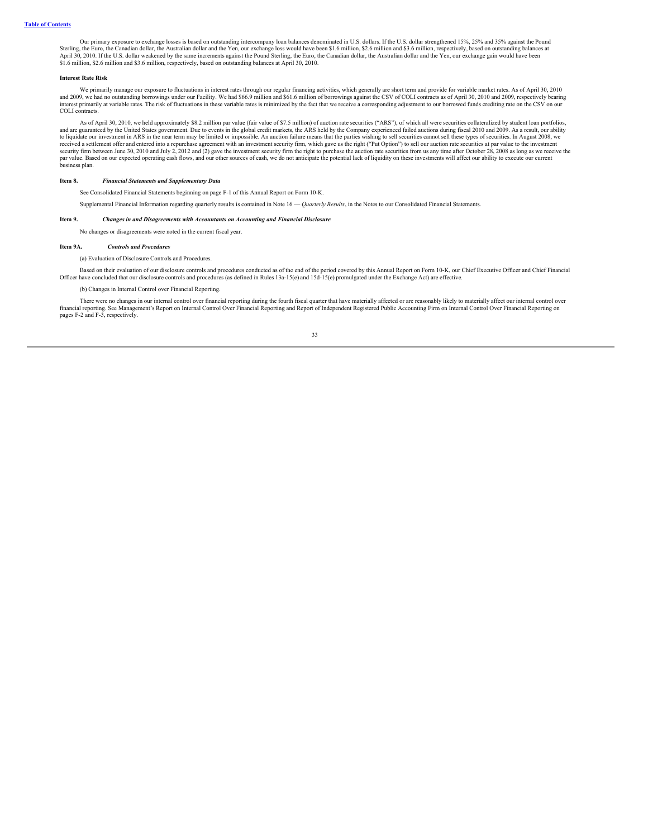Our primary exposure to exchange losses is based on outstanding intercompany loan balances denominated in U.S. dollars. If the U.S. dollar strengthened 15%, 25% and 35% against the Pound Sterling, the Euro, the Canadian dollar, the Australian dollar and the Yen, our exchange loss would have been \$1.6 million, \$2.6 million and \$3.6 million, respectively, based on outstanding balances at April 30, 2010. If the U.S. dollar weakened by the same increments against the Pound Sterling, the Euro, the Canadian dollar, the Australian dollar and the Yen, our exchange gain would have been \$1.6 million, \$2.6 million and \$3.6 million, respectively, based on outstanding balances at April 30, 2010.

## **Interest Rate Risk**

We primarily manage our exposure to fluctuations in interest rates through our regular financing activities, which generally are short term and provide for variable market rates. As of April 30, 2010 and 2009, we had no outstanding borrowings under our Facility. We had \$66.9 million and \$61.6 million of borrowings against the CSV of COLI contracts as of April 30, 2010 and 2009, respectively bearing<br>interest primarily a COLI contracts.

As of April 30, 2010, we held approximately \$8.2 million par value (fair value of \$7.5 million) of auction rate securities ("ARS"), of which all were securities collateralized by student loan portfolios, and are guaranteed by the United States government. Due to events in the global credit markets, the ARS held by the Company experienced failed auctions during fiscal 2010 and 2009. As a result, our ability<br>to liquidate our received a settlement offer and entered into a repurchase agreement with an investment security firm, which gave us the right ("Put Option") to sell our auction rate securities at par value to the investment<br>security firm par value. Based on our expected operating cash flows, and our other sources of cash, we do not anticipate the potential lack of liquidity on these investments will affect our ability to execute our current business plan.

# **Item 8.** *Financial Statements and Supplementary Data*

<span id="page-34-0"></span>See Consolidated Financial Statements beginning on page F-1 of this Annual Report on Form 10-K.

Supplemental Financial Information regarding quarterly results is contained in Note 16 — *Quarterly Results*, in the Notes to our Consolidated Financial Statements.

## **Item 9.** *Changes in and Disagreements with Accountants on Accounting and Financial Disclosure*

<span id="page-34-2"></span><span id="page-34-1"></span>No changes or disagreements were noted in the current fiscal year.

## **Item 9A.** *Controls and Procedures*

(a) Evaluation of Disclosure Controls and Procedures.

Based on their evaluation of our disclosure controls and procedures conducted as of the end of the period covered by this Annual Report on Form 10-K, our Chief Executive Officer and Chief Financial<br>Officer have concluded t

## (b) Changes in Internal Control over Financial Reporting.

There were no changes in our internal control over financial reporting during the fourth fiscal quarter that have materially affected or are reasonably likely to materially affect our internal control over financial report pages F-2 and F-3, respectively.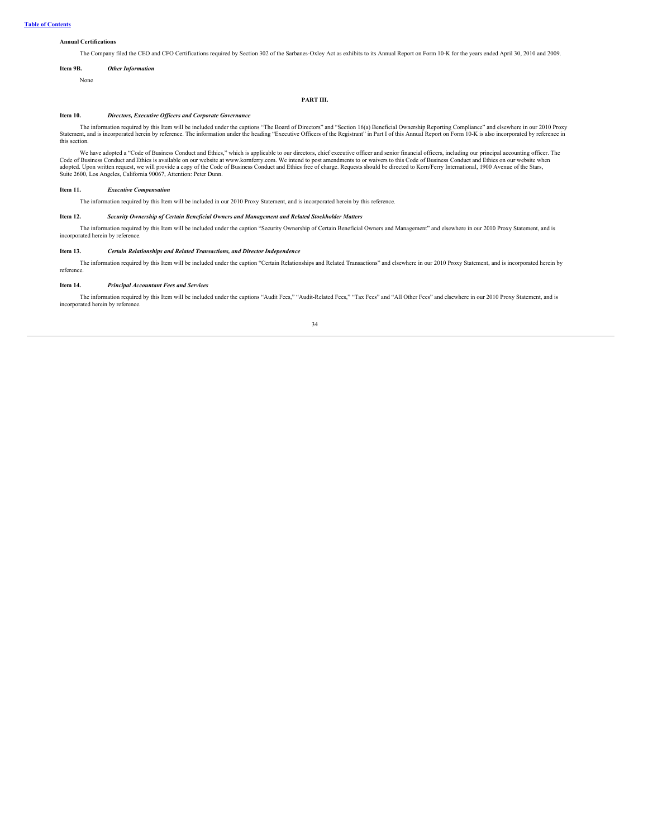# **Annual Certifications**

<span id="page-35-0"></span>The Company filed the CEO and CFO Certifications required by Section 302 of the Sarbanes-Oxley Act as exhibits to its Annual Report on Form 10-K for the years ended April 30, 2010 and 2009.

# **Item 9B.** *Other Information*

None

## **PART III.**

# <span id="page-35-1"></span>**Item 10.** *Directors, Executive Of icers and Corporate Governance*

The information required by this Item will be included under the captions "The Board of Directors" and "Section 16(a) Beneficial Ownership Reporting Compliance" and elsewhere in our 2010 Proxy Statement, and is incorporate this section.

We have adopted a "Code of Business Conduct and Ethics," which is applicable to our directors, chief executive officer and senior financial officers, including our principal accounting officer. The Code of Business Conduct adopted. Upon written request, we will provide a copy of the Code of Business Conduct and Ethics free of charge. Requests should be directed to Korn/Ferry International, 1900 Avenue of the Stars,<br>Suite 2600, Los Angeles, C

# **Item 11.** *Executive Compensation*

<span id="page-35-3"></span><span id="page-35-2"></span>The information required by this Item will be included in our 2010 Proxy Statement, and is incorporated herein by this reference.

## **Item 12.** *Security Ownership of Certain Beneficial Owners and Management and Related Stockholder Matters*

The information required by this Item will be included under the caption "Security Ownership of Certain Beneficial Owners and Management" and elsewhere in our 2010 Proxy Statement, and is incorporated herein by reference.

# <span id="page-35-4"></span>**Item 13.** *Certain Relationships and Related Transactions, and Director Independence*

The information required by this Item will be included under the caption "Certain Relationships and Related Transactions" and elsewhere in our 2010 Proxy Statement, and is incorporated herein by reference.

# <span id="page-35-5"></span>**Item 14.** *Principal Accountant Fees and Services*

The information required by this Item will be included under the captions "Audit Fees," "Audit-Related Fees," "Tax Fees" and "All Other Fees" and elsewhere in our 2010 Proxy Statement, and is incorporated herein by reference.

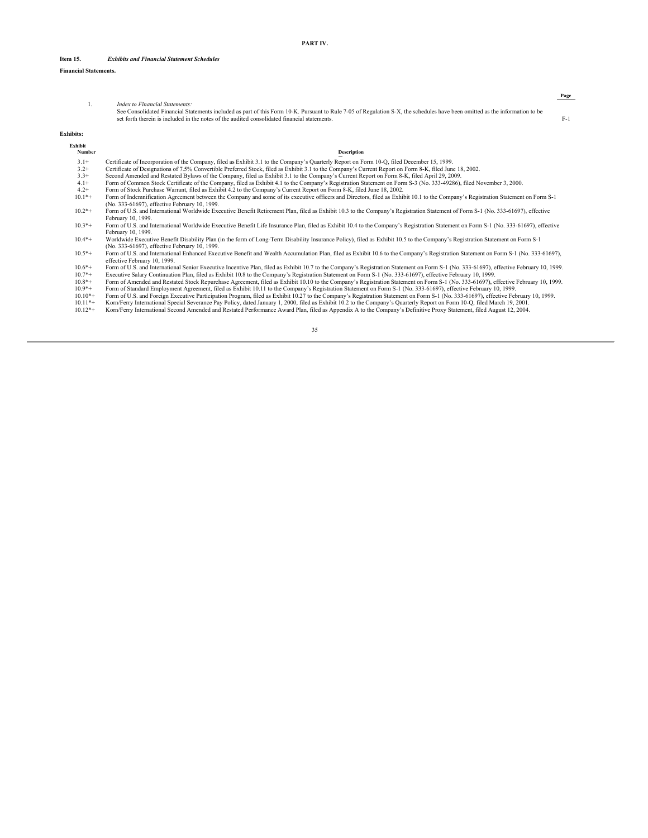# **Item 15.** *Exhibits and Financial Statement Schedules*

# **Financial Statements.**

*Index to Financial Statements:*<br>See Consolidated Financial Statements included as part of this Form 10-K. Pursuant to Rule 7-05 of Regulation S-X, the schedules have been omitted as the information to be<br>set forth therein

**PART IV.**

**Page**

| <b>Exhibits:</b>  |                                                                                                                                                                                                                                |
|-------------------|--------------------------------------------------------------------------------------------------------------------------------------------------------------------------------------------------------------------------------|
| Exhibit<br>Number | Description                                                                                                                                                                                                                    |
| $3.1+$            | Certificate of Incorporation of the Company, filed as Exhibit 3.1 to the Company's Quarterly Report on Form 10-Q, filed December 15, 1999.                                                                                     |
| $3.2+$            | Certificate of Designations of 7.5% Convertible Preferred Stock, filed as Exhibit 3.1 to the Company's Current Report on Form 8-K, filed June 18, 2002.                                                                        |
| $3.3+$            | Second Amended and Restated Bylaws of the Company, filed as Exhibit 3.1 to the Company's Current Report on Form 8-K, filed April 29, 2009.                                                                                     |
| $4.1+$            | Form of Common Stock Certificate of the Company, filed as Exhibit 4.1 to the Company's Registration Statement on Form S-3 (No. 333-49286), filed November 3, 2000.                                                             |
| $4.2+$            | Form of Stock Purchase Warrant, filed as Exhibit 4.2 to the Company's Current Report on Form 8-K, filed June 18, 2002.                                                                                                         |
| $10.1*+$          | Form of Indemnification Agreement between the Company and some of its executive officers and Directors, filed as Exhibit 10.1 to the Company's Registration Statement on Form S-1                                              |
|                   | (No. 333-61697), effective February 10, 1999.                                                                                                                                                                                  |
| $10.2*+$          | Form of U.S. and International Worldwide Executive Benefit Retirement Plan, filed as Exhibit 10.3 to the Company's Registration Statement of Form S-1 (No. 333-61697), effective                                               |
|                   | February 10, 1999.                                                                                                                                                                                                             |
| $10.3*+$          | Form of U.S. and International Worldwide Executive Benefit Life Insurance Plan, filed as Exhibit 10.4 to the Company's Registration Statement on Form S-1 (No. 333-61697), effective                                           |
|                   | February 10, 1999.                                                                                                                                                                                                             |
| $10.4*+$          | Worldwide Executive Benefit Disability Plan (in the form of Long-Term Disability Insurance Policy), filed as Exhibit 10.5 to the Company's Registration Statement on Form S-1<br>(No. 333-61697), effective February 10, 1999. |
| $10.5*+$          | Form of U.S. and International Enhanced Executive Benefit and Wealth Accumulation Plan, filed as Exhibit 10.6 to the Company's Registration Statement on Form S-1 (No. 333-61697),<br>effective February 10, 1999.             |
| $10.6*+$          | Form of U.S. and International Senior Executive Incentive Plan, filed as Exhibit 10.7 to the Company's Registration Statement on Form S-1 (No. 333-61697), effective February 10, 1999.                                        |
| $10.7*+$          | Executive Salary Continuation Plan, filed as Exhibit 10.8 to the Company's Registration Statement on Form S-1 (No. 333-61697), effective February 10, 1999.                                                                    |
| $10.8*+$          | Form of Amended and Restated Stock Repurchase Agreement, filed as Exhibit 10.10 to the Company's Registration Statement on Form S-1 (No. 333-61697), effective February 10, 1999.                                              |
| $10.9*+$          | Form of Standard Employment Agreement, filed as Exhibit 10.11 to the Company's Registration Statement on Form S-1 (No. 333-61697), effective February 10, 1999.                                                                |
| $10.10*+$         | Form of U.S. and Foreign Executive Participation Program, filed as Exhibit 10.27 to the Company's Registration Statement on Form S-1 (No. 333-61697), effective February 10, 1999.                                             |
| $10.11*+$         | Korn/Ferry International Special Severance Pay Policy, dated January 1, 2000, filed as Exhibit 10.2 to the Company's Quarterly Report on Form 10-Q, filed March 19, 2001.                                                      |
| $10.12*+$         | Korn/Ferry International Second Amended and Restated Performance Award Plan, filed as Appendix A to the Company's Definitive Proxy Statement, filed August 12, 2004.                                                           |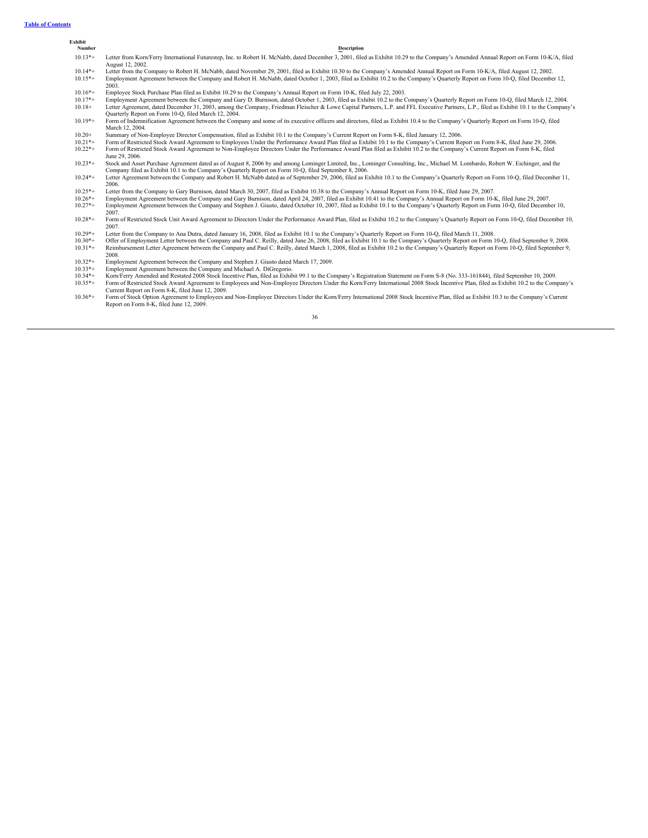**Exhibit**

| Number    | <b>Description</b>                                                                                                                                                                                                                                                                        |
|-----------|-------------------------------------------------------------------------------------------------------------------------------------------------------------------------------------------------------------------------------------------------------------------------------------------|
| $10.13*+$ | Letter from Korn/Ferry International Futurestep, Inc. to Robert H. McNabb, dated December 3, 2001, filed as Exhibit 10.29 to the Company's Amended Annual Report on Form 10-K/A, filed<br>August 12, 2002.                                                                                |
| $10.14*+$ | Letter from the Company to Robert H. McNabb, dated November 29, 2001, filed as Exhibit 10.30 to the Company's Amended Annual Report on Form 10-K/A, filed August 12, 2002.                                                                                                                |
| $10.15*+$ | Employment Agreement between the Company and Robert H. McNabb, dated October 1, 2003, filed as Exhibit 10.2 to the Company's Quarterly Report on Form 10-Q, filed December 12,<br>2003.                                                                                                   |
| $10.16*+$ | Employee Stock Purchase Plan filed as Exhibit 10.29 to the Company's Annual Report on Form 10-K, filed July 22, 2003.                                                                                                                                                                     |
| $10.17*+$ | Employment Agreement between the Company and Gary D. Burnison, dated October 1, 2003, filed as Exhibit 10.2 to the Company's Quarterly Report on Form 10-Q, filed March 12, 2004.                                                                                                         |
| $10.18+$  | Letter Agreement, dated December 31, 2003, among the Company, Friedman Fleischer & Lowe Capital Partners, L.P. and FFL Executive Partners, L.P., filed as Exhibit 10.1 to the Company's<br>Quarterly Report on Form 10-Q, filed March 12, 2004.                                           |
| $10.19*+$ | Form of Indemnification Agreement between the Company and some of its executive officers and directors, filed as Exhibit 10.4 to the Company's Quarterly Report on Form 10-Q, filed<br>March 12, 2004.                                                                                    |
| $10.20+$  | Summary of Non-Employee Director Compensation, filed as Exhibit 10.1 to the Company's Current Report on Form 8-K, filed January 12, 2006.                                                                                                                                                 |
| $10.21*+$ | Form of Restricted Stock Award Agreement to Employees Under the Performance Award Plan filed as Exhibit 10.1 to the Company's Current Report on Form 8-K, filed June 29, 2006.                                                                                                            |
| $10.22*+$ | Form of Restricted Stock Award Agreement to Non-Employee Directors Under the Performance Award Plan filed as Exhibit 10.2 to the Company's Current Report on Form 8-K, filed<br>June 29, 2006.                                                                                            |
| $10.23*+$ | Stock and Asset Purchase Agreement dated as of August 8, 2006 by and among Lominger Limited, Inc., Lominger Consulting, Inc., Michael M. Lombardo, Robert W. Eichinger, and the<br>Company filed as Exhibit 10.1 to the Company's Quarterly Report on Form 10-Q, filed September 8, 2006. |
| $10.24*+$ | Letter Agreement between the Company and Robert H. McNabb dated as of September 29, 2006, filed as Exhibit 10.1 to the Company's Quarterly Report on Form 10-Q, filed December 11,<br>2006.                                                                                               |
| $10.25*+$ | Letter from the Company to Gary Burnison, dated March 30, 2007, filed as Exhibit 10.38 to the Company's Annual Report on Form 10-K, filed June 29, 2007.                                                                                                                                  |
| $10.26*+$ | Employment Agreement between the Company and Gary Burnison, dated April 24, 2007, filed as Exhibit 10.41 to the Company's Annual Report on Form 10-K, filed June 29, 2007.                                                                                                                |
| $10.27*+$ | Employment Agreement between the Company and Stephen J. Giusto, dated October 10, 2007, filed as Exhibit 10.1 to the Company's Quarterly Report on Form 10-Q, filed December 10,<br>2007.                                                                                                 |
| $10.28*+$ | Form of Restricted Stock Unit Award Agreement to Directors Under the Performance Award Plan, filed as Exhibit 10.2 to the Company's Quarterly Report on Form 10-Q, filed December 10,<br>2007.                                                                                            |
| $10.29*+$ | Letter from the Company to Ana Dutra, dated January 16, 2008, filed as Exhibit 10.1 to the Company's Quarterly Report on Form 10-Q, filed March 11, 2008.                                                                                                                                 |
| $10.30*+$ | Offer of Employment Letter between the Company and Paul C. Reilly, dated June 26, 2008, filed as Exhibit 10.1 to the Company's Quarterly Report on Form 10-Q, filed September 9, 2008.                                                                                                    |
| $10.31*+$ | Reimbursement Letter Agreement between the Company and Paul C. Reilly, dated March 1, 2008, filed as Exhibit 10.2 to the Company's Quarterly Report on Form 10-Q, filed September 9,<br>2008.                                                                                             |
| $10.32*+$ | Employment Agreement between the Company and Stephen J. Giusto dated March 17, 2009.                                                                                                                                                                                                      |
| $10.33*+$ | Employment Agreement between the Company and Michael A. DiGregorio.                                                                                                                                                                                                                       |
| $10.34*+$ | Korn/Ferry Amended and Restated 2008 Stock Incentive Plan, filed as Exhibit 99.1 to the Company's Registration Statement on Form S-8 (No. 333-161844), filed September 10, 2009.                                                                                                          |
| $10.35*+$ | Form of Restricted Stock Award Agreement to Employees and Non-Employee Directors Under the Korn/Ferry International 2008 Stock Incentive Plan, filed as Exhibit 10.2 to the Company's<br>Current Report on Form 8-K, filed June 12, 2009.                                                 |
| $10.36*+$ | Form of Stock Option Agreement to Employees and Non-Employee Directors Under the Korn/Ferry International 2008 Stock Incentive Plan, filed as Exhibit 10.3 to the Company's Current<br>Report on Form 8-K, filed June 12, 2009.                                                           |

36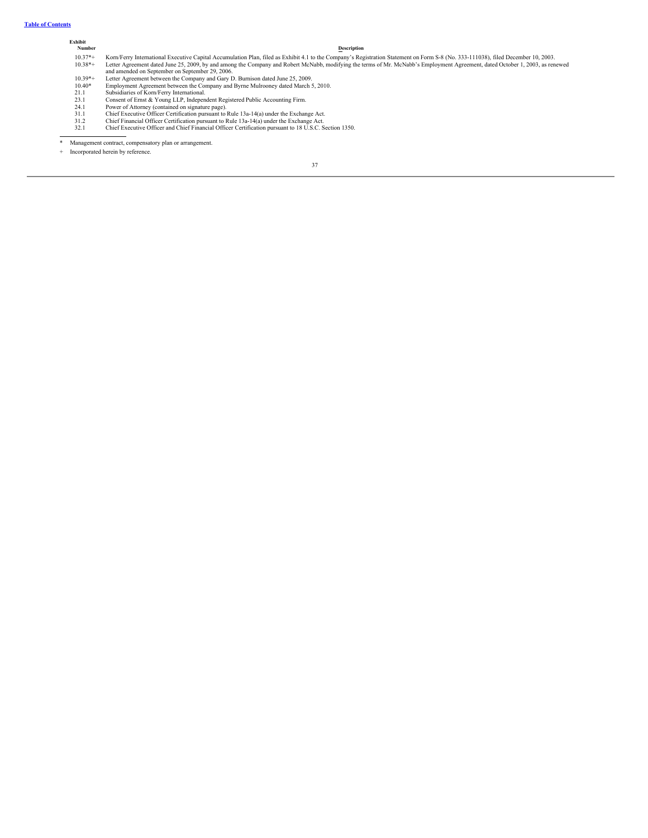# **Table of [Contents](#page-1-0)**

# **Exhibit Number Description** 10.37\*+ Kom/Ferry International Executive Capital Accumulation Plan, filed as Exhibit 4.1 to the Company's Registration Statement on Form S-8 (No. 333-111038), filed December 10, 2003.<br>10.38\*+ Letter Agreement dated June 2 10.40\* Employment Agreement between the Company and Byrne Mulrooney dated March 5, 2010.<br>21.1 Subsidiaries of Korn/Ferry International.<br>23.1 Consent of Emst & Young LLP, Independent Registered Public Accounting Firm.<br>24.1

\* Management contract, compensatory plan or arrangement.

+ Incorporated herein by reference.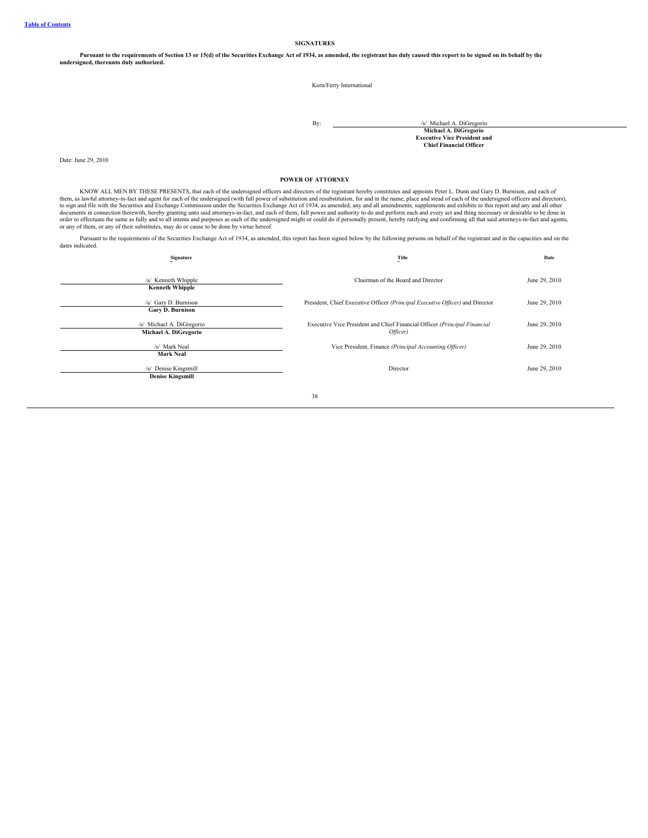**SIGNATURES**

Pursuant to the requirements of Section 13 or 15(d) of the Securities Exchange Act of 1934, as amended, the registrant has duly caused this report to be signed on its behalf by the<br>undersigned, thereunto duly authorized.

Korn/Ferry International

By:  $\frac{1}{s}$  Michael A. DiGregorio **Michael A. DiGregorio Executive Vice President and Chief Financial Officer**

Date: June 29, 2010

### **POWER OF ATTORNEY**

KNOW ALL MEN BY THESE PRESENTS, that each of the undersigned officers and directors of the registrant hereby constitutes and appoints Peter L. Dunn and Gary D. Burnison, and each of<br>them, as law will attomey-in-fact and ag

Pursuant to the requirements of the Securities Exchange Act of 1934, as amended, this report has been signed below by the following persons on behalf of the registrant and in the capacities and on the dates indicated.

| Signature                                          | Title                                                                                 | Date          |
|----------------------------------------------------|---------------------------------------------------------------------------------------|---------------|
| /s/ Kenneth Whipple<br><b>Kenneth Whipple</b>      | Chairman of the Board and Director                                                    | June 29, 2010 |
| /s/ Gary D. Burnison<br><b>Gary D. Burnison</b>    | President, Chief Executive Officer (Principal Executive Officer) and Director         | June 29, 2010 |
| /s/ Michael A. DiGregorio<br>Michael A. DiGregorio | Executive Vice President and Chief Financial Officer (Principal Financial<br>Officer) | June 29, 2010 |
| /s/ Mark Neal<br><b>Mark Neal</b>                  | Vice President, Finance (Principal Accounting Officer)                                | June 29, 2010 |
| /s/ Denise Kingsmill<br><b>Denise Kingsmill</b>    | Director                                                                              | June 29, 2010 |
|                                                    | 38                                                                                    |               |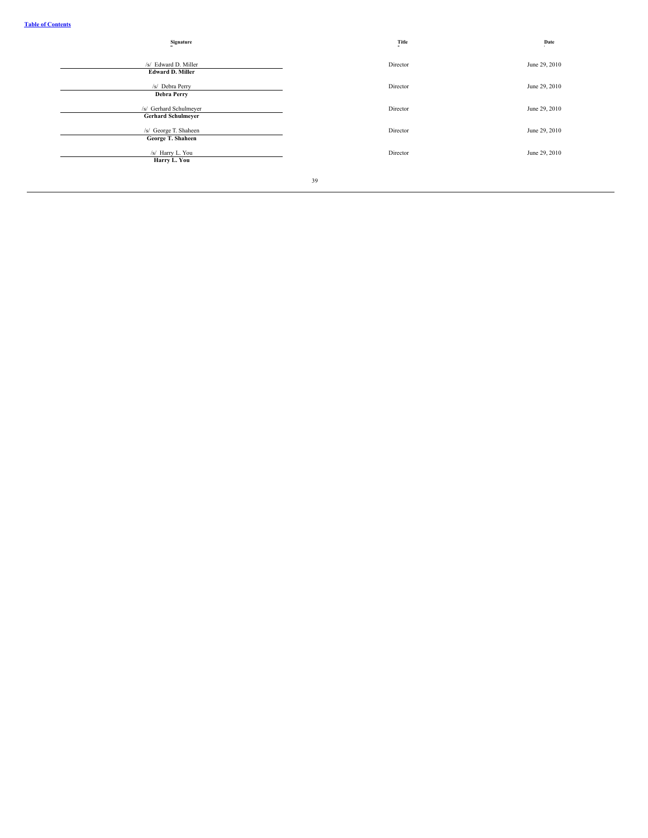| Title    | Date          |
|----------|---------------|
| Director | June 29, 2010 |
| Director | June 29, 2010 |
| Director | June 29, 2010 |
| Director | June 29, 2010 |
| Director | June 29, 2010 |
|          |               |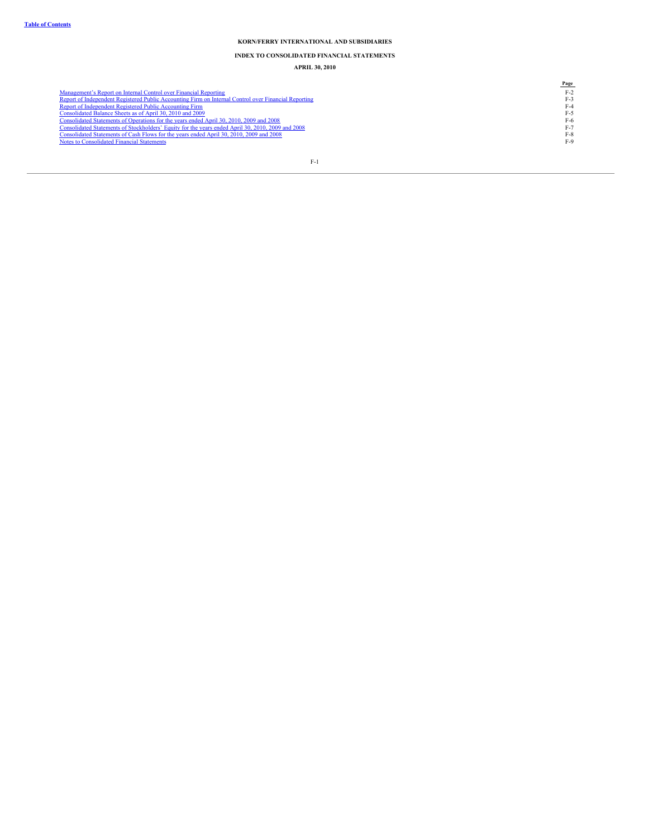# **INDEX TO CONSOLIDATED FINANCIAL STATEMENTS**

**APRIL 30, 2010**

|                                                                                                      | Page  |
|------------------------------------------------------------------------------------------------------|-------|
| Management's Report on Internal Control over Financial Reporting                                     | $F-2$ |
| Report of Independent Registered Public Accounting Firm on Internal Control over Financial Reporting | F-3   |
| Report of Independent Registered Public Accounting Firm                                              | F-4   |
| Consolidated Balance Sheets as of April 30, 2010 and 2009                                            | F-5   |
| Consolidated Statements of Operations for the years ended April 30, 2010, 2009 and 2008              | F-6   |
| Consolidated Statements of Stockholders' Equity for the years ended April 30, 2010, 2009 and 2008    | F-7   |
| Consolidated Statements of Cash Flows for the years ended April 30, 2010, 2009 and 2008              | $F-8$ |
| Notes to Consolidated Financial Statements                                                           | $F-9$ |
|                                                                                                      |       |
|                                                                                                      |       |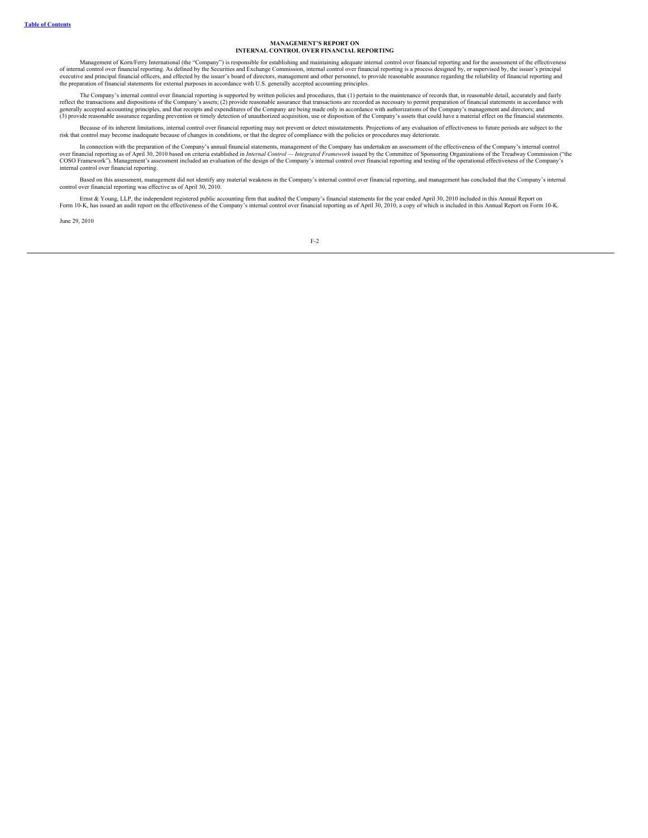#### **MANAGEMENT'S REPORT ON INTERNAL CONTROL OVER FINANCIAL REPORTING**

Management of Korn/Ferry International (the "Company") is responsible for establishing and maintaining adequate internal control over financial reporting and for the assessment of the effectiveness of internal control over financial reporting. As defined by the Securities and Exchange Commission, internal control over financial reporting is a process designed by, or supervised by, the issuer's principal executive and principal financial officers, and effected by the issuer's board of directors, management and other personnel, to provide reasonable assurance regarding the reliability of financial reporting and the preparation of financial statements for external purposes in accordance with U.S. generally accepted accounting principles.

The Company's internal control over financial reporting is supported by written policies and procedures, that (1) pertain to the maintenance of records that, in reasonable detail, accurately and fairly reflect the transactions and dispositions of the Company's assets; (2) provide reasonable assurance that transactions are recorded as necessary to permit preparation of financial statements in accordance with<br>generally acc (3) provide reasonable assurance regarding prevention or timely detection of unauthorized acquisition, use or disposition of the Company's assets that could have a material effect on the financial statements.

Because of its inherent limitations, internal control over financial reporting may not prevent or detect misstatements. Projections of any evaluation of effectiveness to future periods are subject to the risk that control may become inadequate because of changes in conditions, or that the degree of compliance with the policies or procedures may deteriorate.

In connection with the preparation of the Company's annual financial statements, management of the Company has undertaken an assessment of the effectiveness of the Company's internal control "<br>over financial reporting as o internal control over financial reporting.

Based on this assessment, management did not identify any material weakness in the Company's internal control over financial reporting, and management has concluded that the Company's internal control over financial reporting was effective as of April 30, 2010.

Ernst & Young, LLP, the independent registered public accounting firm that audited the Company's financial statements for the year ended April 30, 2010 included in this Annual Report on Form 10-K, has issued an audit report on the effectiveness of the Company's internal control over financial reporting as of April 30, 2010, a copy of which is included in this Annual Report on Form 10-K.

June 29, 2010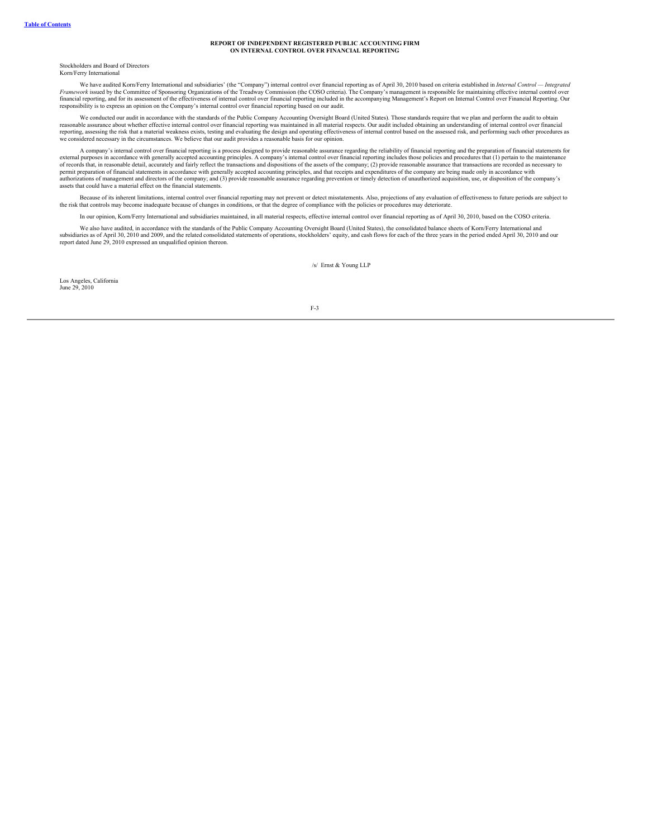#### **REPORT OF INDEPENDENT REGISTERED PUBLIC ACCOUNTING FIRM ON INTERNAL CONTROL OVER FINANCIAL REPORTING**

Stockholders and Board of Directors Korn/Ferry International

We have audited Korn/Ferry International and subsidiaries' (the "Company") internal control over financial reporting as of April 30, 2010 based on criteria established in *Internal Control — Integrated*<br>Framework issued by responsibility is to express an opinion on the Company's internal control over financial reporting based on our audit.

We conducted our audit in accordance with the standards of the Public Company Accounting Oversight Board (United States). Those standards require that we plan and perform the audit to obtain reasonable assurance about whether effective internal control over financial reporting was maintained in all material respects. Our audit included obtaining an understanding of internal control over financial<br>reporting, as we considered necessary in the circumstances. We believe that our audit provides a reasonable basis for our opinion.

A company's internal control over financial reporting is a process designed to provide reasonable assurance regarding the reliability of financial reporting and the preparation of financial statements for external purposes permit preparation of financial statements in accordance with generally accepted accounting principles, and that receipts and expenditures of the company are being made only in accordance with<br>authorizations of management assets that could have a material effect on the financial statements.

Because of its inherent limitations, internal control over financial reporting may not prevent or detect misstatements. Also, projections of any evaluation of effectiveness to future periods are subject to the risk that controls may become inadequate because of changes in conditions, or that the degree of compliance with the policies or procedures may deteriorate.

In our opinion, Korn/Ferry International and subsidiaries maintained, in all material respects, effective internal control over financial reporting as of April 30, 2010, based on the COSO criteria.

We also have audited, in accordance with the standards of the Public Company Accounting Oversight Board (United States), the consolidated balance sheets of Korn/Ferry International and<br>subsidiaries as of April 30, 2010 and report dated June 29, 2010 expressed an unqualified opinion thereon.

/s/ Ernst & Young LLP

Los Angeles, California June 29, 2010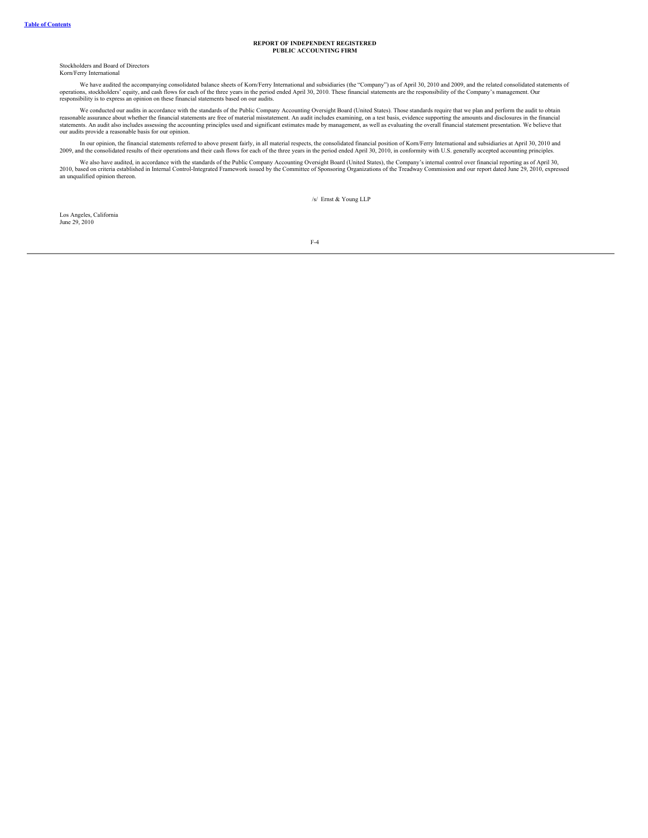#### **REPORT OF INDEPENDENT REGISTERED PUBLIC ACCOUNTING FIRM**

Stockholders and Board of Directors Korn/Ferry International

We have audited the accompanying consolidated balance sheets of Korn/Ferry International and subsidiaries (the "Company") as of April 30, 2010 and 2009, and the related consolidated statements of operations, stockholders'

We conducted our audits in accordance with the standards of the Public Company Accounting Oversight Board (United States). Those standards require that we plan and perform the audit to obtain reasonable assurance about whe

In our opinion, the financial statements referred to above present fairly, in all material respects, the consolidated financial position of Korn/Ferry International and subsidiaries at April 30, 2010 and<br>2009, and the cons

We also have audited, in accordance with the standards of the Public Company Accounting Oversight Board (United States), the Company's internal control over financial reporting as of April 30,<br>2010, based on criteria estab

/s/ Ernst & Young LLP

Los Angeles, California June 29, 2010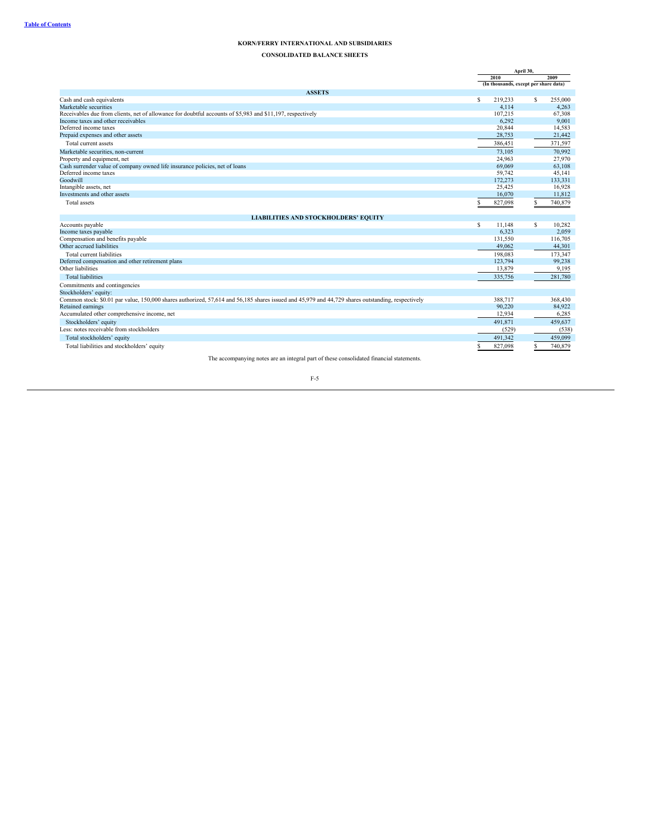**CONSOLIDATED BALANCE SHEETS**

|                                                                                                                                                   | April 30, |                                       |   |         |  |
|---------------------------------------------------------------------------------------------------------------------------------------------------|-----------|---------------------------------------|---|---------|--|
|                                                                                                                                                   |           | 2010                                  |   | 2009    |  |
|                                                                                                                                                   |           | (In thousands, except per share data) |   |         |  |
| <b>ASSETS</b>                                                                                                                                     |           |                                       |   |         |  |
| Cash and cash equivalents                                                                                                                         | S         | 219,233                               | s | 255,000 |  |
| Marketable securities                                                                                                                             |           | 4,114                                 |   | 4.263   |  |
| Receivables due from clients, net of allowance for doubtful accounts of \$5,983 and \$11,197, respectively                                        |           | 107.215                               |   | 67,308  |  |
| Income taxes and other receivables                                                                                                                |           | 6,292                                 |   | 9.001   |  |
| Deferred income taxes                                                                                                                             |           | 20,844                                |   | 14,583  |  |
| Prepaid expenses and other assets                                                                                                                 |           | 28,753                                |   | 21,442  |  |
| Total current assets                                                                                                                              |           | 386,451                               |   | 371,597 |  |
| Marketable securities, non-current                                                                                                                |           | 73.105                                |   | 70.992  |  |
| Property and equipment, net                                                                                                                       |           | 24.963                                |   | 27,970  |  |
| Cash surrender value of company owned life insurance policies, net of loans                                                                       |           | 69,069                                |   | 63,108  |  |
| Deferred income taxes                                                                                                                             |           | 59.742                                |   | 45.141  |  |
| Goodwill                                                                                                                                          |           | 172,273                               |   | 133,331 |  |
| Intangible assets, net                                                                                                                            |           | 25.425                                |   | 16,928  |  |
| Investments and other assets                                                                                                                      |           | 16,070                                |   | 11,812  |  |
| Total assets                                                                                                                                      |           | 827,098                               |   | 740,879 |  |
|                                                                                                                                                   |           |                                       |   |         |  |
| <b>LIABILITIES AND STOCKHOLDERS' EQUITY</b>                                                                                                       |           |                                       |   |         |  |
| Accounts payable                                                                                                                                  | s         | 11.148                                | s | 10,282  |  |
| Income taxes payable                                                                                                                              |           | 6.323                                 |   | 2,059   |  |
| Compensation and benefits payable                                                                                                                 |           | 131,550                               |   | 116,705 |  |
| Other accrued liabilities                                                                                                                         |           | 49,062                                |   | 44,301  |  |
| Total current liabilities                                                                                                                         |           | 198,083                               |   | 173,347 |  |
| Deferred compensation and other retirement plans                                                                                                  |           | 123,794                               |   | 99,238  |  |
| Other liabilities                                                                                                                                 |           | 13,879                                |   | 9,195   |  |
| <b>Total liabilities</b>                                                                                                                          |           | 335,756                               |   | 281,780 |  |
| Commitments and contingencies                                                                                                                     |           |                                       |   |         |  |
| Stockholders' equity:                                                                                                                             |           |                                       |   |         |  |
| Common stock: \$0.01 par value, 150,000 shares authorized, 57,614 and 56,185 shares issued and 45,979 and 44,729 shares outstanding, respectively |           | 388,717                               |   | 368,430 |  |
| Retained earnings                                                                                                                                 |           | 90,220                                |   | 84,922  |  |
| Accumulated other comprehensive income, net                                                                                                       |           | 12,934                                |   | 6,285   |  |
| Stockholders' equity                                                                                                                              |           | 491,871                               |   | 459,637 |  |
| Less: notes receivable from stockholders                                                                                                          |           | (529)                                 |   | (538)   |  |
| Total stockholders' equity                                                                                                                        |           | 491,342                               |   | 459,099 |  |
| Total liabilities and stockholders' equity                                                                                                        |           | 827,098                               | s | 740,879 |  |

The accompanying notes are an integral part of these consolidated financial statements.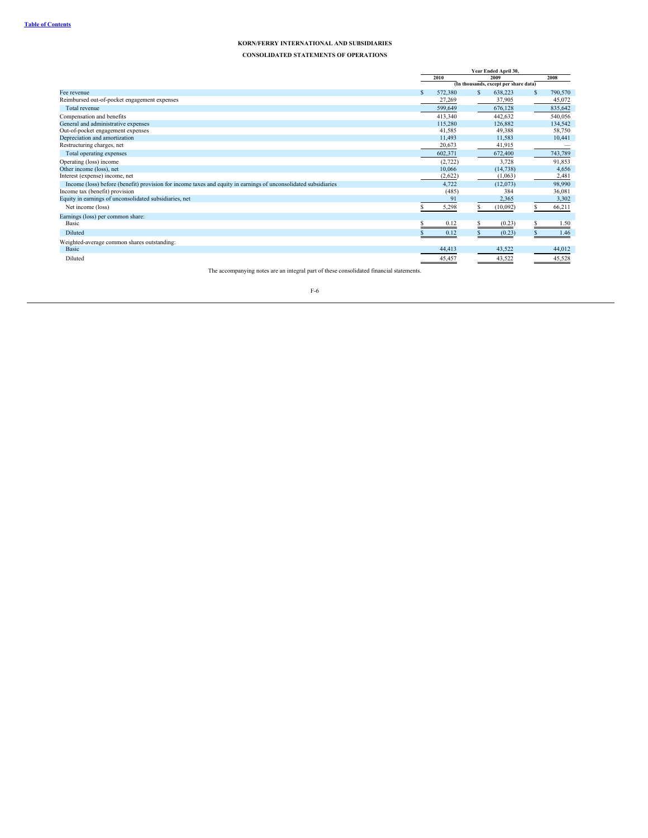**CONSOLIDATED STATEMENTS OF OPERATIONS**

|                                                                                                                 |               | Year Ended April 30, |   |                                       |   |         |  |
|-----------------------------------------------------------------------------------------------------------------|---------------|----------------------|---|---------------------------------------|---|---------|--|
|                                                                                                                 |               | 2010                 |   | 2009                                  |   | 2008    |  |
|                                                                                                                 |               |                      |   | (In thousands, except per share data) |   |         |  |
| Fee revenue                                                                                                     | <sup>\$</sup> | 572,380              | S | 638,223                               | S | 790,570 |  |
| Reimbursed out-of-pocket engagement expenses                                                                    |               | 27,269               |   | 37,905                                |   | 45,072  |  |
| Total revenue                                                                                                   |               | 599,649              |   | 676,128                               |   | 835,642 |  |
| Compensation and benefits                                                                                       |               | 413,340              |   | 442,632                               |   | 540,056 |  |
| General and administrative expenses                                                                             |               | 115,280              |   | 126,882                               |   | 134,542 |  |
| Out-of-pocket engagement expenses                                                                               |               | 41,585               |   | 49,388                                |   | 58,750  |  |
| Depreciation and amortization                                                                                   |               | 11.493               |   | 11,583                                |   | 10,441  |  |
| Restructuring charges, net                                                                                      |               | 20,673               |   | 41,915                                |   |         |  |
| Total operating expenses                                                                                        |               | 602,371              |   | 672,400                               |   | 743,789 |  |
| Operating (loss) income                                                                                         |               | (2,722)              |   | 3,728                                 |   | 91,853  |  |
| Other income (loss), net                                                                                        |               | 10,066               |   | (14, 738)                             |   | 4,656   |  |
| Interest (expense) income, net                                                                                  |               | (2,622)              |   | (1,063)                               |   | 2,481   |  |
| Income (loss) before (benefit) provision for income taxes and equity in earnings of unconsolidated subsidiaries |               | 4,722                |   | (12,073)                              |   | 98,990  |  |
| Income tax (benefit) provision                                                                                  |               | (485)                |   | 384                                   |   | 36,081  |  |
| Equity in earnings of unconsolidated subsidiaries, net                                                          |               | 91                   |   | 2,365                                 |   | 3,302   |  |
| Net income (loss)                                                                                               |               | 5,298                |   | (10,092)                              |   | 66,211  |  |
| Earnings (loss) per common share:                                                                               |               |                      |   |                                       |   |         |  |
| Basic                                                                                                           |               | 0.12                 |   | (0.23)                                |   | 1.50    |  |
| Diluted                                                                                                         |               | 0.12                 |   | (0.23)                                |   | 1.46    |  |
| Weighted-average common shares outstanding:                                                                     |               |                      |   |                                       |   |         |  |
| Basic                                                                                                           |               | 44,413               |   | 43,522                                |   | 44,012  |  |
| Diluted                                                                                                         |               | 45,457               |   | 43,522                                |   | 45,528  |  |

The accompanying notes are an integral part of these consolidated financial statements.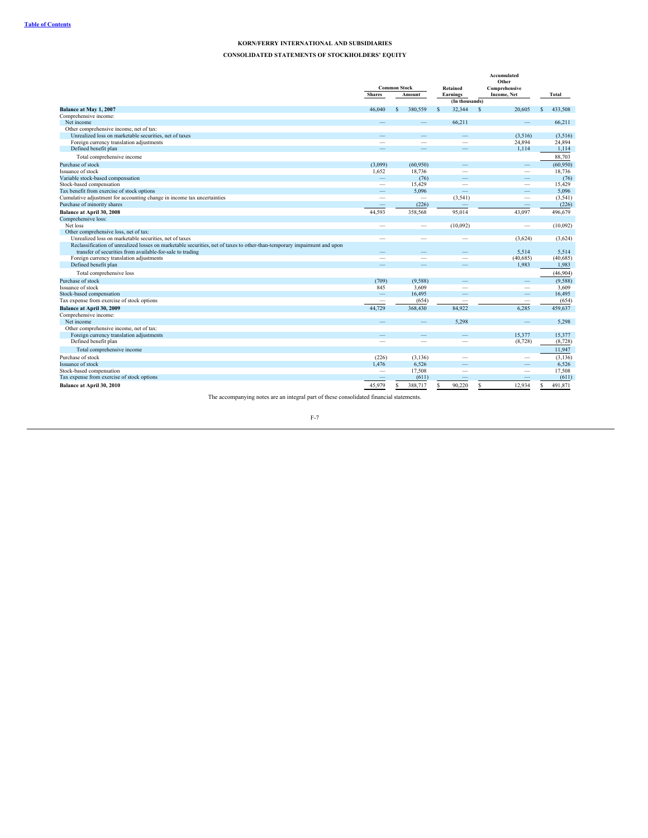# **CONSOLIDATED STATEMENTS OF STOCKHOLDERS' EQUITY**

|                                                                                                                          |                          |        |                          |   |                            |                    | Accumulated<br>Other            |    |           |
|--------------------------------------------------------------------------------------------------------------------------|--------------------------|--------|--------------------------|---|----------------------------|--------------------|---------------------------------|----|-----------|
|                                                                                                                          | <b>Common Stock</b>      |        |                          |   | Retained                   |                    | Comprehensive                   |    |           |
|                                                                                                                          | <b>Shares</b>            | Amount |                          |   | Earnings<br>(In thousands) | <b>Income, Net</b> |                                 |    | Total     |
| Balance at May 1, 2007                                                                                                   | 46,040                   | S      | 380,559                  | S | 32.344                     | S                  | 20,605                          | S. | 433.508   |
| Comprehensive income:                                                                                                    |                          |        |                          |   |                            |                    |                                 |    |           |
| Net income                                                                                                               |                          |        |                          |   | 66,211                     |                    | $\qquad \qquad$                 |    | 66,211    |
| Other comprehensive income, net of tax:                                                                                  |                          |        |                          |   |                            |                    |                                 |    |           |
| Unrealized loss on marketable securities, net of taxes                                                                   | -                        |        | $\overline{\phantom{a}}$ |   |                            |                    | (3,516)                         |    | (3,516)   |
| Foreign currency translation adjustments                                                                                 |                          |        |                          |   | -                          |                    | 24.894                          |    | 24,894    |
| Defined benefit plan                                                                                                     |                          |        |                          |   |                            |                    | 1,114                           |    | 1,114     |
| Total comprehensive income                                                                                               |                          |        |                          |   |                            |                    |                                 |    | 88,703    |
| Purchase of stock                                                                                                        | (3,099)                  |        | (60, 950)                |   |                            |                    |                                 |    | (60, 950) |
| Issuance of stock                                                                                                        | 1,652                    |        | 18,736                   |   | -                          |                    | $\hspace{0.1mm}-\hspace{0.1mm}$ |    | 18,736    |
| Variable stock-based compensation                                                                                        | $\qquad \qquad -$        |        | (76)                     |   |                            |                    | $\overline{\phantom{0}}$        |    | (76)      |
| Stock-based compensation                                                                                                 | $\equiv$                 |        | 15,429                   |   | $\overline{\phantom{m}}$   |                    | $\overline{\phantom{a}}$        |    | 15.429    |
| Tax benefit from exercise of stock options                                                                               |                          |        | 5,096                    |   |                            |                    |                                 |    | 5,096     |
| Cumulative adjustment for accounting change in income tax uncertainties                                                  |                          |        | $\overline{\phantom{0}}$ |   | (3,541)                    |                    |                                 |    | (3, 541)  |
| Purchase of minority shares                                                                                              | $\overline{\phantom{a}}$ |        | (226)                    |   |                            |                    |                                 |    | (226)     |
| Balance at April 30, 2008                                                                                                | 44,593                   |        | 358,568                  |   | 95,014                     |                    | 43,097                          |    | 496,679   |
| Comprehensive loss:                                                                                                      |                          |        |                          |   |                            |                    |                                 |    |           |
| Net loss                                                                                                                 | $\overline{\phantom{a}}$ |        | $\overline{\phantom{a}}$ |   | (10,092)                   |                    | $\overline{\phantom{a}}$        |    | (10,092)  |
| Other comprehensive loss, net of tax:                                                                                    |                          |        |                          |   |                            |                    |                                 |    |           |
| Unrealized loss on marketable securities, net of taxes                                                                   |                          |        |                          |   |                            |                    | (3,624)                         |    | (3,624)   |
| Reclassification of unrealized losses on marketable securities, net of taxes to other-than-temporary impairment and upon |                          |        |                          |   |                            |                    |                                 |    |           |
| transfer of securities from available-for-sale to trading                                                                |                          |        |                          |   |                            |                    | 5,514                           |    | 5,514     |
| Foreign currency translation adjustments                                                                                 |                          |        |                          |   |                            |                    | (40, 685)                       |    | (40, 685) |
| Defined benefit plan                                                                                                     |                          |        |                          |   |                            |                    | 1,983                           |    | 1,983     |
| Total comprehensive loss                                                                                                 |                          |        |                          |   |                            |                    |                                 |    | (46,904)  |
|                                                                                                                          |                          |        |                          |   |                            |                    |                                 |    |           |
| Purchase of stock                                                                                                        | (709)                    |        | (9, 588)                 |   |                            |                    | $\qquad \qquad - \qquad$        |    | (9,588)   |
| Issuance of stock                                                                                                        | 845                      |        | 3.609                    |   |                            |                    | $\sim$                          |    | 3.609     |
| Stock-based compensation                                                                                                 | $\overline{\phantom{a}}$ |        | 16.495                   |   |                            |                    |                                 |    | 16.495    |
| Tax expense from exercise of stock options                                                                               |                          |        | (654)                    |   |                            |                    |                                 |    | (654)     |
| Balance at April 30, 2009                                                                                                | 44,729                   |        | 368,430                  |   | 84,922                     |                    | 6.285                           |    | 459,637   |
| Comprehensive income:                                                                                                    |                          |        |                          |   |                            |                    |                                 |    |           |
| Net income                                                                                                               |                          |        |                          |   | 5,298                      |                    |                                 |    | 5,298     |
| Other comprehensive income, net of tax:                                                                                  |                          |        |                          |   |                            |                    |                                 |    |           |
| Foreign currency translation adjustments                                                                                 |                          |        |                          |   |                            |                    | 15,377                          |    | 15,377    |
| Defined benefit plan                                                                                                     |                          |        |                          |   |                            |                    | (8,728)                         |    | (8, 728)  |
| Total comprehensive income                                                                                               |                          |        |                          |   |                            |                    |                                 |    | 11,947    |
| Purchase of stock                                                                                                        | (226)                    |        | (3, 136)                 |   |                            |                    | $\overline{\phantom{0}}$        |    | (3, 136)  |
| Issuance of stock                                                                                                        | 1,476                    |        | 6,526                    |   |                            |                    |                                 |    | 6,526     |
| Stock-based compensation                                                                                                 | -                        |        | 17,508                   |   |                            |                    |                                 |    | 17,508    |
| Tax expense from exercise of stock options                                                                               |                          |        | (611)                    |   |                            |                    |                                 |    | (611)     |
| Balance at April 30, 2010                                                                                                | 45,979                   | \$.    | 388,717                  | S | 90.220                     | s                  | 12.934                          | S  | 491,871   |

The accompanying notes are an integral part of these consolidated financial statements.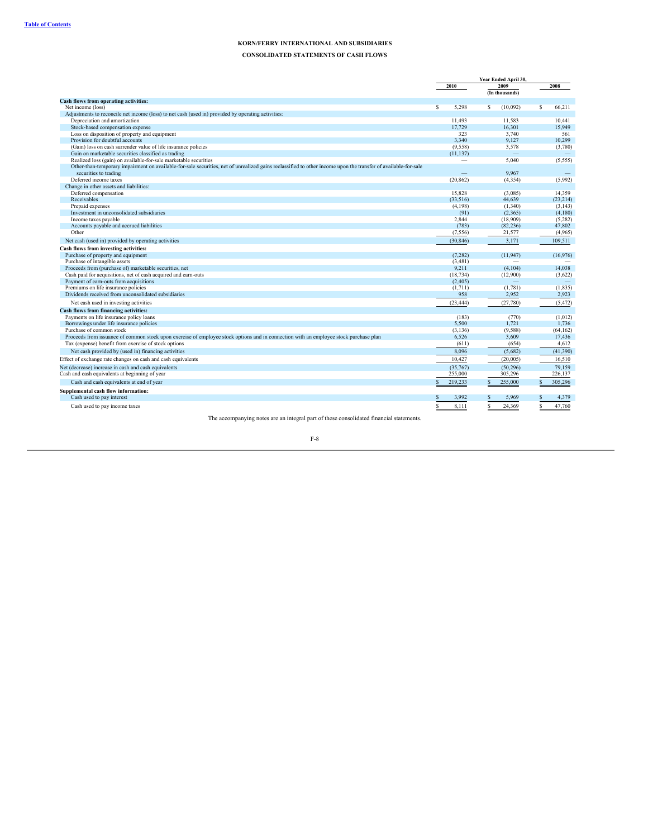**CONSOLIDATED STATEMENTS OF CASH FLOWS**

|                                                                                                                                                                                                                                    | Year Ended April 30, |                          |   |                |   |                 |
|------------------------------------------------------------------------------------------------------------------------------------------------------------------------------------------------------------------------------------|----------------------|--------------------------|---|----------------|---|-----------------|
|                                                                                                                                                                                                                                    |                      | 2010                     |   | 2009           |   | 2008            |
|                                                                                                                                                                                                                                    |                      |                          |   | (In thousands) |   |                 |
| Cash flows from operating activities:                                                                                                                                                                                              |                      |                          |   |                |   |                 |
| Net income (loss)                                                                                                                                                                                                                  | s.                   | 5.298                    | s | (10,092)       | s | 66,211          |
| Adjustments to reconcile net income (loss) to net cash (used in) provided by operating activities:                                                                                                                                 |                      |                          |   |                |   |                 |
| Depreciation and amortization                                                                                                                                                                                                      |                      | 11.493                   |   | 11.583         |   | 10.441          |
| Stock-based compensation expense                                                                                                                                                                                                   |                      | 17.729                   |   | 16.301         |   | 15.949          |
| Loss on disposition of property and equipment                                                                                                                                                                                      |                      | 323                      |   | 3,740          |   | 561             |
| Provision for doubtful accounts                                                                                                                                                                                                    |                      | 3,340                    |   | 9,127          |   | 10,299          |
| (Gain) loss on cash surrender value of life insurance policies                                                                                                                                                                     |                      | (9,558)                  |   | 3.578          |   | (3,780)         |
| Gain on marketable securities classified as trading                                                                                                                                                                                |                      | (11, 137)                |   |                |   |                 |
| Realized loss (gain) on available-for-sale marketable securities<br>Other-than-temporary impairment on available-for-sale securities, net of unrealized gains reclassified to other income upon the transfer of available-for-sale |                      | $\overline{\phantom{m}}$ |   | 5.040          |   | (5, 555)        |
| securities to trading                                                                                                                                                                                                              |                      |                          |   |                |   |                 |
| Deferred income taxes                                                                                                                                                                                                              |                      |                          |   | 9,967          |   | (5,992)         |
| Change in other assets and liabilities:                                                                                                                                                                                            |                      | (20, 862)                |   | (4,354)        |   |                 |
| Deferred compensation                                                                                                                                                                                                              |                      | 15.828                   |   | (3,085)        |   | 14.359          |
| Receivables                                                                                                                                                                                                                        |                      | (33.516)                 |   | 44.639         |   | (23, 214)       |
| Prepaid expenses                                                                                                                                                                                                                   |                      | (4,198)                  |   | (1,340)        |   | (3, 143)        |
| Investment in unconsolidated subsidiaries                                                                                                                                                                                          |                      | (91)                     |   | (2,365)        |   | (4,180)         |
| Income taxes payable                                                                                                                                                                                                               |                      | 2.844                    |   | (18,909)       |   | (5,282)         |
| Accounts payable and accrued liabilities                                                                                                                                                                                           |                      | (783)                    |   | (82, 236)      |   | 47.802          |
| Other                                                                                                                                                                                                                              |                      | (7, 556)                 |   | 21,577         |   | (4,965)         |
| Net cash (used in) provided by operating activities                                                                                                                                                                                |                      | (30, 846)                |   | 3,171          |   | 109,511         |
|                                                                                                                                                                                                                                    |                      |                          |   |                |   |                 |
| Cash flows from investing activities:                                                                                                                                                                                              |                      |                          |   | (11.947)       |   |                 |
| Purchase of property and equipment<br>Purchase of intangible assets                                                                                                                                                                |                      | (7, 282)<br>(3,481)      |   |                |   | (16,976)        |
| Proceeds from (purchase of) marketable securities, net                                                                                                                                                                             |                      | 9.211                    |   | (4,104)        |   | 14.038          |
| Cash paid for acquisitions, net of cash acquired and earn-outs                                                                                                                                                                     |                      | (18, 734)                |   | (12,900)       |   | (3,622)         |
| Payment of earn-outs from acquisitions                                                                                                                                                                                             |                      | (2,405)                  |   |                |   |                 |
| Premiums on life insurance policies                                                                                                                                                                                                |                      | (1,711)                  |   | (1,781)        |   | (1, 835)        |
| Dividends received from unconsolidated subsidiaries                                                                                                                                                                                |                      | 958                      |   | 2,952          |   | 2,923           |
|                                                                                                                                                                                                                                    |                      | (23, 444)                |   | (27,780)       |   | (5, 472)        |
| Net cash used in investing activities                                                                                                                                                                                              |                      |                          |   |                |   |                 |
| <b>Cash flows from financing activities:</b>                                                                                                                                                                                       |                      |                          |   |                |   |                 |
| Payments on life insurance policy loans                                                                                                                                                                                            |                      | (183)                    |   | (770)          |   | (1,012)         |
| Borrowings under life insurance policies<br>Purchase of common stock                                                                                                                                                               |                      | 5.500                    |   | 1,721          |   | 1.736           |
|                                                                                                                                                                                                                                    |                      | (3, 136)                 |   | (9,588)        |   | (64, 162)       |
| Proceeds from issuance of common stock upon exercise of employee stock options and in connection with an employee stock purchase plan                                                                                              |                      | 6,526<br>(611)           |   | 3,609          |   | 17,436<br>4,612 |
| Tax (expense) benefit from exercise of stock options                                                                                                                                                                               |                      |                          |   | (654)          |   |                 |
| Net cash provided by (used in) financing activities                                                                                                                                                                                |                      | 8.096                    |   | (5,682)        |   | (41.390)        |
| Effect of exchange rate changes on cash and cash equivalents                                                                                                                                                                       |                      | 10.427                   |   | (20,005)       |   | 16,510          |
| Net (decrease) increase in cash and cash equivalents                                                                                                                                                                               |                      | (35,767)                 |   | (50, 296)      |   | 79.159          |
| Cash and cash equivalents at beginning of year                                                                                                                                                                                     |                      | 255,000                  |   | 305,296        |   | 226,137         |
| Cash and cash equivalents at end of year                                                                                                                                                                                           | $\mathbf{\hat{S}}$   | 219,233                  |   | 255,000        | S | 305,296         |
| Supplemental cash flow information:                                                                                                                                                                                                |                      |                          |   |                |   |                 |
| Cash used to pay interest                                                                                                                                                                                                          |                      | 3,992                    |   | 5,969          |   | 4,379           |
|                                                                                                                                                                                                                                    |                      |                          |   |                |   |                 |
| Cash used to pay income taxes                                                                                                                                                                                                      | S                    | 8,111                    |   | 24,369         |   | 47,760          |

The accompanying notes are an integral part of these consolidated financial statements.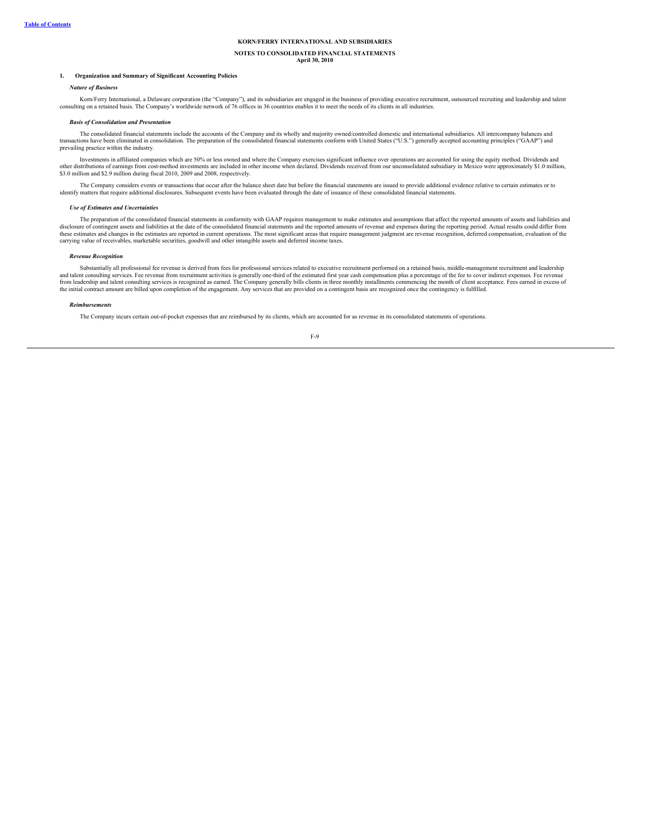# **NOTES TO CONSOLIDATED FINANCIAL STATEMENTS**

**April 30, 2010**

### **1. Organization and Summary of Significant Accounting Policies**

### *Nature of Business*

Korn/Ferry International, a Delaware corporation (the "Company"), and its subsidiaries are engaged in the business of providing executive recruitment, outsourced recruiting and leadership and talent consulting on a retaine

#### *Basis of Consolidation and Presentation*

The consolidated financial statements include the accounts of the Company and its wholly and majority owned/controlled domestic and international subsidiaries. All intercompany balances and transactions have been eliminated in consolidation. The preparation of the consolidated financial statements conform with United States ("U.S.") generally accepted accounting principles ("GAAP") and prevailing practice within the industry.

Investments in affiliated companies which are 50% or less owned and where the Company exercises significant influence over operations are accounted for using the equity method. Dividends and other distributions of earnings from cost-method investments are included in other income when declared. Dividends received from our unconsolidated subsidiary in Mexico were approximately \$1.0 million,<br>\$3.0 million and \$2.

The Company considers events or transactions that occur after the balance sheet date but before the financial statements are issued to provide additional evidence relative to certain estimates or to identify matters that require additional disclosures. Subsequent events have been evaluated through the date of issuance of these consolidated financial statements.

#### *Use of Estimates and Uncertainties*

The preparation of the consolidated financial statements in conformity with GAAP requires management to make estimates and assumptions that affect the reported amounts of assets and liabilities and disclosure of contingent assets and liabilities at the date of the consolidated financial statements and the reported amounts of revenue and expenses during the reporting period. Actual results could differ from one of con these estimates and changes in the estimates are reported in current operations. The most significant areas that require management judgment are revenue recognition, deferred compensation, evaluation of the<br>carrying value

#### *Revenue Recognition*

Substantially all professional fee revenue is derived from fees for professional services related to executive recruitment performed on a retained basis, middle-management recruitment and leadership and talent consulting services. Fee revenue from recruitment activities is generally one-third of the estimated first year cash compensation plus a percentage of the fee to cover indirect expenses. Fee revenue<br>from leaders the initial contract amount are billed upon completion of the engagement. Any services that are provided on a contingent basis are recognized once the contingency is fulfilled.

#### *Reimbursements*

The Company incurs certain out-of-pocket expenses that are reimbursed by its clients, which are accounted for as revenue in its consolidated statements of operations.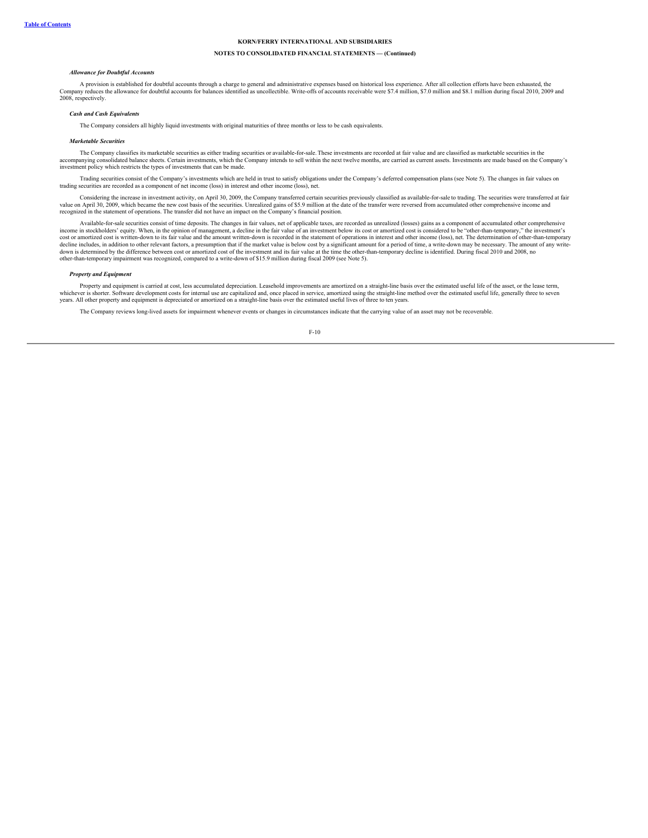# **NOTES TO CONSOLIDATED FINANCIAL STATEMENTS — (Continued)**

#### *Allowance for Doubtful Accounts*

A provision is established for doubtful accounts through a charge to general and administrative expenses based on historical loss experience. After all collection efforts have been exhausted, the Company reduces the allowance for doubtful accounts for balances identified as uncollectible. Write-offs of accounts receivable were \$7.4 million, \$7.0 million and \$8.1 million during fiscal 2010, 2009 and 2008, respectively.

#### *Cash and Cash Equivalents*

The Company considers all highly liquid investments with original maturities of three months or less to be cash equivalents.

#### *Marketable Securities*

The Company classifies its marketable securities as either trading securities or available-for-sale. These investments are recorded at fair value and are classified as marketable securities in the the Company is accompanyi investment policy which restricts the types of investments that can be made.

Trading securities consist of the Company's investments which are held in trust to satisfy obligations under the Company's deferred compensation plans (see Note 5). The changes in fair values on trading securities are recorded as a component of net income (loss) in interest and other income (loss), net.

Considering the increase in investment activity, on April 30, 2009, the Company transferred certain securities previously classified as available-for-sale to trading. The securities were transferred at fair value on April 30, 2009, which became the new cost basis of the securities. Unrealized gains of \$5.9 million at the date of the transfer were reversed from accumulated other comprehensive income and<br>recognized in the state

Available-for-sale securities consist of time deposits. The changes in fair values, net of applicable taxes, are recorded as unrealized (losses) gains as a component of accumulated other comprehensive income in stockholders' equity. When, in the opinion of management, a decline in the fair value of an investment below its cost or amortized cost is considered to be "other-than-temporary," the investment's<br>cost or amortiz decline includes, in addition to other relevant factors, a presumption that if the market value is below cost by a significant amount for a period of time, a write-down may be necessary. The amount of any write-<br>down is de other-than-temporary impairment was recognized, compared to a write-down of \$15.9 million during fiscal 2009 (see Note 5).

#### *Property and Equipment*

Property and equipment is carried at cost, less accumulated depreciation. Leasehold improvements are amortized on a straight-line basis over the estimated useful life of the asset, or the lease term, whichever is shorter. Software development costs for internal use are capitalized and, once placed in service, amortized using the straight-line method over the estimated useful life, generally three to seven years. All other property and equipment is depreciated or amortized on a straight-line basis over the estimated useful lives of three to ten years.

The Company reviews long-lived assets for impairment whenever events or changes in circumstances indicate that the carrying value of an asset may not be recoverable.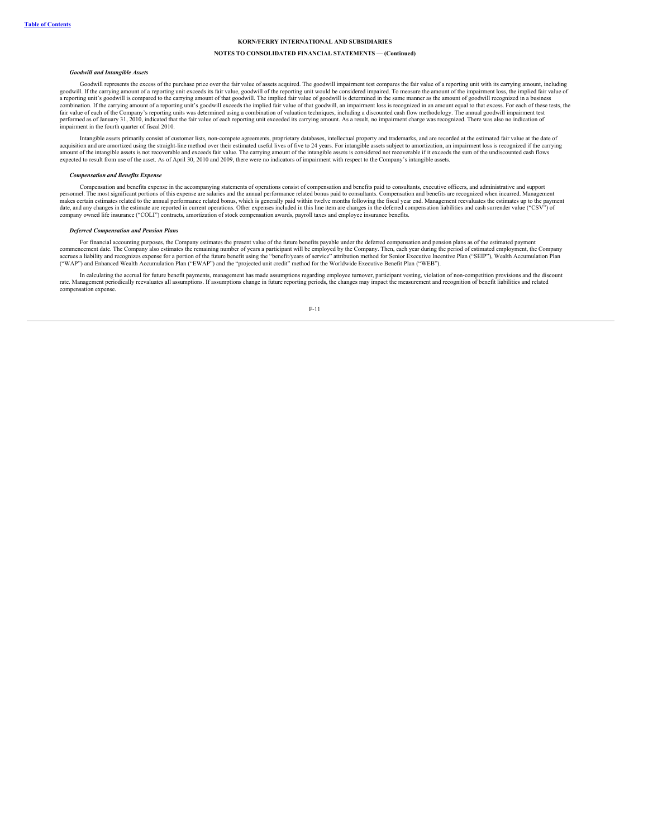### **NOTES TO CONSOLIDATED FINANCIAL STATEMENTS — (Continued)**

#### *Goodwill and Intangible Assets*

Goodwill represents the excess of the purchase price over the fair value of assets acquired. The goodwill impairment test compares the fair value of a reporting unit with its carrying amount, including goodwill. If the carrying amount of a reporting unit exceeds its fair value, goodwill of the reporting unit would be considered impaired. To measure the amount of the impairment loss, the implied fair value of<br>a reporting combination. If the carrying amount of a reporting unit's goodwill exceeds the implied fair value of that goodwill, an impairment loss is recognized in an amount equal to that excess. For each of these tests, the<br>fair valu performed as of January 31, 2010, indicated that the fair value of each reporting unit exceeded its carrying amount. As a result, no impairment charge was recognized. There was also no indication of impairment in the fourth quarter of fiscal 2010.

Intangible assets primarily consist of customer lists, non-compete agreements, proprietary databases, intellectual property and trademarks, and are recorded at the estimated fair value at the date of<br>acquisition and are am amount of the intangible assets is not recoverable and exceeds fair value. The carrying amount of the intangible assets is considered not recoverable if it exceeds the sum of the undiscounted cash flows<br>expected to result

#### *Compensation and Benefits Expense*

Compensation and benefits expense in the accompanying statements of operations consist of compensation and benefits paid to consultants, executive officers, and administrative and support personnel. The most significant portions of this expense are salaries and the annual performance related bonus paid to consultants. Compensation and benefits are recognized when incurred. Management<br>makes certain estimates date, and any changes in the estimate are reported in current operations. Other expenses included in this line item are changes in the deferred compensation liabilities and cash surrender value ("CSV") of<br>company owned lif

#### *Deferred Compensation and Pension Plans*

For financial accounting purposes, the Company estimates the present value of the future benefits payable under the deferred compensation and pension plans as of the estimated payment commencement date. The Company also estimates the remaining number of years a participant will be employed by the Company. Then, each year during the period of estimated employment, the Company<br>accrues a liability and reco ("WAP") and Enhanced Wealth Accumulation Plan ("EWAP") and the "projected unit credit" method for the Worldwide Executive Benefit Plan ("WEB").

In calculating the accrual for future benefit payments, management has made assumptions regarding employee turnover, participant vesting, violation of non-competition provisions and the discount rate. Management periodical compensation expense.

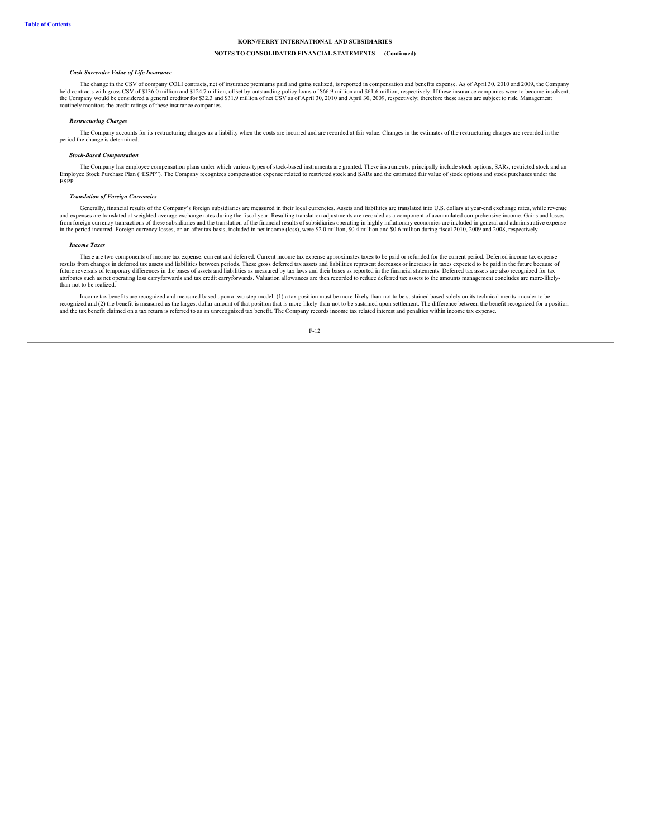### **NOTES TO CONSOLIDATED FINANCIAL STATEMENTS — (Continued)**

# *Cash Surrender Value of Life Insurance*

The change in the CSV of company COLI contracts, net of insurance premiums paid and gains realized, is reported in compensation and benefits expense. As of April 30, 2010 and 2009, the Company held contracts with gross CSV of \$136.0 million and \$124.7 million, offset by outstanding policy loans of \$66.9 million and \$61.6 million, respectively. If these insurance companies were to become insolvent,<br>the Company wo routinely monitors the credit ratings of these insurance companies.

#### *Restructuring Charges*

The Company accounts for its restructuring charges as a liability when the costs are incurred and are recorded at fair value. Changes in the estimates of the restructuring charges are recorded in the period the change is determined.

#### *Stock-Based Compensation*

The Company has employee compensation plans under which various types of stock-based instruments are granted. These instruments, principally include stock options, SARs, restricted stock and an Employee Stock Purchase Plan ("ESPP"). The Company recognizes compensation expense related to restricted stock and SARs and the estimated fair value of stock options and stock purchases under the ESPP.

#### *Translation of Foreign Currencies*

Generally, financial results of the Company's foreign subsidiaries are measured in their local currencies. Assets and liabilities are translated into U.S. dollars at year-end exchange rates, while revenue expenses are translated at weighted-average exchange rates during the fiscal year. Resulting translation adjustments are recorded as a component of accumulated comprehensive income. Gains and losses and conserve income. Ga from foreign currency transactions of these subsidiaries and the translation of the financial results of subsidiaries operating in highly inflationary economies are included in general and administrative expense<br>in the per

#### *Income Taxes*

There are two components of income tax expense: current and deferred. Current income tax expense approximates taxes to be paid or refunded for the current period. Deferred income tax expense results from changes in deferred tax assets and liabilities between periods. These gross deferred tax assets and liabilities represent decreases or increases in taxes expected to be paid in the future because of<br>future rev attributes such as net operating loss carryforwards and tax credit carryforwards. Valuation allowances are then recorded to reduce deferred tax assets to the amounts management concludes are more-likelythan-not to be realized.

Income tax benefits are recognized and measured based upon a two-step model: (1) a tax position must be more-likely-than-not to be sustained based solely on its technical merits in order to be<br>recognized and (2) the benefi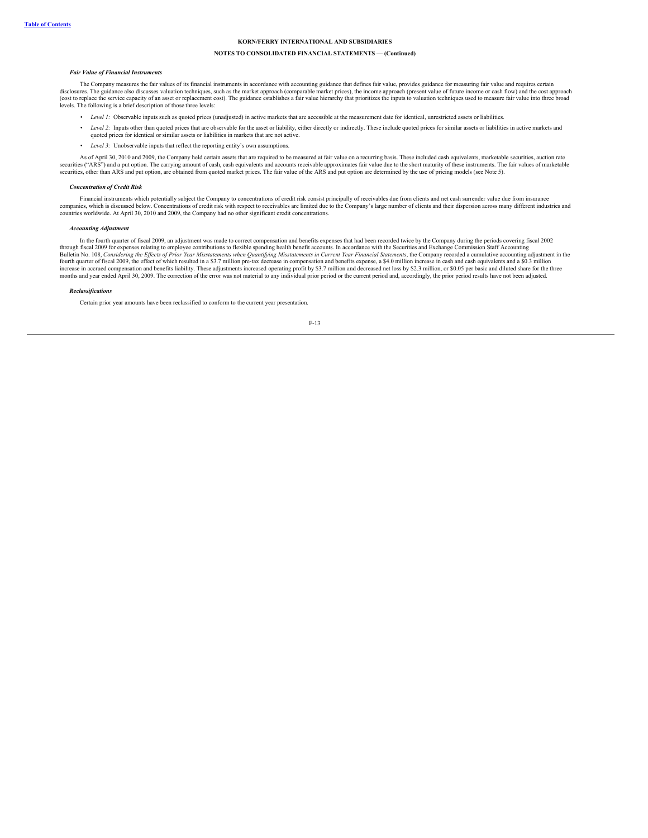### **NOTES TO CONSOLIDATED FINANCIAL STATEMENTS — (Continued)**

#### *Fair Value of Financial Instruments*

The Company measures the fair values of its financial instruments in accordance with accounting guidance that defines fair value, provides guidance for measuring fair value and requires certain disclosures. The guidance also discusses valuation techniques, such as the market approach (comparable market prices), the income approach (present value of future income or cash flow) and the cost approach<br>(cost to replac levels. The following is a brief description of those three levels:

- el 1: Observable inputs such as quoted prices (unadjusted) in active markets that are accessible at the measurement date for identical, unrestricted assets or liabilities.
- *Level 2*: Inputs other than quoted prices that are observable for the asset or liability, either directly or indirectly. These include quoted prices for similar assets or liabilities in active markets and quoted prices for identical or similar assets or liabilities in markets that are not active.
- *Level 3:* Unobservable inputs that reflect the reporting entity's own assumpt

As of April 30, 2010 and 2009, the Company held certain assets that are required to be measured at fair value on a recurring basis. These included cash equivalents, marketable securities, auction rate securities ("ARS") and a put option. The carrying amount of cash, cash equivalents and accounts receivable approximates fair value due to the short maturity of these instruments. The fair values of marketable<br>securities, o

### *Concentration of Credit Risk*

Financial instruments which potentially subject the Company to concentrations of credit risk consist principally of receivables due from clients and net cash surrender value due from insurance companies, which is discussed below. Concentrations of credit risk with respect to receivables are limited due to the Company's large number of clients and their dispersion across many different industries and<br>countries wo

#### *Accounting Adjustment*

In the fourth quarter of fiscal 2009, an adjustment was made to correct compensation and benefits expenses that had been recorded twice by the Company during the periods covering fiscal 2002 through fiscal 2009 for expenses relating to employee contributions to flexible spending health benefit accounts. In accordance with the Securities and Exchange Commission Staff Accounting<br>Bulletin No. 108, Considering the months and year ended April 30, 2009. The correction of the error was not material to any individual prior period or the current period and, accordingly, the prior period results have not been adjusted.

#### *Reclassifications*

Certain prior year amounts have been reclassified to conform to the current year presentation.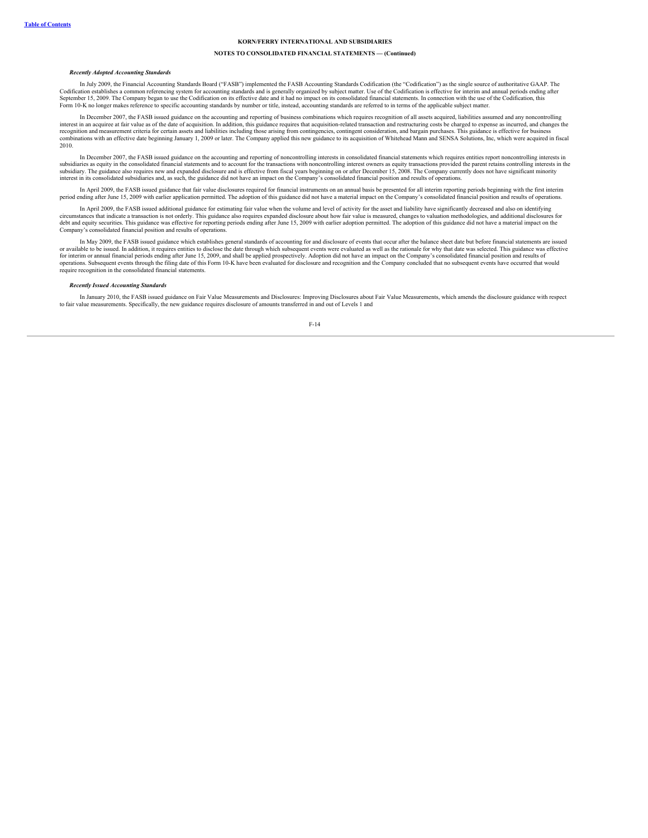### **NOTES TO CONSOLIDATED FINANCIAL STATEMENTS — (Continued)**

#### *Recently Adopted Accounting Standards*

In July 2009, the Financial Accounting Standards Board ("FASB") implemented the FASB Accounting Standards Codification (the "Codification") as the single source of authoritative GAAP. The Codification establishes a common referencing system for accounting standards and is generally organized by subject matter. Use of the Codification is effective for interim and annual periods ending after September 15, 2009. The Company began to use the Codification on its effective date and it had no impact on its consolidated financial statements. In connection with the use of the Codification, this Form 10-K no longer makes reference to specific accounting standards by number or title, instead, accounting standards are referred to in terms of the applicable subject matter.

In December 2007, the FASB issued guidance on the accounting and reporting of business combinations which requires recognition of all assets acquired, liabilities assumed and any noncontrolling interest in an acquiree at fair value as of the date of acquisition. In addition, this guidance requires that acquisition-related transaction and restructuring costs be charged to expense as incurred, and changes the<br>recog combinations with an effective date beginning January 1, 2009 or later. The Company applied this new guidance to its acquisition of Whitehead Mann and SENSA Solutions, Inc, which were acquired in fiscal 2010.

In December 2007, the FASB issued guidance on the accounting and reporting of noncontrolling interests in consolidated financial statements which requires entities report noncontrolling interests in subsidiaries as equity in the consolidated financial statements and to account for the transactions with noncontrolling interest owners as equity transactions provided the parent retains controlling interests in the<br>subsid interest in its consolidated subsidiaries and, as such, the guidance did not have an impact on the Company's consolidated financial position and results of operations.

In April 2009, the FASB issued guidance that fair value disclosures required for financial instruments on an annual basis be presented for all interim reporting periods beginning with the first interim period ending after June 15, 2009 with earlier application permitted. The adoption of this guidance did not have a material impact on the Company's consolidated financial position and results of operations.

In April 2009, the FASB issued additional guidance for estimating fair value when the volume and level of activity for the asset and liability have significantly decreased and also on identifying circumstances that indicate a transaction is not orderly. This guidance also requires expanded disclosure about how fair value is measured, changes to valuation methodologies, and additional disclosures for debt and equity securities. This guidance was effective for reporting periods ending after June 15, 2009 with earlier adoption permitted. The adoption of this guidance did not have a material impact on the Company's consolidated financial position and results of operations.

In May 2009, the FASB issued guidance which establishes general standards of accounting for and disclosure of events that occur after the balance sheet date but before financial statements are issued or available to be issued. In addition, it requires entities to disclose the date through which subsequent events were evaluated as well as the rationale for why that date was selected. This guidance was effective for interim or annual financial periods ending after June 15, 2009, and shall be applied prospectively. Adoption did not have an impact on the Company's consolidated financial position and results of<br>operations. Subsequent require recognition in the consolidated financial statements.

#### *Recently Issued Accounting Standards*

In January 2010, the FASB issued guidance on Fair Value Measurements and Disclosures: Improving Disclosures about Fair Value Measurements, which amends the disclosure guidance with respect to fair value measurements. Specifically, the new guidance requires disclosure of amounts transferred in and out of Levels 1 and

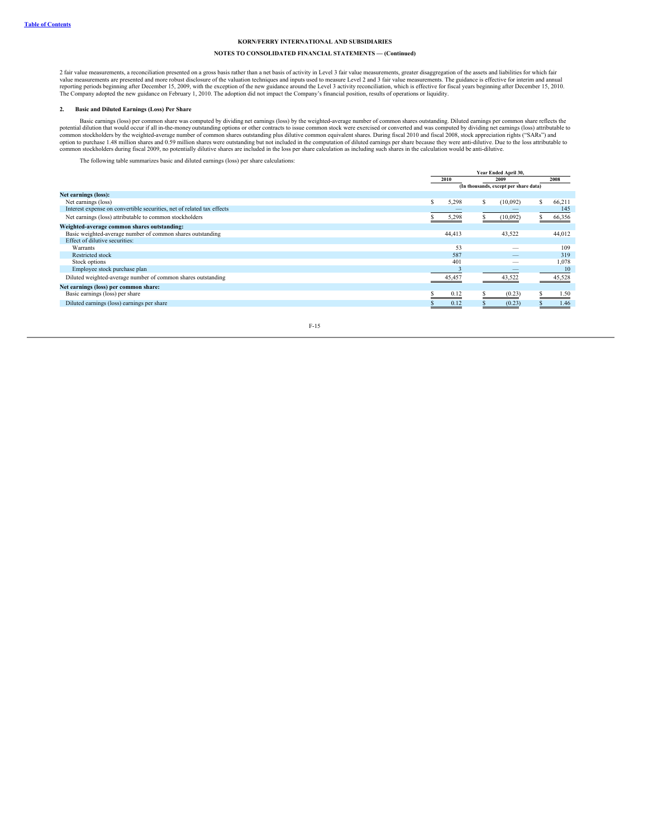# **NOTES TO CONSOLIDATED FINANCIAL STATEMENTS — (Continued)**

2 fair value measurements, a reconciliation presented on a gross basis rather than a net basis of activity in Level 3 fair value measurements, greater disaggregation of the assets and liabilities for which fair value measurements are presented and more robust disclosure of the valuation techniques and inputs used to measure Level 2 and 3 fair value measurements. The guidance is effective for interim and annual<br>reporting periods b The Company adopted the new guidance on February 1, 2010. The adoption did not impact the Company's financial position, results of operations or liquidity.

### **2. Basic and Diluted Earnings (Loss) Per Share**

Basic earnings (loss) per common share was computed by dividing net earnings (loss) by the weighted-average number of common shares outstanding. Diluted earnings per common share reflects the potential dilution that would

The following table summarizes basic and diluted earnings (loss) per share calculations:

|                                                                        |   | Year Ended April 30, |   |                                       |      |        |  |
|------------------------------------------------------------------------|---|----------------------|---|---------------------------------------|------|--------|--|
|                                                                        |   | 2010<br>2009         |   |                                       | 2008 |        |  |
|                                                                        |   |                      |   | (In thousands, except per share data) |      |        |  |
| Net earnings (loss):                                                   |   |                      |   |                                       |      |        |  |
| Net earnings (loss)                                                    | ь | 5,298                | s | (10,092)                              |      | 66,211 |  |
| Interest expense on convertible securities, net of related tax effects |   |                      |   |                                       |      | 145    |  |
| Net earnings (loss) attributable to common stockholders                |   | 5,298                |   | (10,092)                              |      | 66,356 |  |
| Weighted-average common shares outstanding:                            |   |                      |   |                                       |      |        |  |
| Basic weighted-average number of common shares outstanding             |   | 44,413               |   | 43,522                                |      | 44,012 |  |
| Effect of dilutive securities:                                         |   |                      |   |                                       |      |        |  |
| Warrants                                                               |   | 53                   |   |                                       |      | 109    |  |
| Restricted stock                                                       |   | 587                  |   | $\overline{\phantom{a}}$              |      | 319    |  |
| Stock options                                                          |   | 401                  |   |                                       |      | 1,078  |  |
| Employee stock purchase plan                                           |   |                      |   |                                       |      | 10     |  |
| Diluted weighted-average number of common shares outstanding           |   | 45,457               |   | 43,522                                |      | 45,528 |  |
| Net earnings (loss) per common share:                                  |   |                      |   |                                       |      |        |  |
| Basic earnings (loss) per share                                        |   | 0.12                 |   | (0.23)                                |      | 1.50   |  |
| Diluted earnings (loss) earnings per share                             |   | 0.12                 |   | (0.23)                                |      | 1.46   |  |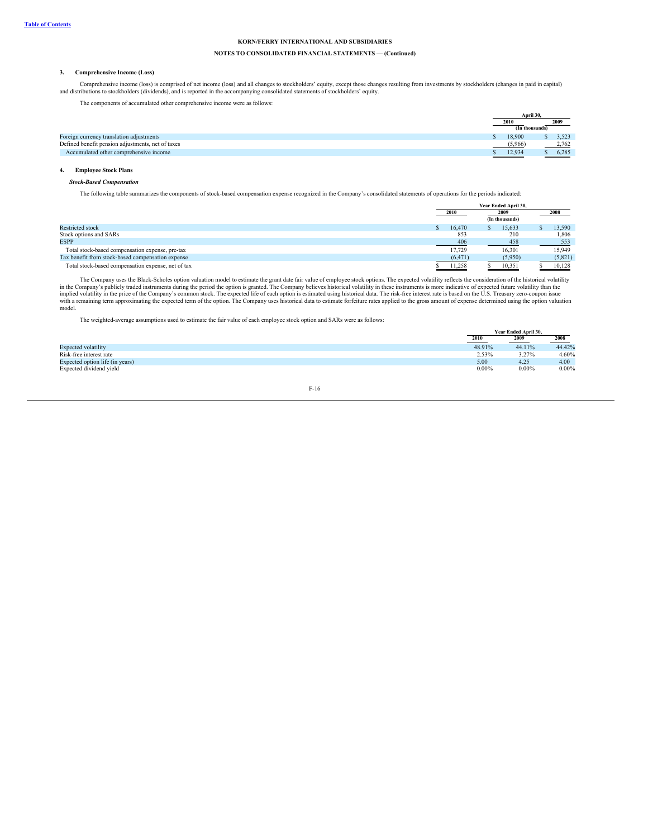# **NOTES TO CONSOLIDATED FINANCIAL STATEMENTS — (Continued)**

### **3. Comprehensive Income (Loss)**

Comprehensive income (loss) is comprised of net income (loss) and all changes to stockholders' equity, except those changes resulting from investments by stockholders (changes in paid in capital) and distributions to stockholders (dividends), and is reported in the accompanying consolidated statements of stockholders' equity.

The components of accumulated other comprehensive income were as follows:

|                                                   |         | April 30.      |  |       |
|---------------------------------------------------|---------|----------------|--|-------|
|                                                   | 2010    |                |  | 2009  |
|                                                   |         | (In thousands) |  |       |
| Foreign currency translation adjustments          | 18,900  |                |  | 3.523 |
| Defined benefit pension adjustments, net of taxes | (5,966) |                |  | 2,762 |
| Accumulated other comprehensive income            | 12,934  |                |  | 6,285 |
|                                                   |         |                |  |       |

# **4. Employee Stock Plans**

### *Stock-Based Compensation*

The following table summarizes the components of stock-based compensation expense recognized in the Company's consolidated statements of operations for the periods indicated:

|                                                    | Year Ended April 30, |      |                |  |         |
|----------------------------------------------------|----------------------|------|----------------|--|---------|
|                                                    | 2010                 | 2009 |                |  | 2008    |
|                                                    |                      |      | (In thousands) |  |         |
| <b>Restricted stock</b>                            | 16.470               |      | 15.633         |  | 13.590  |
| Stock options and SARs                             | 853                  |      | 210            |  | 1.806   |
| <b>ESPP</b>                                        | 406                  |      | 458            |  | 553     |
| Total stock-based compensation expense, pre-tax    | 17.729               |      | 16,301         |  | 15,949  |
| Tax benefit from stock-based compensation expense  | (6, 471)             |      | (5,950)        |  | (5,821) |
| Total stock-based compensation expense, net of tax | 11,258               |      | 10,351         |  | 10,128  |

The Company uses the Black-Scholes option valuation model to estimate the grant date fair value of employee stock options. The expected volatility reflects the consideration of the historical volatility in the Company's publicly traded instruments during the period the option is granted. The Company believes historical volatility in these instruments is more indicative of expected future volatility than the<br>implied volati with a remaining term approximating the expected term of the option. The Company uses historical data to estimate forfeiture rates applied to the gross amount of expense determined using the option valuation model.

The weighted-average assumptions used to estimate the fair value of each employee stock option and SARs were as follows:

|                                 |          | Year Ended April 30. |          |  |
|---------------------------------|----------|----------------------|----------|--|
|                                 | 2010     | 2009                 | 2008     |  |
| <b>Expected volatility</b>      | 48.91%   | 44.11%               | 44.42%   |  |
| Risk-free interest rate         | 2.53%    | 3.27%                | 4.60%    |  |
| Expected option life (in years) | 5.00     | 4.25                 | 4.00     |  |
| Expected dividend yield         | $0.00\%$ | $0.00\%$             | $0.00\%$ |  |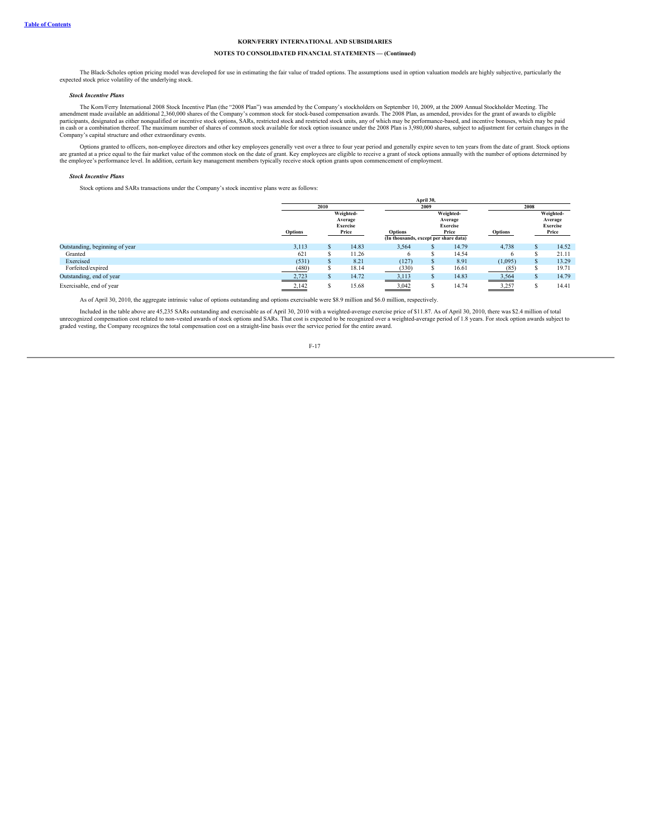# **NOTES TO CONSOLIDATED FINANCIAL STATEMENTS — (Continued)**

The Black-Scholes option pricing model was developed for use in estimating the fair value of traded options. The assumptions used in option valuation models are highly subjective, particularly the expected stock price volatility of the underlying stock.

#### *Stock Incentive Plans*

The Korn/Ferry International 2008 Stock Incentive Plan (the "2008 Plan") was amended by the Company's stockholders on September 10, 2009, at the 2009 Annual Stockholder Meeting. The amendment made available an additional 2,360,000 shares of the Company's common stock based compensation awards. The 2008 Plan, as amended, provides for the grant of awards to eligible<br>participants, designated as either no in cash or a combination thereof. The maximum number of shares of common stock available for stock option issuance under the 2008 Plan is 3,980,000 shares, subject to adjustment for certain changes in the Company's capital structure and other extraordinary events.

Options granted to officers, non-employee directors and other key employees generally vest over a three to four year period and generally expire seven to ten years from the date of grant. Stock options are granted at a pri

#### *Stock Incentive Plans*

Stock options and SARs transactions under the Company's stock incentive plans were as follows:

|                                | April 30,      |  |                                         |                                                  |              |                                         |         |  |                                         |  |
|--------------------------------|----------------|--|-----------------------------------------|--------------------------------------------------|--------------|-----------------------------------------|---------|--|-----------------------------------------|--|
|                                | 2010           |  |                                         |                                                  | 2009         |                                         | 2008    |  |                                         |  |
|                                |                |  | Weighted-<br>Average<br><b>Exercise</b> |                                                  |              | Weighted-<br>Average<br><b>Exercise</b> |         |  | Weighted-<br>Average<br><b>Exercise</b> |  |
|                                | <b>Options</b> |  | Price                                   | Options<br>(In thousands, except per share data) |              | Price                                   | Options |  | Price                                   |  |
| Outstanding, beginning of year | 3,113          |  | 14.83                                   | 3,564                                            |              | 14.79                                   | 4,738   |  | 14.52                                   |  |
| Granted                        | 621            |  | 11.26                                   | $\sigma$                                         |              | 14.54                                   |         |  | 21.11                                   |  |
| Exercised                      | (531)          |  | 8.21                                    | (127)                                            | $\mathbf{r}$ | 8.91                                    | (1,095) |  | 13.29                                   |  |
| Forfeited/expired              | (480)          |  | 18.14                                   | (330)                                            | ъ            | 16.61                                   | (85)    |  | 19.71                                   |  |
| Outstanding, end of year       | 2,723          |  | 14.72                                   | 3,113                                            | ъ.           | 14.83                                   | 3,564   |  | 14.79                                   |  |
| Exercisable, end of year       | 2,142          |  | 15.68                                   | 3,042                                            |              | 14.74                                   | 3,257   |  | 14.41                                   |  |

As of April 30, 2010, the aggregate intrinsic value of options outstanding and options exercisable were \$8.9 million and \$6.0 million, respectively.

Included in the table above are 45,235 SARs outstanding and exercisable as of April 30, 2010 with a weighted-average exercise price of \$11.87. As of April 30, 2010, there was \$2.4 million of total<br>unrecognized compensation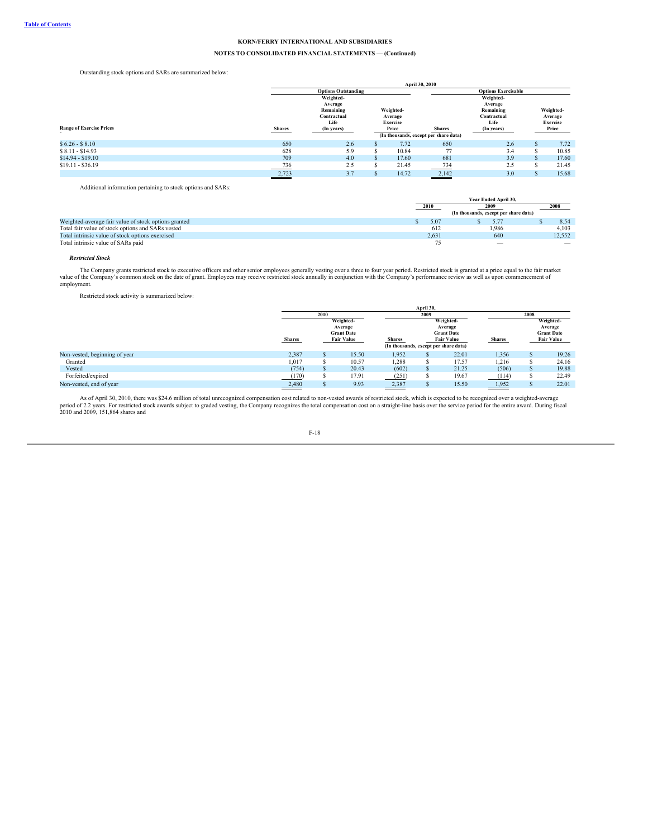# **NOTES TO CONSOLIDATED FINANCIAL STATEMENTS — (Continued)**

Outstanding stock options and SARs are summarized below:

|                                 |               |                            |           |                 | April 30, 2010                        |             |               |                 |  |       |
|---------------------------------|---------------|----------------------------|-----------|-----------------|---------------------------------------|-------------|---------------|-----------------|--|-------|
|                                 |               | <b>Options Outstanding</b> |           |                 | <b>Options Exercisable</b>            |             |               |                 |  |       |
|                                 |               | Weighted-                  |           |                 |                                       | Weighted-   |               |                 |  |       |
|                                 | Average       |                            |           |                 |                                       | Average     |               |                 |  |       |
| Weighted-<br>Remaining          |               |                            | Remaining |                 | Weighted-                             |             |               |                 |  |       |
|                                 |               | Contractual                |           | Average         |                                       | Contractual |               | Average         |  |       |
|                                 |               | Life                       |           | <b>Exercise</b> |                                       | Life        |               | <b>Exercise</b> |  |       |
| <b>Range of Exercise Prices</b> | <b>Shares</b> | (In years)                 | Price     |                 |                                       |             | <b>Shares</b> | (In years)      |  | Price |
|                                 |               |                            |           |                 | (In thousands, except per share data) |             |               |                 |  |       |
| $$6.26 - $8.10$                 | 650           | 2.6                        | ъ.        | 7.72            | 650                                   | 2.6         |               | 7.72            |  |       |
| $$8.11 - $14.93$                | 628           | 5.9                        |           | 10.84           | 77                                    | 3.4         |               | 10.85           |  |       |
| $$14.94 - $19.10$               | 709           | 4.0                        | S.        | 17.60           | 681                                   | 3.9         |               | 17.60           |  |       |
| $$19.11 - $36.19$               | 736           | 2.5                        |           | 21.45           | 734                                   | 2.5         |               | 21.45           |  |       |
|                                 | 2,723         | 3.7                        |           | 14.72           | 2,142                                 | 3.0         |               | 15.68           |  |       |

Additional information pertaining to stock options and SARs:

|                                                      | Year Ended April 30. |       |                                       |      |                                 |  |
|------------------------------------------------------|----------------------|-------|---------------------------------------|------|---------------------------------|--|
|                                                      |                      | 2010  | 2009                                  | 2008 |                                 |  |
|                                                      |                      |       | (In thousands, except per share data) |      |                                 |  |
| Weighted-average fair value of stock options granted |                      | 5.07  | 5.77                                  |      | 8.54                            |  |
| Total fair value of stock options and SARs vested    |                      | 612   | 1.986                                 |      | 4.103                           |  |
| Total intrinsic value of stock options exercised     |                      | 2.631 | 640                                   |      | 12.552                          |  |
| Total intrinsic value of SARs paid                   |                      |       | $\overline{\phantom{a}}$              |      | $\hspace{0.1mm}-\hspace{0.1mm}$ |  |

#### *Restricted Stock*

The Company grants restricted stock to executive officers and other senior employees generally vesting over a three to four year period. Restricted stock is granted at a price equal to the fair market value of the Company' employment.

Restricted stock activity is summarized below:

|                               |               | 2010                                   |                      |               | 2009                                                       |                                           |               | 2008 |                                           |  |
|-------------------------------|---------------|----------------------------------------|----------------------|---------------|------------------------------------------------------------|-------------------------------------------|---------------|------|-------------------------------------------|--|
|                               |               |                                        | Weighted-<br>Average |               |                                                            | Weighted-<br>Average<br><b>Grant Date</b> |               |      | Weighted-<br>Average<br><b>Grant Date</b> |  |
|                               | <b>Shares</b> | <b>Grant Date</b><br><b>Fair Value</b> |                      | <b>Shares</b> | <b>Fair Value</b><br>(In thousands, except per share data) |                                           | <b>Shares</b> |      | <b>Fair Value</b>                         |  |
| Non-vested, beginning of year | 2,387         | m                                      | 15.50                | 1,952         |                                                            | 22.01                                     | 1,356         |      | 19.26                                     |  |
| Granted                       | 1,017         |                                        | 10.57                | 1,288         |                                                            | 17.57                                     | 1,216         |      | 24.16                                     |  |
| Vested                        | (754)         | S                                      | 20.43                | (602)         |                                                            | 21.25                                     | (506)         |      | 19.88                                     |  |
| Forfeited/expired             | (170)         | s                                      | 17.91                | (251)         |                                                            | 19.67                                     | (114)         |      | 22.49                                     |  |
| Non-vested, end of year       | 2,480         |                                        | 9.93                 | 2,387         |                                                            | 15.50                                     | 1,952         |      | 22.01                                     |  |

As of April 30, 2010, there was \$24.6 million of total unrecognized compensation cost related to non-vested awards of restricted stock, which is expected to be recognized over a weighted-average<br>period of 2.2 years. For re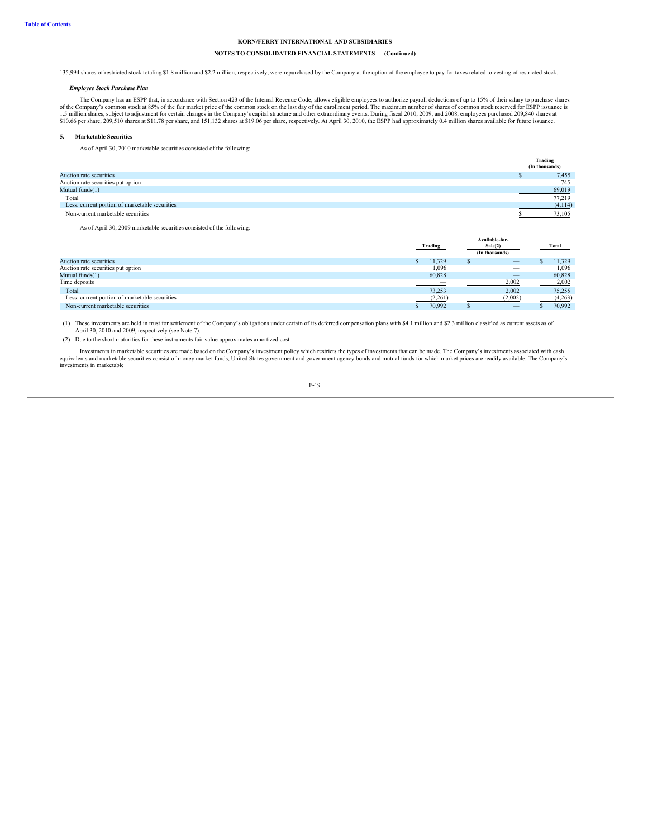# **NOTES TO CONSOLIDATED FINANCIAL STATEMENTS — (Continued)**

135,994 shares of restricted stock totaling \$1.8 million and \$2.2 million, respectively, were repurchased by the Company at the option of the employee to pay for taxes related to vesting of restricted stock.

### *Employee Stock Purchase Plan*

The Company has an ESPP that, in accordance with Section 423 of the Internal Revenue Code, allows eligible employees to authorize payroll deductions of up to 15% of their salary to purchase shares<br>of the Company's common s

#### **5. Marketable Securities**

As of April 30, 2010 marketable securities consisted of the following:

|                                                | Trading        |
|------------------------------------------------|----------------|
|                                                | (In thousands) |
| Auction rate securities                        | 7.455          |
| Auction rate securities put option             | 745            |
| Mutual funds(1)                                | 69,019         |
| Total                                          | 77,219         |
| Less: current portion of marketable securities | (4,114)        |
| Non-current marketable securities              | 73.105         |

As of April 30, 2009 marketable securities consisted of the following:

|                                                | Trading |         |  | Available-for-<br>Sale(2)<br>(In thousands) | Total   |
|------------------------------------------------|---------|---------|--|---------------------------------------------|---------|
| Auction rate securities                        |         | 11.329  |  | $\qquad \qquad \longleftarrow$              | 11.329  |
| Auction rate securities put option             |         | 1,096   |  | $\overline{\phantom{m}}$                    | 1,096   |
| Mutual funds(1)                                |         | 60,828  |  | $\overline{\phantom{0}}$                    | 60.828  |
| Time deposits                                  |         |         |  | 2,002                                       | 2,002   |
| Total                                          |         | 73.253  |  | 2,002                                       | 75,255  |
| Less: current portion of marketable securities |         | (2,261) |  | (2,002)                                     | (4,263) |
| Non-current marketable securities              |         | 70,992  |  |                                             | 70,992  |

(1) These investments are held in trust for settlement of the Company's obligations under certain of its deferred compensation plans with \$4.1 million and \$2.3 million classified as current assets as of April 30, 2010 and

(2) Due to the short maturities for these instruments fair value approximates amortized cost.

Investments in marketable securities are made based on the Company's investment policy which restricts the types of investments that can be made. The Company's investments associated with cash<br>equivalents and marketable se investments in marketable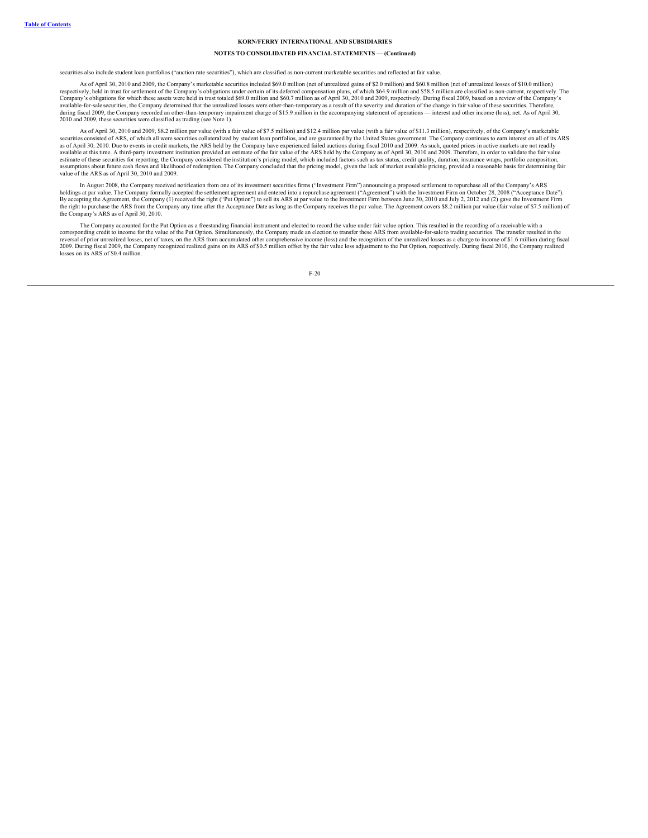### **NOTES TO CONSOLIDATED FINANCIAL STATEMENTS — (Continued)**

securities also include student loan portfolios ("auction rate securities"), which are classified as non-current marketable securities and reflected at fair value.

As of April 30, 2010 and 2009, the Company's marketable securities included \$69.0 million (net of unrealized gains of \$2.0 million) and \$60.8 million (net of unrealized losses of \$10.0 million) respectively, held in trust for settlement of the Company's obligations under certain of its deferred compensation plans, of which \$64.9 million and \$58.5 million are classified as non-current, respectively. The Company's available-for-sale securities, the Company determined that the unrealized losses were other-than-temporary as a result of the severity and duration of the change in fair value of these securities. Therefore,<br>during fiscal 2010 and 2009, these securities were classified as trading (see Note 1).

As of April 30, 2010 and 2009, \$8.2 million par value (with a fair value of \$7.5 million) and \$12.4 million par value (with a fair value of \$11.3 million), respectively, of the Company's marketable securities consisted of ARS, of which all were securities collateralized by student loan portfolios, and are guaranteed by the United States government. The Company continues to earn interest on all of its ARS<br>as of April available at this time. A third-party investment institution provided an estimate of the fair value of the ARS held by the Company as of April 30, 2010 and 2009. Therefore, in order to validate the fair value<br>estimate of t assumptions about future cash flows and likelihood of redemption. The Company concluded that the pricing model, given the lack of market available pricing, provided a reasonable basis for determining fair<br>value of the ARS

In August 2008, the Company received notification from one of its investment securities firms ("Investment Firm") announcing a proposed settlement to repurchase all of the Company's ARS holdings at par value. The Company formally accepted the settlement agreement and entered into a repurchase agreement ("Agreement") with the Investment Firm on October 28, 2008 ("Acceptance Date"). By accepting the Agreement, the Company (1) received the right ("Put Option") to sell its ARS at par value to the Investment Firm between June 30, 2010 and July 2, 2012 and (2) gave the Investment Firm the right to purchase the ARS from the Company any time after the Acceptance Date as long as the Company receives the par value. The Agreement covers \$8.2 million par value (fair value of \$7.5 million) of the Company's ARS as of April 30, 2010.

The Company accounted for the Put Option as a freestanding financial instrument and elected to record the value under fair value option. This resulted in the recording of a receivable with a<br>corresponding credit to income reversal of prior unrealized losses, net of taxes, on the ARS from accumulated other comprehensive income (loss) and the recognition of the unrealized losses as a charge to income of \$1.6 million during fiscal 2009, the Co losses on its ARS of \$0.4 million.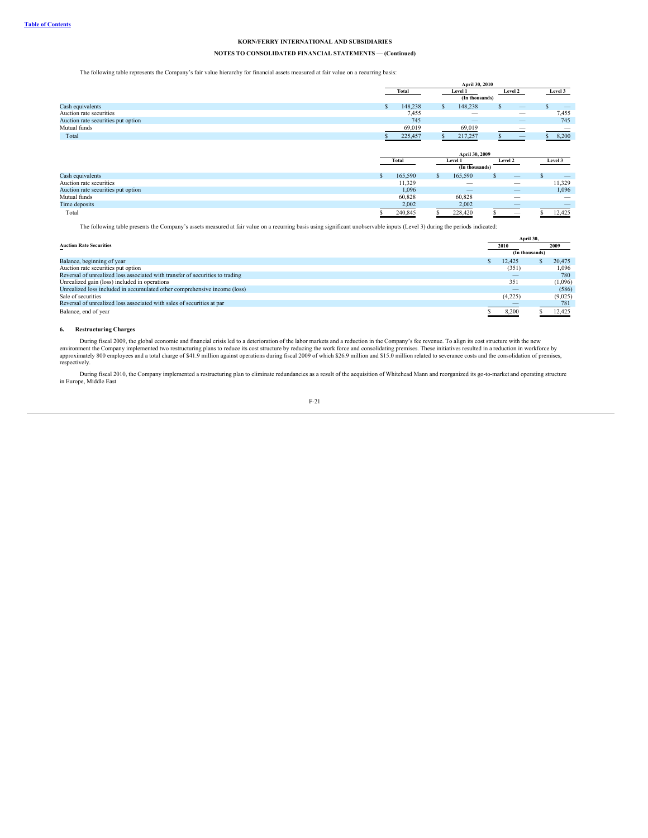# **NOTES TO CONSOLIDATED FINANCIAL STATEMENTS — (Continued)**

The following table represents the Company's fair value hierarchy for financial assets measured at fair value on a recurring basis:

|                                    |              | April 30, 2010 |    |                                           |    |                   |  |                   |  |
|------------------------------------|--------------|----------------|----|-------------------------------------------|----|-------------------|--|-------------------|--|
|                                    |              | Total          |    | Level 1                                   |    | Level 2           |  | Level 3           |  |
|                                    |              |                |    | (In thousands)                            |    |                   |  |                   |  |
| Cash equivalents                   | S.           | 148,238        | S. | 148,238                                   | \$ |                   |  | $\qquad \qquad -$ |  |
| Auction rate securities            |              | 7,455          |    | –                                         |    |                   |  | 7,455             |  |
| Auction rate securities put option |              | 745            |    | $\qquad \qquad \overline{\qquad \qquad }$ |    |                   |  | 745               |  |
| Mutual funds                       |              | 69,019         |    | 69,019                                    |    |                   |  |                   |  |
| Total                              |              | 225,457        |    | 217,257                                   |    |                   |  | 8,200             |  |
|                                    |              |                |    |                                           |    |                   |  |                   |  |
|                                    |              |                |    |                                           |    |                   |  |                   |  |
|                                    |              |                |    | April 30, 2009                            |    |                   |  |                   |  |
|                                    |              | Total          |    | Level 1                                   |    | Level 2           |  | Level 3           |  |
|                                    |              |                |    | (In thousands)                            |    |                   |  |                   |  |
| Cash equivalents                   | $\mathbf{s}$ | 165,590        | S. | 165,590                                   |    | $\qquad \qquad -$ |  |                   |  |
| Auction rate securities            |              | 11,329         |    | -                                         |    |                   |  | 11,329            |  |
| Auction rate securities put option |              | 1,096          |    |                                           |    |                   |  | 1,096             |  |
| Mutual funds                       |              | 60,828         |    | 60,828                                    |    |                   |  |                   |  |
| Time deposits                      |              | 2,002          |    | 2,002                                     |    |                   |  |                   |  |

The following table presents the Company's assets measured at fair value on a recurring basis using significant unobservable inputs (Level 3) during the periods indicated:

| <b>Auction Rate Securities</b>                                                |  | 2010           |  | 2009    |  |
|-------------------------------------------------------------------------------|--|----------------|--|---------|--|
|                                                                               |  | (In thousands) |  |         |  |
| Balance, beginning of year                                                    |  | 12.425         |  | 20.475  |  |
| Auction rate securities put option                                            |  | (351)          |  | 1.096   |  |
| Reversal of unrealized loss associated with transfer of securities to trading |  | _              |  | 780     |  |
| Unrealized gain (loss) included in operations                                 |  | 351            |  | (1,096) |  |
| Unrealized loss included in accumulated other comprehensive income (loss)     |  | __             |  | (586)   |  |
| Sale of securities                                                            |  | (4,225)        |  | (9,025) |  |
| Reversal of unrealized loss associated with sales of securities at par        |  |                |  | 781     |  |
| Balance, end of year                                                          |  | 8,200          |  | 12,425  |  |

### **6. Restructuring Charges**

During fiscal 2009, the global economic and financial crisis led to a deterioration of the labor markets and a reduction in the Company's fee revenue. To align its cost structure with the new environment the Company implemented two restructuring plans to reduce its cost structure by reducing the work force and consolidating premises. These initiatives resulted in a reduction in workforce by<br>approximately 800 em

During fiscal 2010, the Company implemented a restructuring plan to eliminate redundancies as a result of the acquisition of Whitehead Mann and reorganized its go-to-market and operating structure in Europe, Middle East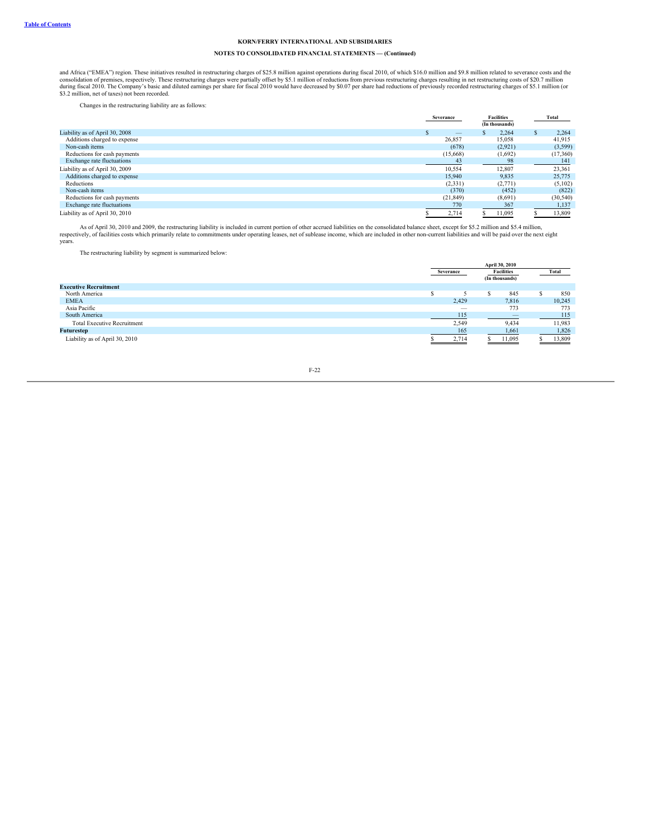# **NOTES TO CONSOLIDATED FINANCIAL STATEMENTS — (Continued)**

and Africa ("EMEA") region. These initiatives resulted in restructuring charges of \$25.8 million against operations during fiscal 2010, of which \$16.0 million and \$9.8 million related to severance costs and the consolidati

Changes in the restructuring liability are as follows:

| Severance |           | <b>Facilities</b><br>(In thousands) |         | Total     |
|-----------|-----------|-------------------------------------|---------|-----------|
|           | –         |                                     | 2.264   | 2,264     |
|           | 26,857    |                                     | 15.058  | 41.915    |
|           | (678)     |                                     | (2,921) | (3,599)   |
|           | (15,668)  |                                     | (1,692) | (17,360)  |
|           | 43        |                                     | 98      | 141       |
|           | 10,554    |                                     | 12,807  | 23,361    |
|           | 15,940    |                                     | 9.835   | 25,775    |
|           | (2,331)   |                                     | (2,771) | (5,102)   |
|           | (370)     |                                     | (452)   | (822)     |
|           | (21, 849) |                                     | (8,691) | (30, 540) |
|           | 770       |                                     | 367     | 1,137     |
|           | 2,714     |                                     | 11,095  | 13,809    |
|           |           |                                     |         |           |

As of April 30, 2010 and 2009, the restructuring liability is included in current portion of other accrued liabilities on the consolidated balance sheet, except for \$5.2 million and \$5.4 million, respectively, of facilities costs which primarily relate to commitments under operating leases, net of sublease income, which are included in other non-current liabilities and will be paid over the next eight years.

The restructuring liability by segment is summarized below:

|                                    | April 30, 2010                 |  |                          |  |        |  |  |
|------------------------------------|--------------------------------|--|--------------------------|--|--------|--|--|
|                                    | <b>Facilities</b><br>Severance |  |                          |  | Total  |  |  |
|                                    |                                |  | (In thousands)           |  |        |  |  |
| <b>Executive Recruitment</b>       |                                |  |                          |  |        |  |  |
| North America                      |                                |  | 845                      |  | 850    |  |  |
| <b>EMEA</b>                        | 2,429                          |  | 7,816                    |  | 10,245 |  |  |
| Asia Pacific                       | $-$                            |  | 773                      |  | 773    |  |  |
| South America                      | 115                            |  | $\overline{\phantom{m}}$ |  | 115    |  |  |
| <b>Total Executive Recruitment</b> | 2,549                          |  | 9,434                    |  | 11,983 |  |  |
| <b>Futurestep</b>                  | 165                            |  | 1,661                    |  | 1,826  |  |  |
| Liability as of April 30, 2010     | 2,714                          |  | 11,095                   |  | 13,809 |  |  |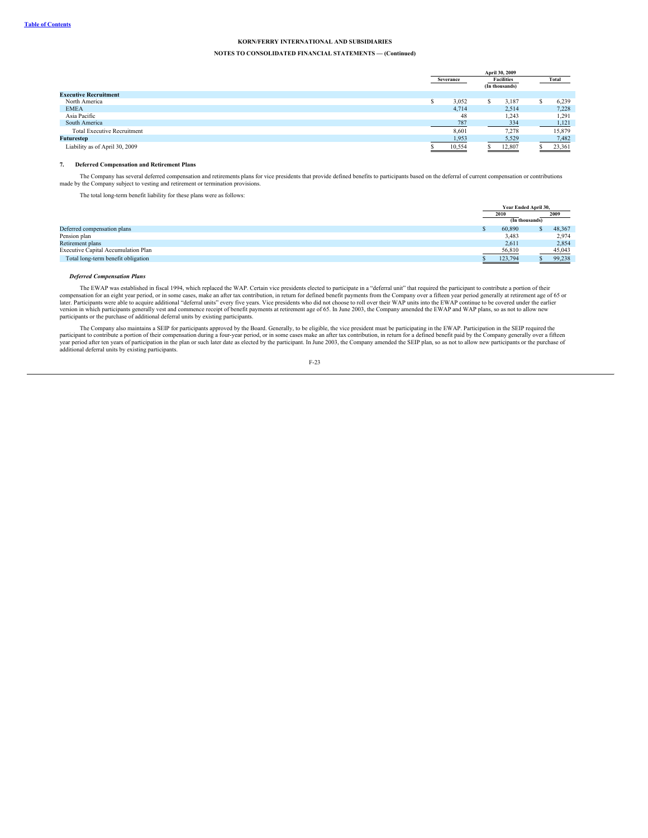# **NOTES TO CONSOLIDATED FINANCIAL STATEMENTS — (Continued)**

|                                    | April 30, 2009 |           |  |                   |  |        |
|------------------------------------|----------------|-----------|--|-------------------|--|--------|
|                                    |                | Severance |  | <b>Facilities</b> |  | Total  |
|                                    |                |           |  | (In thousands)    |  |        |
| <b>Executive Recruitment</b>       |                |           |  |                   |  |        |
| North America                      |                | 3,052     |  | 3,187             |  | 6,239  |
| <b>EMEA</b>                        |                | 4,714     |  | 2,514             |  | 7,228  |
| Asia Pacific                       |                | 48        |  | 1,243             |  | 1,291  |
| South America                      |                | 787       |  | 334               |  | 1,121  |
| <b>Total Executive Recruitment</b> |                | 8,601     |  | 7.278             |  | 15,879 |
| <b>Futurestep</b>                  |                | 1,953     |  | 5,529             |  | 7,482  |
| Liability as of April 30, 2009     |                | 10,554    |  | 12,807            |  | 23,361 |

### **7. Deferred Compensation and Retirement Plans**

The Company has several deferred compensation and retirements plans for vice presidents that provide defined benefits to participants based on the deferral of current compensation or contributions made by the Company subject to vesting and retirement or termination provisions.

The total long-term benefit liability for these plans were as follows:

|                                     | Year Ended April 30, |  |        |  |
|-------------------------------------|----------------------|--|--------|--|
|                                     | 2010                 |  | 2009   |  |
|                                     | (In thousands)       |  |        |  |
| Deferred compensation plans         | 60,890               |  | 48,367 |  |
| Pension plan                        | 3,483                |  | 2,974  |  |
| Retirement plans                    | 2,611                |  | 2,854  |  |
| Executive Capital Accumulation Plan | 56,810               |  | 45,043 |  |
| Total long-term benefit obligation  | 123,794              |  | 99,238 |  |

### *Deferred Compensation Plans*

The EWAP was established in fiscal 1994, which replaced the WAP. Certain vice presidents elected to participate in a "deferral unit" that required the participant to contribute a portion of their<br>compensation for an eight

The Company also maintains a SEIP for participants approved by the Board. Generally, to be eligible, the vice president must be participating in the EWAP. Participation in the SEIP required the participation of their compe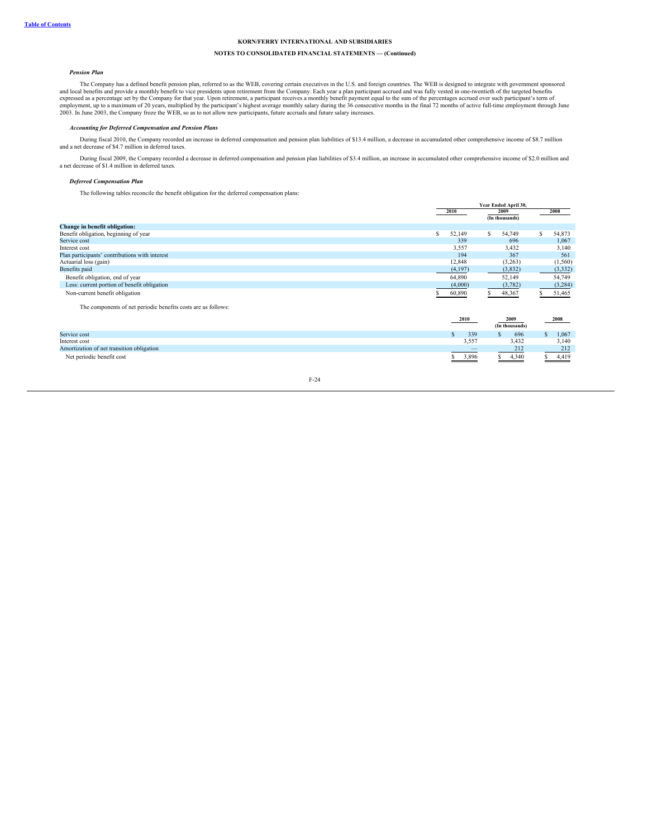# **NOTES TO CONSOLIDATED FINANCIAL STATEMENTS — (Continued)**

### *Pension Plan*

The Company has a defined benefit pension plan, referred to as the WEB, covering certain executives in the U.S. and foreign countries. The WEB is designed to integrate with government sponsored and local benefits and provide a monthly benefit to vice presidents upon retirement from the Company. Each year a plan participant accrued and was fully vested in one-twentieth of the targeted benefits expressed as a perce

# *Accounting for Deferred Compensation and Pension Plans*

During fiscal 2010, the Company recorded an increase in deferred compensation and pension plan liabilities of \$13.4 million, a decrease in accumulated other comprehensive income of \$8.7 million and a net decrease of \$4.7 million in deferred taxes.

During fiscal 2009, the Company recorded a decrease in deferred compensation and pension plan liabilities of \$3.4 million, an increase in accumulated other comprehensive income of \$2.0 million and<br>a net decrease of \$1.4 mi

# *Deferred Compensation Plan*

The following tables reconcile the benefit obligation for the deferred compensation plans:

|                                                               | Year Ended April 30,           |         |   |                        |               |             |
|---------------------------------------------------------------|--------------------------------|---------|---|------------------------|---------------|-------------|
|                                                               | 2010                           |         |   | 2009<br>(In thousands) |               | 2008        |
| Change in benefit obligation:                                 |                                |         |   |                        |               |             |
| Benefit obligation, beginning of year                         | 52,149                         |         | s | 54,749                 |               | 54,873      |
| Service cost                                                  |                                | 339     |   | 696                    |               | 1,067       |
| Interest cost                                                 |                                | 3,557   |   | 3,432                  |               | 3,140       |
| Plan participants' contributions with interest                |                                | 194     |   | 367                    |               | 561         |
| Actuarial loss (gain)                                         |                                | 12,848  |   | (3,263)                |               | (1, 560)    |
| Benefits paid                                                 |                                | (4,197) |   | (3,832)                |               | (3,332)     |
| Benefit obligation, end of year                               | 64,890                         |         |   | 52,149                 |               | 54,749      |
| Less: current portion of benefit obligation                   |                                | (4,000) |   | (3,782)                |               | (3,284)     |
| Non-current benefit obligation                                | 60,890                         |         |   | 48,367                 |               | 51,465      |
| The components of net periodic benefits costs are as follows: |                                |         |   |                        |               |             |
|                                                               | 2009<br>2010<br>(In thousands) |         |   |                        |               | 2008        |
| Service cost                                                  |                                | 339     |   | 696                    | $\mathcal{S}$ | 1,067       |
| Interest cost                                                 |                                | 3,557   |   | 3,432                  |               | 3,140       |
| Amortization of net transition obligation                     |                                |         |   | 212                    |               | 212         |
| Net periodic benefit cost                                     |                                | 3,896   |   | 4,340                  |               | 4,419<br>S. |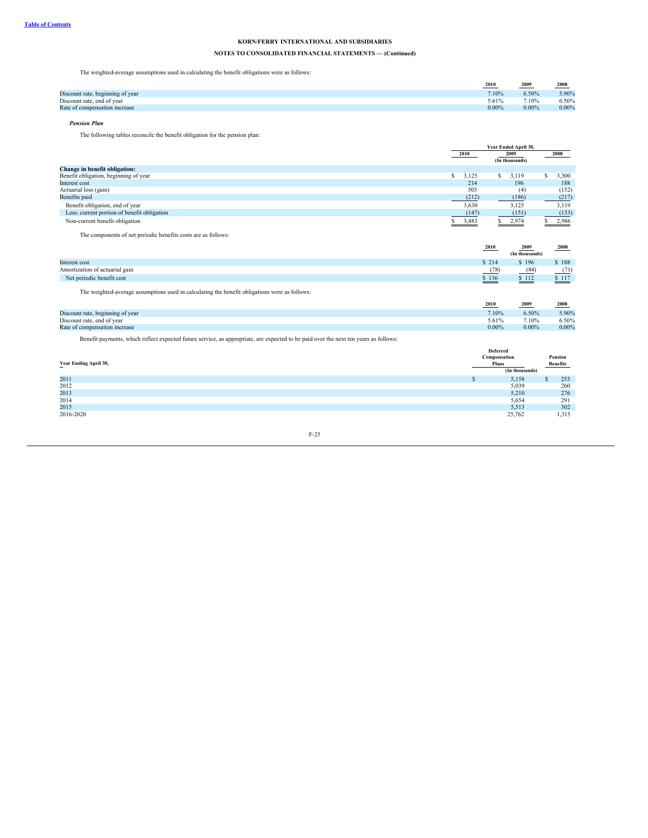# **NOTES TO CONSOLIDATED FINANCIAL STATEMENTS — (Continued)**

The weighted-average assumptions used in calculating the benefit obligations were as follows:

|                                  | 2010<br>$\sim$ $\sim$ $\sim$ $\sim$ $\sim$ | 2009     | 2008     |
|----------------------------------|--------------------------------------------|----------|----------|
| Discount rate, beginning of year | 7.10%                                      | 6.50%    | 5.90%    |
| Discount rate, end of year       | 5.61%                                      | 7.10%    | 6.50%    |
| Rate of compensation increase    | 0.00%                                      | $0.00\%$ | $0.00\%$ |

# *Pension Plan*

The following tables reconcile the benefit obligation for the pension plan:

|                                             |       | Year Ended April 30,   |       |  |  |
|---------------------------------------------|-------|------------------------|-------|--|--|
|                                             | 2010  | 2009<br>(In thousands) | 2008  |  |  |
| Change in benefit obligation:               |       |                        |       |  |  |
| Benefit obligation, beginning of year       | 3,125 | 3,119                  | 3,300 |  |  |
| Interest cost                               |       | 214<br>196             | 188   |  |  |
| Actuarial loss (gain)                       |       | 503<br>(4)             | (152) |  |  |
| Benefits paid                               |       | (212)<br>(186)         | (217) |  |  |
| Benefit obligation, end of year             | 3,630 | 3.125                  | 3,119 |  |  |
| Less: current portion of benefit obligation |       | (147)<br>(151)         | (133) |  |  |
| Non-current benefit obligation              | 3,483 | 2,974                  | 2,986 |  |  |

The components of net periodic benefits costs are as follows:

|                                                                                               | 2010  | 2009<br>(In thousands) | 2008   |
|-----------------------------------------------------------------------------------------------|-------|------------------------|--------|
| Interest cost                                                                                 | \$214 | \$196                  | \$188  |
| Amortization of actuarial gain                                                                | (78)  | (84)                   | (71)   |
| Net periodic benefit cost                                                                     | \$136 | \$112                  | \$ 117 |
| The weighted-average assumptions used in calculating the benefit obligations were as follows: |       |                        |        |

|                                  | 2010     | 2009     | 2008     |
|----------------------------------|----------|----------|----------|
| Discount rate, beginning of year | 7.10%    | 6.50%    | 5.90%    |
| Discount rate, end of year       | 5.61%    | 7.10%    | 6.50%    |
| Rate of compensation increase    | $0.00\%$ | $0.00\%$ | $0.00\%$ |
|                                  |          |          |          |

Benefit payments, which reflect expected future service, as appropriate, are expected to be paid over the next ten years as follows:

|                       | Deferred |                |          |       |  |
|-----------------------|----------|----------------|----------|-------|--|
| Year Ending April 30, |          | Compensation   | Pension  |       |  |
|                       |          |                | Benefits |       |  |
|                       |          | (In thousands) |          |       |  |
| 2011                  |          | 5,158<br>л.    |          | 253   |  |
| 2012                  |          | 5,039          |          | 260   |  |
| 2013                  |          | 5,210          |          | 276   |  |
| 2014                  |          | 5,654          |          | 291   |  |
| 2015                  |          | 5,513          |          | 302   |  |
| 2016-2020             |          | 25,762         |          | 1,315 |  |
|                       |          |                |          |       |  |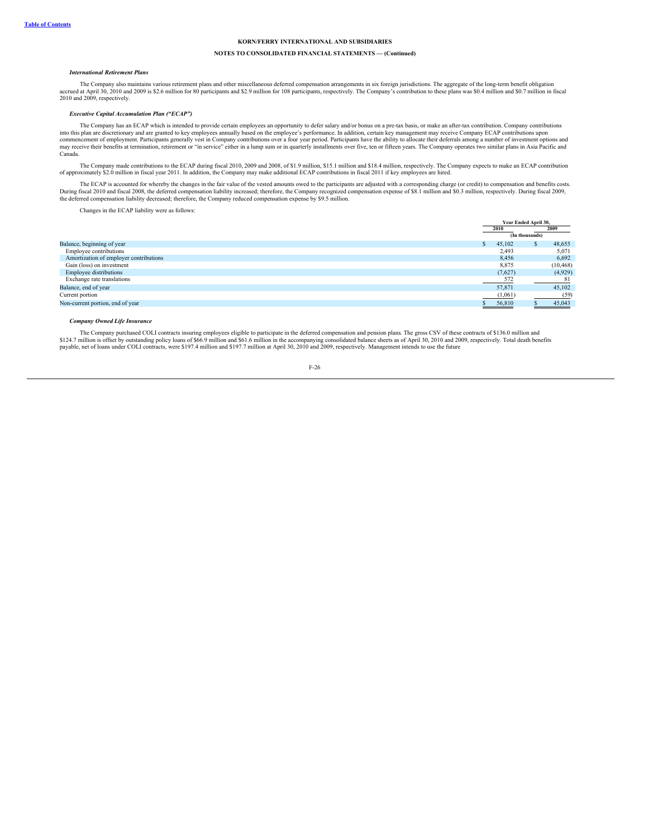# **NOTES TO CONSOLIDATED FINANCIAL STATEMENTS — (Continued)**

#### *International Retirement Plans*

The Company also maintains various retirement plans and other miscellaneous deferred compensation arrangements in six foreign jurisdictions. The aggregate of the long-term benefit obligation accrued at April 30, 2010 and 2009 is \$2.6 million for 80 participants and \$2.9 million for 108 participants, respectively. The Company's contribution to these plans was \$0.4 million and \$0.7 million in fiscal<br>2010 and 200

#### *Executive Capital Accumulation Plan ("ECAP")*

The Company has an ECAP which is intended to provide certain employees an opportunity to defer salary and/or bonus on a pre-tax basis, or make an after-tax contribution. Company contributions into this plan are discretionary and are granted to key employees annually based on the employee's performance. In addition, certain key management may receive Company ECAP contributions upon<br>commencement of employment. Pa may receive their benefits at termination, retirement or "in service" either in a lump sum or in quarterly installments over five, ten or fifteen years. The Company operates two similar plans in Asia Pacific and Canada.

The Company made contributions to the ECAP during fiscal 2010, 2009 and 2008, of \$1.9 million, \$15.1 million and \$18.4 million, respectively. The Company expects to make an ECAP contribution of approximately \$2.0 million in fiscal year 2011. In addition, the Company may make additional ECAP contributions in fiscal 2011 if key employees are hired.

The ECAP is accounted for whereby the changes in the fair value of the vested amounts owed to the participants are adjusted with a corresponding charge (or credit) to compensation and benefits costs. During fiscal 2010 and fiscal 2008, the deferred compensation liability increased; therefore, the Company recognized compensation expense of \$8.1 million and \$0.3 million, respectively. During fiscal 2009,<br>the deferred com

Changes in the ECAP liability were as follows:

|                                        |               | Year Ended April 30, |                |           |
|----------------------------------------|---------------|----------------------|----------------|-----------|
|                                        |               | 2010                 |                | 2009      |
|                                        |               |                      | (In thousands) |           |
| Balance, beginning of year             | $\mathcal{L}$ | 45,102               |                | 48,655    |
| Employee contributions                 |               | 2,493                |                | 5,071     |
| Amortization of employer contributions |               | 8,456                |                | 6,692     |
| Gain (loss) on investment              |               | 8,875                |                | (10, 468) |
| <b>Employee distributions</b>          |               | (7,627)              |                | (4,929)   |
| Exchange rate translations             |               | 572                  |                |           |
| Balance, end of year                   |               | 57,871               |                | 45.102    |
| Current portion                        |               | (1,061)              |                | (59)      |
| Non-current portion, end of year       |               | 56,810               |                | 45,043    |

### *Company Owned Life Insurance*

The Company purchased COLI contracts insuring employees eligible to participate in the deferred compensation and pension plans. The gross CSV of these contracts of \$136.0 million and \$124.7 million is offset by outstanding policy loans of \$66.9 million and \$61.6 million in the accompanying consolidated balance sheets as of April 30, 2010 and 2009, respectively. Total death benefits<br>payable, net of loan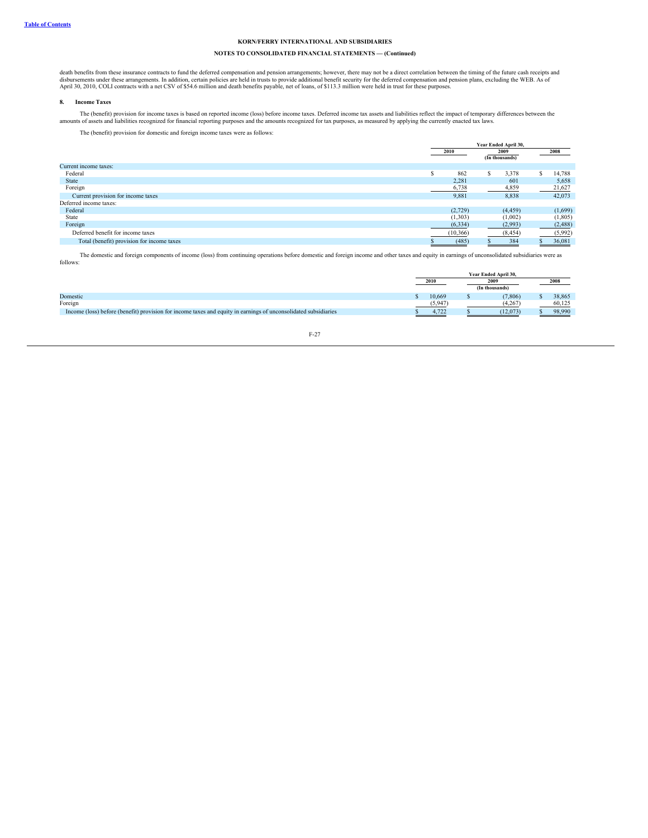# **NOTES TO CONSOLIDATED FINANCIAL STATEMENTS — (Continued)**

death benefits from these insurance contracts to fund the deferred compensation and pension arrangements; however, there may not be a direct correlation between the timing of the future cash receipts and destruined by the

#### **8. Income Taxes**

The (benefit) provision for income taxes is based on reported income (loss) before income taxes. Deferred income tax assets and liabilities reflect the impact of temporary differences between the amounts reagnized for than

The (benefit) provision for domestic and foreign income taxes were as follows:

|                                            |           | Year Ended April 30, |   |                |      |         |  |
|--------------------------------------------|-----------|----------------------|---|----------------|------|---------|--|
|                                            | 2010      | 2009                 |   |                | 2008 |         |  |
|                                            |           |                      |   | (In thousands) |      |         |  |
| Current income taxes:                      |           |                      |   |                |      |         |  |
| Federal                                    | C.<br>ь   | 862                  | S | 3,378          |      | 14,788  |  |
| <b>State</b>                               |           | 2,281                |   | 601            |      | 5,658   |  |
| Foreign                                    |           | 6,738                |   | 4,859          |      | 21,627  |  |
| Current provision for income taxes         |           | 9,881                |   | 8,838          |      | 42,073  |  |
| Deferred income taxes:                     |           |                      |   |                |      |         |  |
| Federal                                    |           | (2,729)              |   | (4, 459)       |      | (1,699) |  |
| State                                      |           | (1,303)              |   | (1,002)        |      | (1,805) |  |
| Foreign                                    |           | (6, 334)             |   | (2,993)        |      | (2,488) |  |
| Deferred benefit for income taxes          | (10, 366) |                      |   | (8, 454)       |      | (5,992) |  |
| Total (benefit) provision for income taxes |           | (485)                |   | 384            |      | 36,081  |  |

The domestic and foreign components of income (loss) from continuing operations before domestic and foreign income and other taxes and equity in earnings of unconsolidated subsidiaries were as follows:

|                                                                                                                 | Year Ended April 30. |      |          |  |        |  |
|-----------------------------------------------------------------------------------------------------------------|----------------------|------|----------|--|--------|--|
|                                                                                                                 | 2010                 | 2009 |          |  | 2008   |  |
|                                                                                                                 | (In thousands)       |      |          |  |        |  |
| Domestic                                                                                                        | 10.669               |      | (7.806)  |  | 38.865 |  |
| Foreign                                                                                                         | (5,947)              |      | (4.267)  |  | 60.125 |  |
| Income (loss) before (benefit) provision for income taxes and equity in earnings of unconsolidated subsidiaries | 4.722                |      | (12.073) |  | 98,990 |  |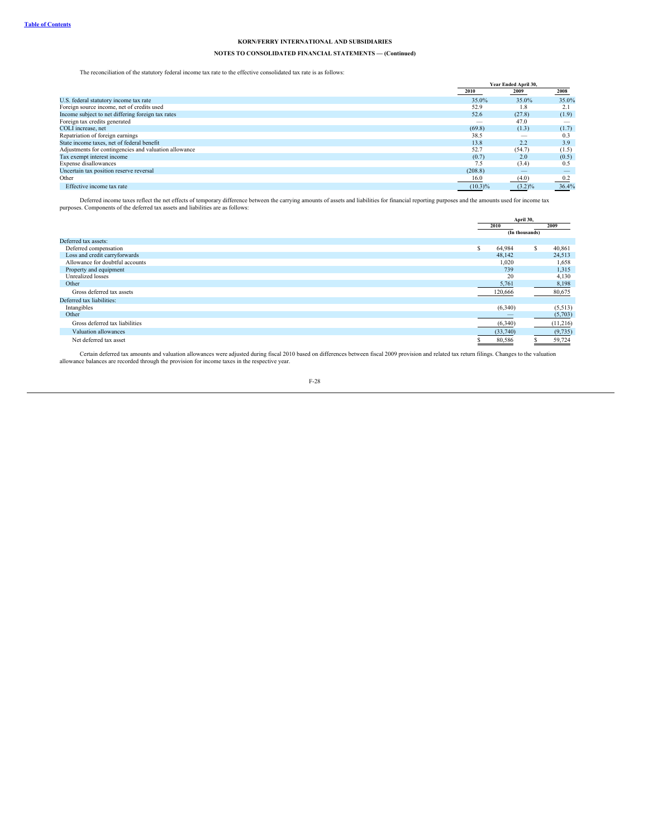# **NOTES TO CONSOLIDATED FINANCIAL STATEMENTS — (Continued)**

The reconciliation of the statutory federal income tax rate to the effective consolidated tax rate is as follows:

|                                                       |            | Year Ended April 30, |                      |  |
|-------------------------------------------------------|------------|----------------------|----------------------|--|
|                                                       | 2010       | 2009                 | 2008                 |  |
| U.S. federal statutory income tax rate                | 35.0%      | 35.0%                | 35.0%                |  |
| Foreign source income, net of credits used            | 52.9       | 1.8                  | 2.1                  |  |
| Income subject to net differing foreign tax rates     | 52.6       | (27.8)               | (1.9)                |  |
| Foreign tax credits generated                         | __         | 47.0                 |                      |  |
| COLI increase, net                                    | (69.8)     | (1.3)                | (1.7)                |  |
| Repatriation of foreign earnings                      | 38.5       |                      | 0.3                  |  |
| State income taxes, net of federal benefit            | 13.8       | 2.2                  | 3.9                  |  |
| Adjustments for contingencies and valuation allowance | 52.7       | (54.7)               | (1.5)                |  |
| Tax exempt interest income                            | (0.7)      | 2.0                  | (0.5)                |  |
| Expense disallowances                                 | 7.5        | (3.4)                | 0.5                  |  |
| Uncertain tax position reserve reversal               | (208.8)    |                      |                      |  |
| Other                                                 | 16.0       | (4.0)                |                      |  |
| Effective income tax rate                             | $(10.3)\%$ | $(3.2)\%$            | $\frac{0.2}{36.4\%}$ |  |

Deferred income taxes reflect the net effects of temporary difference between the carrying amounts of assets and liabilities for financial reporting purposes and the amounts used for income tax purposes. Components of the

|                                 |      |          | April 30,      |          |
|---------------------------------|------|----------|----------------|----------|
|                                 | 2010 |          |                | 2009     |
|                                 |      |          | (In thousands) |          |
| Deferred tax assets:            |      |          |                |          |
| Deferred compensation           | S    | 64,984   | ъ              | 40,861   |
| Loss and credit carryforwards   |      | 48,142   |                | 24,513   |
| Allowance for doubtful accounts |      | 1,020    |                | 1,658    |
| Property and equipment          |      | 739      |                | 1,315    |
| Unrealized losses               |      | 20       |                | 4,130    |
| Other                           |      | 5,761    |                | 8,198    |
| Gross deferred tax assets       |      | 120,666  |                | 80,675   |
| Deferred tax liabilities:       |      |          |                |          |
| Intangibles                     |      | (6,340)  |                | (5,513)  |
| Other                           |      |          |                | (5,703)  |
| Gross deferred tax liabilities  |      | (6,340)  |                | (11,216) |
| Valuation allowances            |      | (33,740) |                | (9, 735) |
| Net deferred tax asset          |      | 80,586   |                | 59,724   |

Certain deferred tax amounts and valuation allowances were adjusted during fiscal 2010 based on differences between fiscal 2009 provision and related tax return filings. Changes to the valuation allowance balances are reco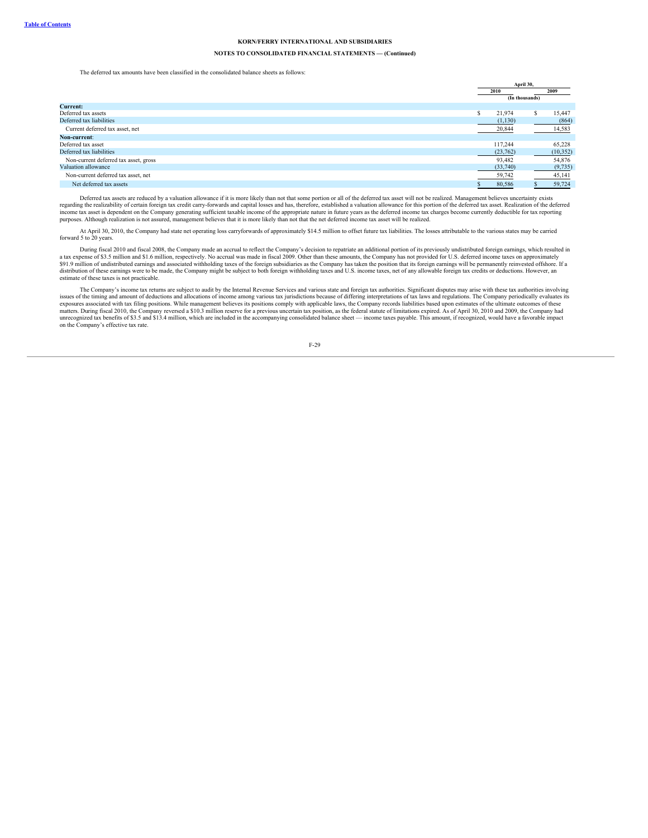### **NOTES TO CONSOLIDATED FINANCIAL STATEMENTS — (Continued)**

#### The deferred tax amounts have been classified in the consolidated balance sheets as follows:

|                                       |      | April 30,      |      |           |  |
|---------------------------------------|------|----------------|------|-----------|--|
|                                       | 2010 |                | 2009 |           |  |
|                                       |      | (In thousands) |      |           |  |
| Current:                              |      |                |      |           |  |
| Deferred tax assets                   | S    | 21,974         |      | 15,447    |  |
| Deferred tax liabilities              |      | (1,130)        |      | (864)     |  |
| Current deferred tax asset, net       |      | 20,844         |      | 14,583    |  |
| Non-current:                          |      |                |      |           |  |
| Deferred tax asset                    |      | 117.244        |      | 65.228    |  |
| Deferred tax liabilities              |      | (23,762)       |      | (10, 352) |  |
| Non-current deferred tax asset, gross |      | 93,482         |      | 54,876    |  |
| Valuation allowance                   |      | (33,740)       |      | (9,735)   |  |
| Non-current deferred tax asset, net   |      | 59,742         |      | 45,141    |  |
| Net deferred tax assets               |      | 80,586         |      | 59,724    |  |

Deferred tax assets are reduced by a valuation allowance if it is more likely than not that some portion or all of the deferred tax asset will not be realized. Management believes uncertainty exists regarding the realizability of certain foreign tax credit carry-forwards and capital losses and has, therefore, established a valuation allowance for this portion of the deferred tax asset. Realization of the deferred income tax asset is dependent on the Company generating sufficient taxable income of the appropriate nature in future years as the deferred income tax charges become currently deductible for tax reporting purposes. Although realization is not assured, management believes that it is more likely than not that the net deferred income tax asset will be realized.

At April 30, 2010, the Company had state net operating loss carryforwards of approximately \$14.5 million to offset future tax liabilities. The losses attributable to the various states may be carried forward 5 to 20 years.

During fiscal 2010 and fiscal 2008, the Company made an accrual to reflect the Company's decision to repatriate an additional portion of its previously undistributed foreign earnings, which resulted in a tax expense of \$3.5 million and \$1.6 million, respectively. No accrual was made in fiscal 2009. Other than these amounts, the Company has not provided for U.S. deferred income taxes on approximately still in the set of a estimate of these taxes is not practicable.

The Company's income tax returns are subject to audit by the Internal Revenue Services and various state and foreign tax authorities. Significant disputes may arise with these tax authorities involving issues of the timing and amount of deductions and allocations of income among various tax jurisdictions because of differing interpretations of tax laws and regulations. The Company periodically evaluates its<br>exposures ass unrecognized tax benefits of \$3.5 and \$13.4 million, which are included in the accompanying consolidated balance sheet — income taxes payable. This amount, if recognized, would have a favorable impact on the Company's effective tax rate.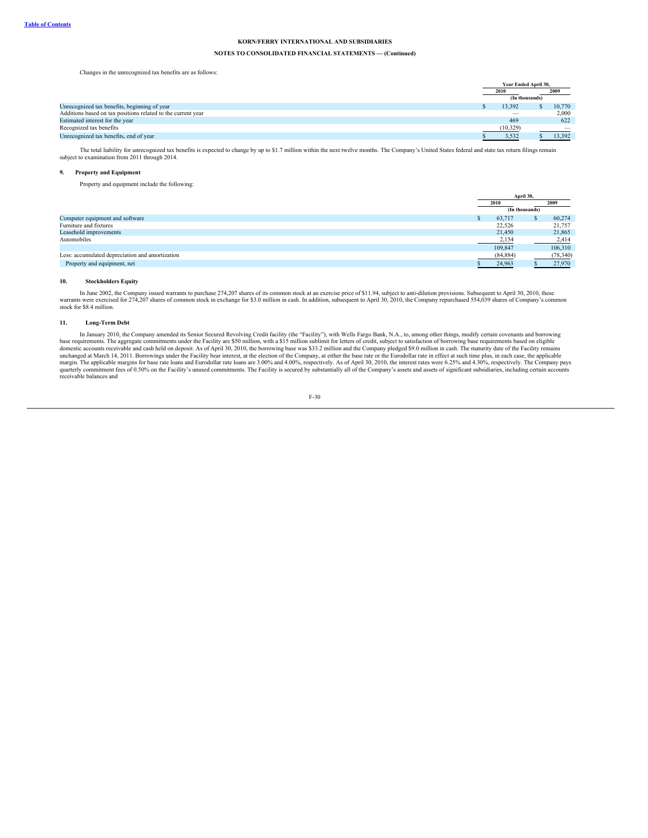# **NOTES TO CONSOLIDATED FINANCIAL STATEMENTS — (Continued)**

Changes in the unrecognized tax benefits are as follows:

|                                                              | Year Ended April 30,     |  |        |  |
|--------------------------------------------------------------|--------------------------|--|--------|--|
|                                                              | 2010                     |  | 2009   |  |
|                                                              | (In thousands)           |  |        |  |
| Unrecognized tax benefits, beginning of year                 | 13.392                   |  | 10,770 |  |
| Additions based on tax positions related to the current year | $\overline{\phantom{a}}$ |  | 2.000  |  |
| Estimated interest for the year                              | 469                      |  | 622    |  |
| Recognized tax benefits                                      | (10, 329)                |  |        |  |
| Unrecognized tax benefits, end of year                       | 3,532                    |  | 13,392 |  |
|                                                              |                          |  |        |  |

The total liability for unrecognized tax benefits is expected to change by up to \$1.7 million within the next twelve months. The Company's United States federal and state tax return filings remain subject to examination from 2011 through 2014.

# **9. Property and Equipment**

Property and equipment include the following:

|                                                 |                | April 30, |           |  |
|-------------------------------------------------|----------------|-----------|-----------|--|
|                                                 | 2010           |           | 2009      |  |
|                                                 | (In thousands) |           |           |  |
| Computer equipment and software                 | 63,717         |           | 60,274    |  |
| Furniture and fixtures                          | 22.526         |           | 21,757    |  |
| Leasehold improvements                          | 21,450         |           | 21,865    |  |
| Automobiles                                     | 2,154          |           | 2,414     |  |
|                                                 | 109,847        |           | 106,310   |  |
| Less: accumulated depreciation and amortization | (84, 884)      |           | (78, 340) |  |
| Property and equipment, net                     | 24,963         |           | 27,970    |  |

#### **10. Stockholders Equity**

In June 2002, the Company issued warrants to purchase 274,207 shares of its common stock at an exercise price of \$11.94, subject to anti-dilution provisions. Subsequent to April 30, 2010, these warrants were exercised for 274,207 shares of common stock in exchange for \$3.0 million in cash. In addition, subsequent to April 30, 2010, the Company repurchased 554,039 shares of Company's common stock for \$8.4 million.

### **11. Long-Term Debt**

In January 2010, the Company amended its Senior Secured Revolving Credit facility (the "Facility"), with Wells Fargo Bank, N.A., to, among other things, modify certain covenants and borrowing<br>base requirements. The aggrega domestic accounts receivable and cash held on deposit. As of April 30, 2010, the borrowing base was \$33.2 million and the Company pledged \$9.0 million in cash. The maturity date of the Facility remains unchanged at March 1

$$
F-30
$$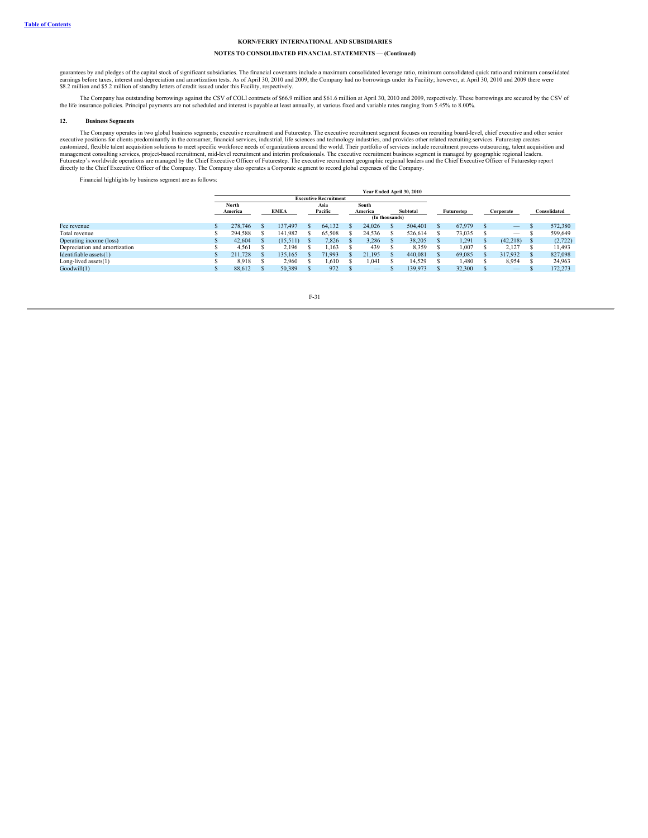# **NOTES TO CONSOLIDATED FINANCIAL STATEMENTS — (Continued)**

guarantees by and pledges of the capital stock of significant subsidiaries. The financial covenants include a maximum consolidated leverage ratio, minimum consolidated quick ratio and minimum consolidated earnings before taxes, interest and depreciation and amortization tests. As of April 30, 2010 and 2009, the Company had no borrowings under its Facility; however, at April 30, 2010 and 2009 there were<br>\$8.2 million and \$5.2

The Company has outstanding borrowings against the CSV of COLI contracts of \$66.9 million and \$61.6 million at April 30, 2010 and 2009, respectively. These borrowings are secured by the CSV of the life insurance policies. Principal payments are not scheduled and interest is payable at least annually, at various fixed and variable rates ranging from 5.45% to 8.00%.

#### **12. Business Segments**

The Company operates in two global business segments; executive recruitment and Futurestep. The executive recruitment segment focuses on recruiting board-level, chief executive and other senior executive positions for clie

Financial highlights by business segment are as follows:

|                               |                              |  |             |                 |        |                  |        |          | Year Ended April 30, 2010 |            |        |           |                          |              |         |
|-------------------------------|------------------------------|--|-------------|-----------------|--------|------------------|--------|----------|---------------------------|------------|--------|-----------|--------------------------|--------------|---------|
|                               | <b>Executive Recruitment</b> |  |             |                 |        |                  |        |          |                           |            |        |           |                          |              |         |
|                               | North<br>America             |  | <b>EMEA</b> | Asia<br>Pacific |        | South<br>America |        | Subtotal |                           | Futurestep |        | Corporate |                          | Consolidated |         |
|                               |                              |  |             | (In thousands)  |        |                  |        |          |                           |            |        |           |                          |              |         |
| Fee revenue                   | 278,746                      |  | 137,497     |                 | 64.132 |                  | 24.026 |          | 504,401                   |            | 67,979 |           | $\qquad \qquad -$        |              | 572,380 |
| Total revenue                 | 294.588                      |  | 141.982     |                 | 65,508 |                  | 24.536 |          | 526,614                   |            | 73.035 |           | $\hspace{0.05cm}$        |              | 599.649 |
| Operating income (loss)       | 42,604                       |  | (15.511)    |                 | 7.826  |                  | 3,286  |          | 38.205                    |            | 1.291  |           | (42,218)                 |              | (2,722) |
| Depreciation and amortization | 4.561                        |  | 2.196       |                 | 1,163  |                  | 439    |          | 8,359                     |            | 1,007  |           | 2.127                    |              | 11,493  |
| Identifiable assets(1)        | 211,728                      |  | 135.165     |                 | 71.993 |                  | 21.195 |          | 440,081                   |            | 69.085 |           | 317.932                  |              | 827,098 |
| Long-lived assets $(1)$       | 8.918                        |  | 2,960       |                 | 1.610  |                  | 1.041  |          | 14.529                    |            | 1,480  |           | 8,954                    |              | 24,963  |
| Goodwill(1)                   | 88.612                       |  | 50.389      |                 | 972    |                  |        |          | 139,973                   |            | 32,300 |           | $\overline{\phantom{m}}$ |              | 172,273 |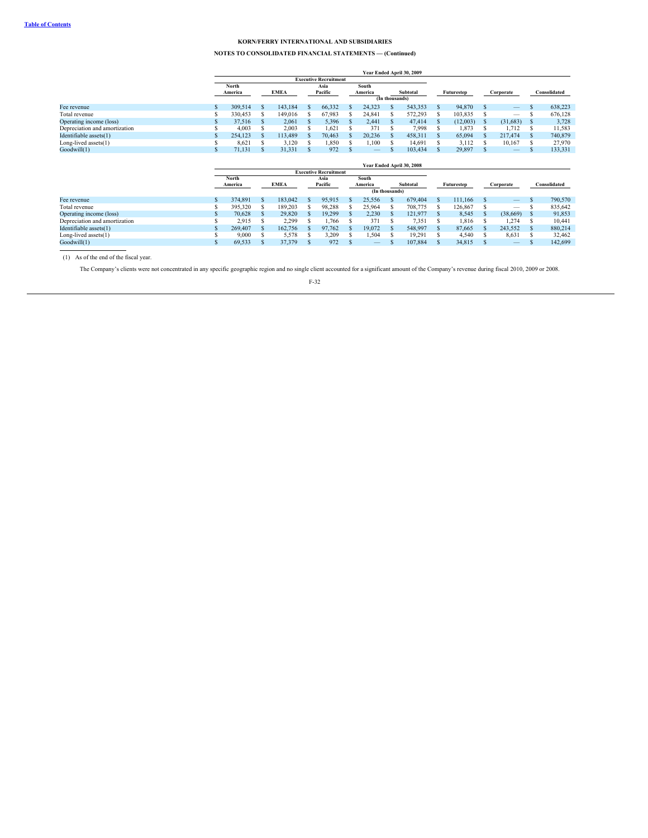## **NOTES TO CONSOLIDATED FINANCIAL STATEMENTS — (Continued)**

|                               | Year Ended April 30, 2009 |  |             |               |                              |  |                   |                |          |  |            |  |                          |   |              |  |
|-------------------------------|---------------------------|--|-------------|---------------|------------------------------|--|-------------------|----------------|----------|--|------------|--|--------------------------|---|--------------|--|
|                               |                           |  |             |               | <b>Executive Recruitment</b> |  |                   |                |          |  |            |  |                          |   |              |  |
|                               | North                     |  |             | South<br>Asia |                              |  |                   |                |          |  |            |  |                          |   |              |  |
|                               | America                   |  | <b>EMEA</b> |               | Pacific                      |  | America           |                | Subtotal |  | Futurestep |  | Corporate                |   | Consolidated |  |
|                               |                           |  |             |               |                              |  |                   | (In thousands) |          |  |            |  |                          |   |              |  |
| Fee revenue                   | 309.514                   |  | 143.184     |               | 66.332                       |  | 24.323            |                | 543.353  |  | 94,870     |  | $\frac{1}{2}$            |   | 638,223      |  |
| Total revenue                 | 330,453                   |  | 149,016     |               | 67.983                       |  | 24.841            |                | 572.293  |  | 103.835    |  | $\overline{\phantom{a}}$ |   | 676.128      |  |
| Operating income (loss)       | 37.516                    |  | 2.061       |               | 5,396                        |  | 2.441             |                | 47,414   |  | (12.003)   |  | (31,683)                 |   | 3,728        |  |
| Depreciation and amortization | 4.003                     |  | 2.003       |               | 1,621                        |  | 371               |                | 7.998    |  | 1.873      |  | 1.712                    |   | 11,583       |  |
| Identifiable assets(1)        | 254.123                   |  | 113,489     |               | 70.463                       |  | 20.236            |                | 458.311  |  | 65,094     |  | 217,474                  |   | 740,879      |  |
| Long-lived assets $(1)$       | 8.621                     |  | 3,120       |               | 1,850                        |  | 1.100             |                | 14.691   |  | 3.112      |  | 10,167                   |   | 27,970       |  |
| Goodwill(1)                   | 71,131                    |  | 31,331      |               | 972                          |  | $\qquad \qquad -$ |                | 103,434  |  | 29,897     |  | $\overline{\phantom{m}}$ | ъ | 133,331      |  |
|                               |                           |  |             |               |                              |  |                   |                |          |  |            |  |                          |   |              |  |

|                               |                  |  |             |  |                              |  |                  |  | Year Ended April 30, 2008 |  |            |  |                          |  |              |  |
|-------------------------------|------------------|--|-------------|--|------------------------------|--|------------------|--|---------------------------|--|------------|--|--------------------------|--|--------------|--|
|                               |                  |  |             |  | <b>Executive Recruitment</b> |  |                  |  |                           |  |            |  |                          |  |              |  |
|                               | North<br>America |  | <b>EMEA</b> |  | Asia<br>Pacific              |  | South<br>America |  | Subtotal                  |  | Futurestep |  | Corporate                |  | Consolidated |  |
|                               |                  |  |             |  |                              |  | (In thousands)   |  |                           |  |            |  |                          |  |              |  |
| Fee revenue                   | 374,891          |  | 183,042     |  | 95,915                       |  | 25.556           |  | 679,404                   |  | 111.166    |  | $\qquad \qquad -$        |  | 790,570      |  |
| Total revenue                 | 395.320          |  | 189.203     |  | 98.288                       |  | 25,964           |  | 708,775                   |  | 126.867    |  | $\overline{\phantom{m}}$ |  | 835,642      |  |
| Operating income (loss)       | 70.628           |  | 29,820      |  | 19.299                       |  | 2.230            |  | 121.977                   |  | 8,545      |  | (38,669)                 |  | 91,853       |  |
| Depreciation and amortization | 2.915            |  | 2.299       |  | .,766                        |  | 371              |  | 7,351                     |  | 1.816      |  | 1.274                    |  | 10,441       |  |
| Identifiable assets(1)        | 269,407          |  | 162,756     |  | 97.762                       |  | 19.072           |  | 548,997                   |  | 87.665     |  | 243.552                  |  | 880,214      |  |
| Long-lived assets $(1)$       | 9,000            |  | 5.578       |  | 3.209                        |  | 1,504            |  | 19.291                    |  | 4.540      |  | 8,631                    |  | 32,462       |  |
| Goodwill(1)                   | 69,533           |  | 37.379      |  | 972                          |  |                  |  | 107.884                   |  | 34.815     |  | $\overline{\phantom{m}}$ |  | 142,699      |  |

(1) As of the end of the fiscal year.

The Company's clients were not concentrated in any specific geographic region and no single client accounted for a significant amount of the Company's revenue during fiscal 2010, 2009 or 2008.

F-32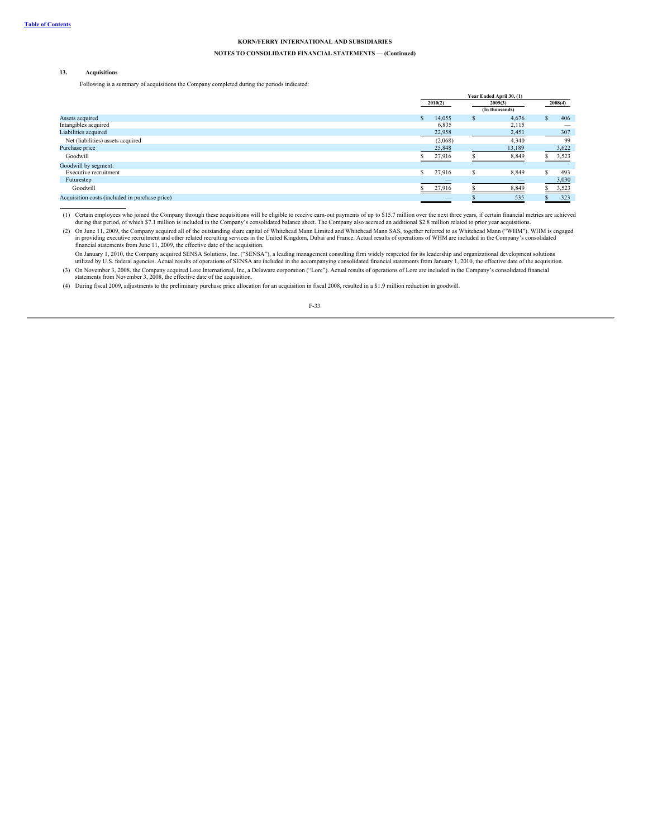### **NOTES TO CONSOLIDATED FINANCIAL STATEMENTS — (Continued)**

#### **13. Acquisitions**

Following is a summary of acquisitions the Company completed during the periods indicated:

|                                                |   | Year Ended April 30, (1) |                |               |         |  |  |
|------------------------------------------------|---|--------------------------|----------------|---------------|---------|--|--|
|                                                |   | 2010(2)                  | 2009(3)        |               | 2008(4) |  |  |
|                                                |   |                          | (In thousands) |               |         |  |  |
| Assets acquired                                | S | 14,055<br>S              | 4,676          | S.            | 406     |  |  |
| Intangibles acquired                           |   | 6,835                    | 2,115          |               |         |  |  |
| Liabilities acquired                           |   | 22,958                   | 2,451          |               | 307     |  |  |
| Net (liabilities) assets acquired              |   | (2,068)                  | 4,340          |               | 99      |  |  |
| Purchase price                                 |   | 25,848                   | 13,189         |               | 3,622   |  |  |
| Goodwill                                       |   | 27,916                   | 8,849          |               | \$3,523 |  |  |
| Goodwill by segment:                           |   |                          |                |               |         |  |  |
| Executive recruitment                          | S | 27,916<br>S              | 8,849          |               | 493     |  |  |
| Futurestep                                     |   |                          |                |               | 3,030   |  |  |
| Goodwill                                       |   | 27,916                   | 8,849          | $\mathcal{L}$ | 3,523   |  |  |
| Acquisition costs (included in purchase price) |   |                          | 535            |               | 323     |  |  |
|                                                |   |                          |                |               |         |  |  |

(1) Certain employees who joined the Company through these acquisitions will be eligible to receive earn-out payments of up to \$15.7 million over the next three years, if certain financial metrics are achieved<br>during that

(2) On June 11, 2009, the Company acquired all of the outstanding share capital of Whitehead Mann Limited and Whitehead Mann SAS, together referred to as Whitehead Mann ("WHM"). WHM is engaged in providing executive recruitment and other related recruiting services in the United Kingdom, Dubai and France. Actual results of operations of WHM are included in the Company's consolidated<br>financial statements from Jun

On January 1, 2010, the Company acquired SENSA Solutions, Inc. ("SENSA"), a leading management consulting firm widely respected for its leadership and organizational development solutions utilized by U.S. federal agencies. Actual results of operations of SENSA are included in the accompanying consolidated financial statements from January 1, 2010, the effective date of the acquisition.

(3) On November 3, 2008, the Company acquired Lore International, Inc, a Delaware corporation ("Lore"). Actual results of operations of Lore are included in the Company's consolidated financial statements from November 3,

(4) During fiscal 2009, adjustments to the preliminary purchase price allocation for an acquisition in fiscal 2008, resulted in a \$1.9 million reduction in goodwill.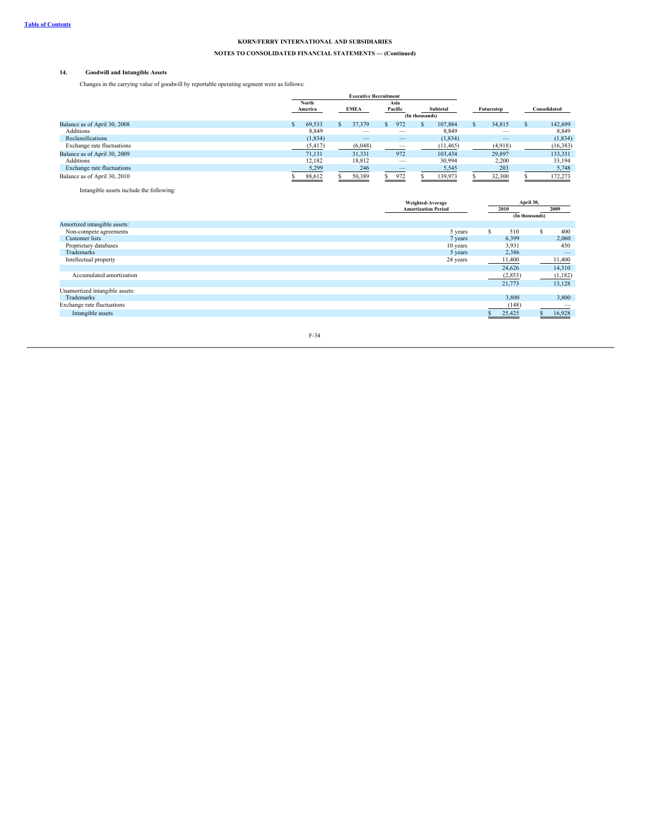# **NOTES TO CONSOLIDATED FINANCIAL STATEMENTS — (Continued)**

## **14. Goodwill and Intangible Assets**

Changes in the carrying value of goodwill by reportable operating segment were as follows:

|                              | <b>Executive Recruitment</b> |          |  |             |    |                 |                            |           |            |                          |              |              |
|------------------------------|------------------------------|----------|--|-------------|----|-----------------|----------------------------|-----------|------------|--------------------------|--------------|--------------|
|                              | North<br>America             |          |  | <b>EMEA</b> |    | Asia<br>Pacific | Subtotal<br>(In thousands) |           | Futurestep |                          |              | Consolidated |
| Balance as of April 30, 2008 |                              | 69,533   |  | 37,379      | .n | 972             |                            | 107,884   |            | 34,815                   | <sup>S</sup> | 142,699      |
| <b>Additions</b>             |                              | 8,849    |  |             |    | __              |                            | 8,849     |            |                          |              | 8,849        |
| Reclassifications            |                              | (1, 834) |  |             |    |                 |                            | (1, 834)  |            | $\overline{\phantom{m}}$ |              | (1, 834)     |
| Exchange rate fluctuations   |                              | (5, 417) |  | (6,048)     |    | __              |                            | (11, 465) |            | (4,918)                  |              | (16, 383)    |
| Balance as of April 30, 2009 |                              | 71.131   |  | 31.331      |    | 972             |                            | 103.434   |            | 29.897                   |              | 133,331      |
| <b>Additions</b>             |                              | 12.182   |  | 18,812      |    |                 |                            | 30,994    |            | 2,200                    |              | 33,194       |
| Exchange rate fluctuations   |                              | 5,299    |  | 246         |    | _               |                            | 5,545     |            | 203                      |              | 5,748        |
| Balance as of April 30, 2010 |                              | 88,612   |  | 50,389      |    | 972             |                            | 139,973   |            | 32,300                   |              | 172,273      |

Intangible assets include the following:

|                                | Weighted-Average           |          | April 30,      |
|--------------------------------|----------------------------|----------|----------------|
|                                | <b>Amortization Period</b> | 2010     | 2009           |
|                                |                            |          | (In thousands) |
| Amortized intangible assets:   |                            |          |                |
| Non-compete agreements         | 5 years                    | 510      | 400            |
| <b>Customer</b> lists          | 7 years                    | 6,399    | 2,060          |
| Proprietary databases          | 10 years                   | 3,931    | 450            |
| Trademarks                     | 5 years                    | 2,386    |                |
| Intellectual property          | 24 years                   | 11,400   | 11,400         |
|                                |                            | 24,626   | 14,310         |
| Accumulated amortization       |                            | (2, 853) | (1,182)        |
|                                |                            | 21,773   | 13,128         |
| Unamortized intangible assets: |                            |          |                |
| Trademarks                     |                            | 3,800    | 3,800          |
| Exchange rate fluctuations     |                            | (148)    |                |
| Intangible assets              |                            | 25,425   | 16,928         |
|                                |                            |          |                |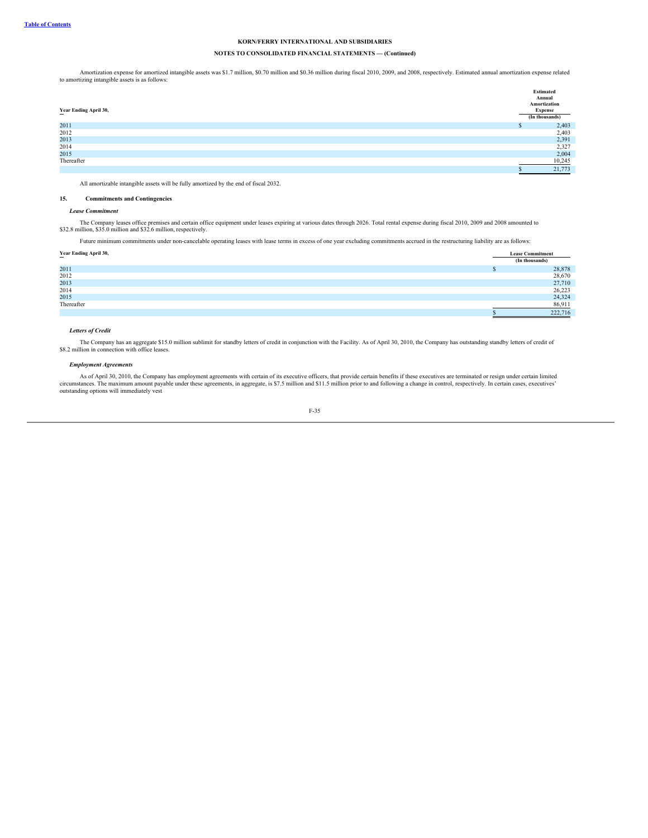### **NOTES TO CONSOLIDATED FINANCIAL STATEMENTS — (Continued)**

Amortization expense for amortized intangible assets was \$1.7 million, \$0.70 million and \$0.36 million during fiscal 2010, 2009, and 2008, respectively. Estimated annual amortization expense related to amortizing intangible assets is as follows:

|                       | Estimated      |
|-----------------------|----------------|
|                       | Annual         |
|                       | Amortization   |
| Year Ending April 30, | <b>Expense</b> |
|                       | (In thousands) |
| 2011                  | 2,403          |
| 2012                  | 2,403          |
| 2013                  | 2,391          |
| 2014                  | 2,327          |
| 2015                  | 2,004          |
| Thereafter            | 10,245         |
|                       | 21,773         |

All amortizable intangible assets will be fully amortized by the end of fiscal 2032.

### **15. Commitments and Contingencies**

### *Lease Commitment*

The Company leases office premises and certain office equipment under leases expiring at various dates through 2026. Total rental expense during fiscal 2010, 2009 and 2008 amounted to<br>\$32.8 million, \$35.0 million and \$32.6

Future minimum commitments under non-cancelable operating leases with lease terms in excess of one year excluding commitments accrued in the restructuring liability are as follows:

### **Year Ending April 30, Lease Commitment**

|            | (In thousands) |
|------------|----------------|
| 2011       | 28,878         |
| 2012       | 28,670         |
| 2013       | 27,710         |
| 2014       | 26,223         |
| 2015       | 24,324         |
| Thereafter | 86,911         |
|            | 222,716        |

### *Letters of Credit*

The Company has an aggregate \$15.0 million sublimit for standby letters of credit in conjunction with the Facility. As of April 30, 2010, the Company has outstanding standby letters of credit of \$8.2 million in connection

#### *Employment Agreements*

As of April 30, 2010, the Company has employment agreements with certain of its executive officers, that provide certain benefits if these executives are terminated or resign under certain limited circumstances. The maximu outstanding options will immediately vest

$$
F-35
$$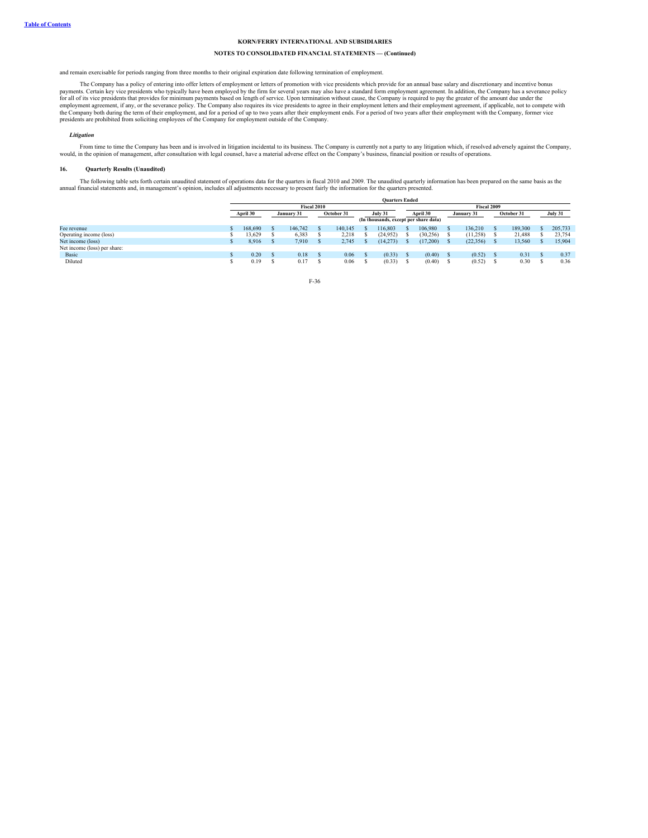### **NOTES TO CONSOLIDATED FINANCIAL STATEMENTS — (Continued)**

and remain exercisable for periods ranging from three months to their original expiration date following termination of employment.

The Company has a policy of entering into offer letters of employment or letters of promotion with vice presidents which provide for an annual base salary and discretionary and incentive bonus payments. Certain key vice presidents who typically have been employed by the firm for several years may also have a standard form employment agreement. In addition, the Company has a severance policy for all of its vice p

#### *Litigation*

From time to time the Company has been and is involved in litigation incidental to its business. The Company is currently not a party to any litigation which, if resolved adversely against the Company, would, in the opinio

#### **16. Quarterly Results (Unaudited)**

The following table sets forth certain unaudited statement of operations data for the quarters in fiscal 2010 and 2009. The unaudited quarterly information has been prepared on the same basis as the annual financial statements and, in management's opinion, includes all adjustments necessary to present fairly the information for the quarters presented.

|                              | <b>Ouarters Ended</b> |            |         |             |                       |  |                                       |  |             |  |            |  |         |  |         |  |
|------------------------------|-----------------------|------------|---------|-------------|-----------------------|--|---------------------------------------|--|-------------|--|------------|--|---------|--|---------|--|
|                              |                       |            |         | Fiscal 2010 |                       |  |                                       |  | Fiscal 2009 |  |            |  |         |  |         |  |
|                              | April 30              | January 31 |         |             | October 31<br>July 31 |  | April 30                              |  | January 31  |  | October 31 |  | July 31 |  |         |  |
|                              |                       |            |         |             |                       |  | (In thousands, except per share data) |  |             |  |            |  |         |  |         |  |
| Fee revenue                  | 168,690               |            | 146,742 |             | 140.145               |  | 16.803                                |  | 106,980     |  | 136.210    |  | 189,300 |  | 205,733 |  |
| Operating income (loss)      | 13.629                |            | 6.383   |             | 2,218                 |  | (24.952)                              |  | (30, 256)   |  | (11,258)   |  | 21,488  |  | 23.754  |  |
| Net income (loss)            | 8.916                 |            | 7.910   |             | 2,745                 |  | (14,273)                              |  | (17,200)    |  | (22, 356)  |  | 13.560  |  | 15.904  |  |
| Net income (loss) per share: |                       |            |         |             |                       |  |                                       |  |             |  |            |  |         |  |         |  |
| Basic                        | 0.20                  |            | 0.18    |             | 0.06                  |  | (0.33)                                |  | (0.40)      |  | (0.52)     |  | 0.31    |  | 0.37    |  |
| Diluted                      | 0.19                  |            | 0.17    |             | 0.06                  |  | (0.33)                                |  | (0.40)      |  | (0.52)     |  | 0.30    |  | 0.36    |  |

F-36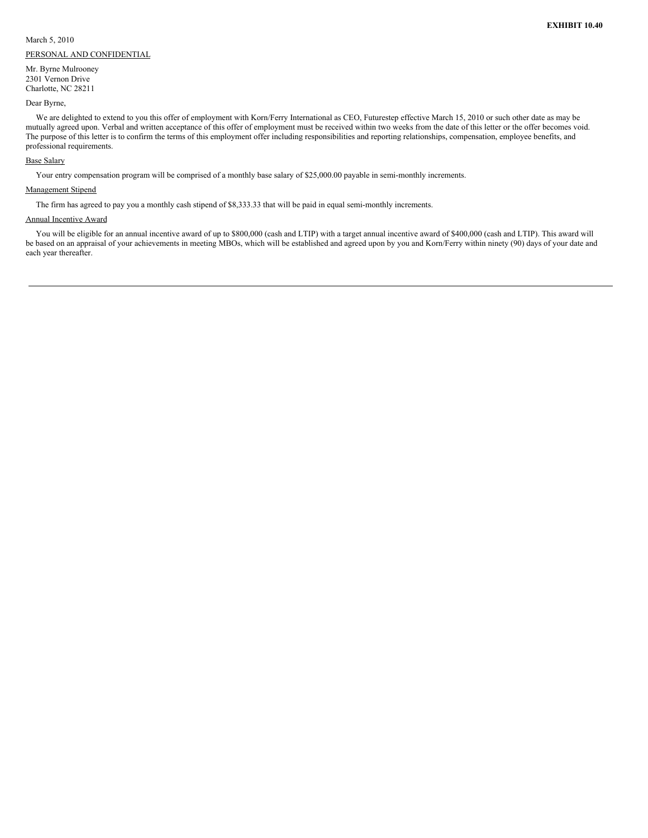March 5, 2010 PERSONAL AND CONFIDENTIAL

Mr. Byrne Mulrooney 2301 Vernon Drive Charlotte, NC 28211

Dear Byrne,

We are delighted to extend to you this offer of employment with Korn/Ferry International as CEO, Futurestep effective March 15, 2010 or such other date as may be mutually agreed upon. Verbal and written acceptance of this offer of employment must be received within two weeks from the date of this letter or the offer becomes void. The purpose of this letter is to confirm the terms of this employment offer including responsibilities and reporting relationships, compensation, employee benefits, and professional requirements.

### Base Salary

Your entry compensation program will be comprised of a monthly base salary of \$25,000.00 payable in semi-monthly increments.

## Management Stipend

The firm has agreed to pay you a monthly cash stipend of \$8,333.33 that will be paid in equal semi-monthly increments.

### Annual Incentive Award

You will be eligible for an annual incentive award of up to \$800,000 (cash and LTIP) with a target annual incentive award of \$400,000 (cash and LTIP). This award will be based on an appraisal of your achievements in meeting MBOs, which will be established and agreed upon by you and Korn/Ferry within ninety (90) days of your date and each year thereafter.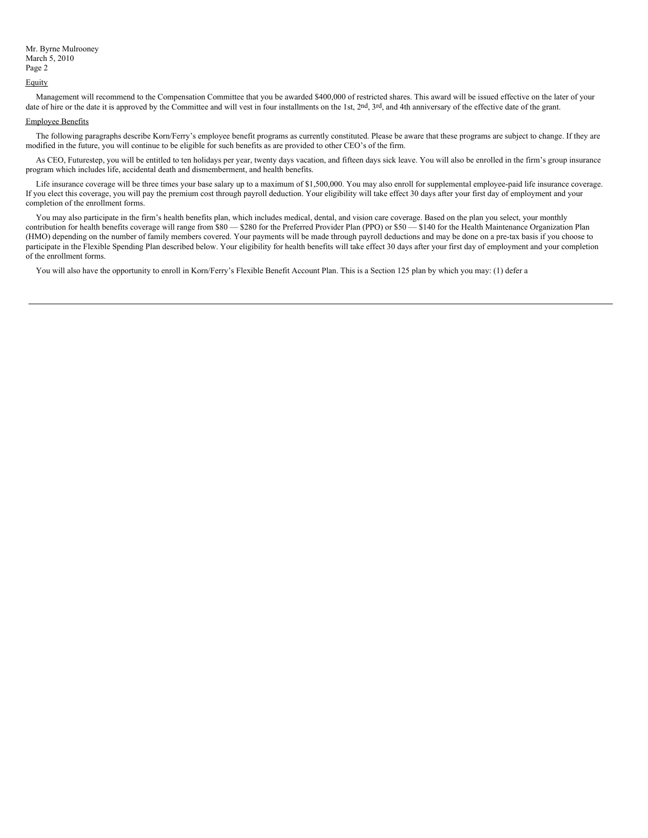### **Equity**

Management will recommend to the Compensation Committee that you be awarded \$400,000 of restricted shares. This award will be issued effective on the later of your date of hire or the date it is approved by the Committee and will vest in four installments on the 1st, 2nd, 3rd, and 4th anniversary of the effective date of the grant.

## Employee Benefits

The following paragraphs describe Korn/Ferry's employee benefit programs as currently constituted. Please be aware that these programs are subject to change. If they are modified in the future, you will continue to be eligible for such benefits as are provided to other CEO's of the firm.

As CEO, Futurestep, you will be entitled to ten holidays per year, twenty days vacation, and fifteen days sick leave. You will also be enrolled in the firm's group insurance program which includes life, accidental death and dismemberment, and health benefits.

Life insurance coverage will be three times your base salary up to a maximum of \$1,500,000. You may also enroll for supplemental employee-paid life insurance coverage. If you elect this coverage, you will pay the premium cost through payroll deduction. Your eligibility will take effect 30 days after your first day of employment and your completion of the enrollment forms.

You may also participate in the firm's health benefits plan, which includes medical, dental, and vision care coverage. Based on the plan you select, your monthly contribution for health benefits coverage will range from \$80 — \$280 for the Preferred Provider Plan (PPO) or \$50 — \$140 for the Health Maintenance Organization Plan (HMO) depending on the number of family members covered. Your payments will be made through payroll deductions and may be done on a pre-tax basis if you choose to participate in the Flexible Spending Plan described below. Your eligibility for health benefits will take effect 30 days after your first day of employment and your completion of the enrollment forms.

You will also have the opportunity to enroll in Korn/Ferry's Flexible Benefit Account Plan. This is a Section 125 plan by which you may: (1) defer a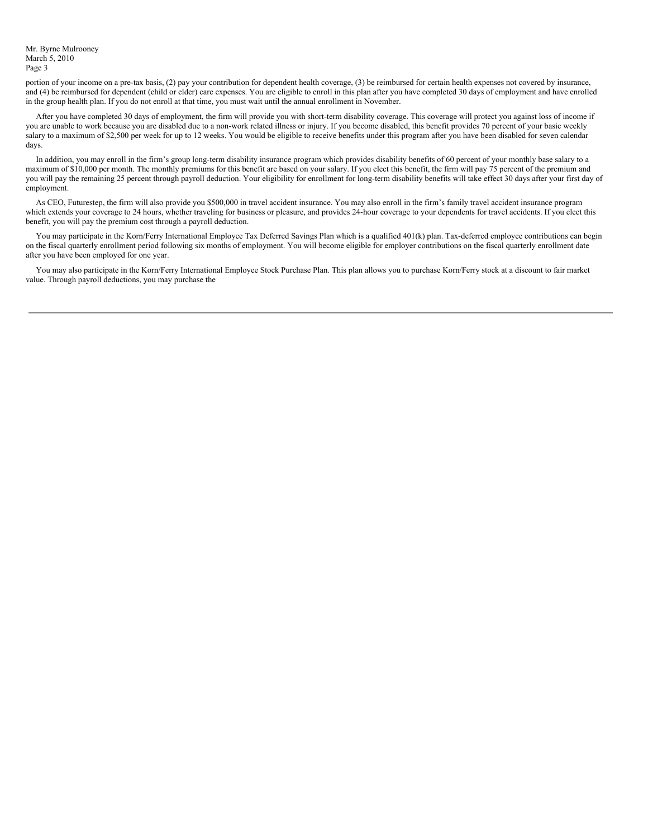Mr. Byrne Mulrooney March 5, 2010 Page 3

portion of your income on a pre-tax basis, (2) pay your contribution for dependent health coverage, (3) be reimbursed for certain health expenses not covered by insurance, and (4) be reimbursed for dependent (child or elder) care expenses. You are eligible to enroll in this plan after you have completed 30 days of employment and have enrolled in the group health plan. If you do not enroll at that time, you must wait until the annual enrollment in November.

After you have completed 30 days of employment, the firm will provide you with short-term disability coverage. This coverage will protect you against loss of income if you are unable to work because you are disabled due to a non-work related illness or injury. If you become disabled, this benefit provides 70 percent of your basic weekly salary to a maximum of \$2,500 per week for up to 12 weeks. You would be eligible to receive benefits under this program after you have been disabled for seven calendar days.

In addition, you may enroll in the firm's group long-term disability insurance program which provides disability benefits of 60 percent of your monthly base salary to a maximum of \$10,000 per month. The monthly premiums for this benefit are based on your salary. If you elect this benefit, the firm will pay 75 percent of the premium and you will pay the remaining 25 percent through payroll deduction. Your eligibility for enrollment for long-term disability benefits will take effect 30 days after your first day of employment.

As CEO, Futurestep, the firm will also provide you \$500,000 in travel accident insurance. You may also enroll in the firm's family travel accident insurance program which extends your coverage to 24 hours, whether traveling for business or pleasure, and provides 24-hour coverage to your dependents for travel accidents. If you elect this benefit, you will pay the premium cost through a payroll deduction.

You may participate in the Korn/Ferry International Employee Tax Deferred Savings Plan which is a qualified 401(k) plan. Tax-deferred employee contributions can begin on the fiscal quarterly enrollment period following six months of employment. You will become eligible for employer contributions on the fiscal quarterly enrollment date after you have been employed for one year.

You may also participate in the Korn/Ferry International Employee Stock Purchase Plan. This plan allows you to purchase Korn/Ferry stock at a discount to fair market value. Through payroll deductions, you may purchase the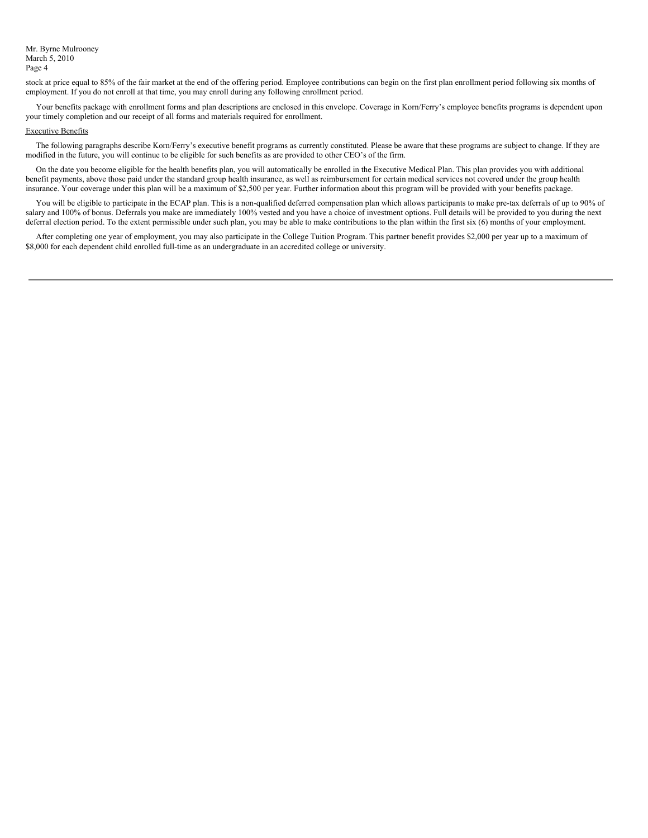Mr. Byrne Mulrooney March 5, 2010 Page 4

stock at price equal to 85% of the fair market at the end of the offering period. Employee contributions can begin on the first plan enrollment period following six months of employment. If you do not enroll at that time, you may enroll during any following enrollment period.

Your benefits package with enrollment forms and plan descriptions are enclosed in this envelope. Coverage in Korn/Ferry's employee benefits programs is dependent upon your timely completion and our receipt of all forms and materials required for enrollment.

### Executive Benefits

The following paragraphs describe Korn/Ferry's executive benefit programs as currently constituted. Please be aware that these programs are subject to change. If they are modified in the future, you will continue to be eligible for such benefits as are provided to other CEO's of the firm.

On the date you become eligible for the health benefits plan, you will automatically be enrolled in the Executive Medical Plan. This plan provides you with additional benefit payments, above those paid under the standard group health insurance, as well as reimbursement for certain medical services not covered under the group health insurance. Your coverage under this plan will be a maximum of \$2,500 per year. Further information about this program will be provided with your benefits package.

You will be eligible to participate in the ECAP plan. This is a non-qualified deferred compensation plan which allows participants to make pre-tax deferrals of up to 90% of salary and 100% of bonus. Deferrals you make are immediately 100% vested and you have a choice of investment options. Full details will be provided to you during the next deferral election period. To the extent permissible under such plan, you may be able to make contributions to the plan within the first six (6) months of your employment.

After completing one year of employment, you may also participate in the College Tuition Program. This partner benefit provides \$2,000 per year up to a maximum of \$8,000 for each dependent child enrolled full-time as an undergraduate in an accredited college or university.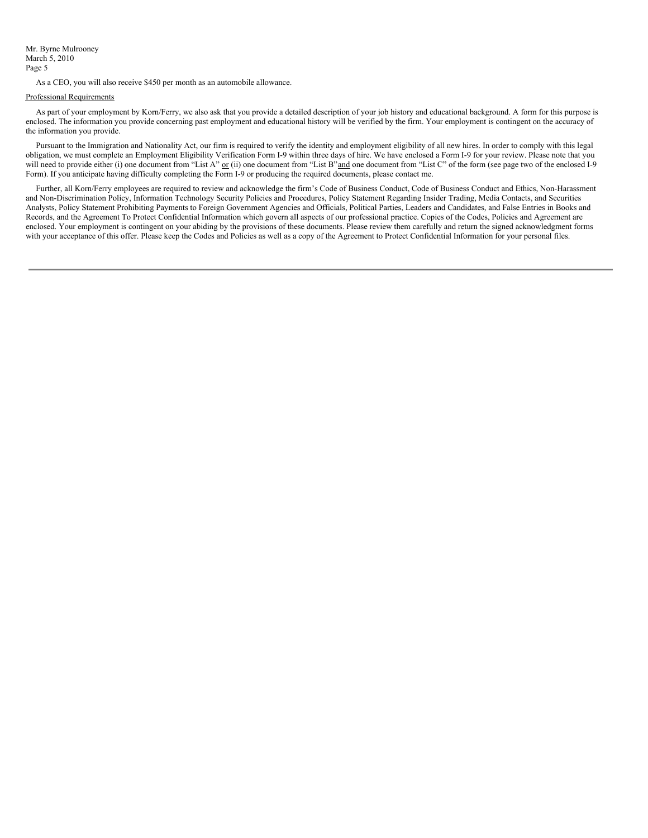As a CEO, you will also receive \$450 per month as an automobile allowance.

### Professional Requirements

As part of your employment by Korn/Ferry, we also ask that you provide a detailed description of your job history and educational background. A form for this purpose is enclosed. The information you provide concerning past employment and educational history will be verified by the firm. Your employment is contingent on the accuracy of the information you provide.

Pursuant to the Immigration and Nationality Act, our firm is required to verify the identity and employment eligibility of all new hires. In order to comply with this legal obligation, we must complete an Employment Eligibility Verification Form I-9 within three days of hire. We have enclosed a Form I-9 for your review. Please note that you will need to provide either (i) one document from "List A" or (ii) one document from "List B" and one document from "List C" of the form (see page two of the enclosed I-9 Form). If you anticipate having difficulty completing the Form I-9 or producing the required documents, please contact me.

Further, all Korn/Ferry employees are required to review and acknowledge the firm's Code of Business Conduct, Code of Business Conduct and Ethics, Non-Harassment and Non-Discrimination Policy, Information Technology Security Policies and Procedures, Policy Statement Regarding Insider Trading, Media Contacts, and Securities Analysts, Policy Statement Prohibiting Payments to Foreign Government Agencies and Officials, Political Parties, Leaders and Candidates, and False Entries in Books and Records, and the Agreement To Protect Confidential Information which govern all aspects of our professional practice. Copies of the Codes, Policies and Agreement are enclosed. Your employment is contingent on your abiding by the provisions of these documents. Please review them carefully and return the signed acknowledgment forms with your acceptance of this offer. Please keep the Codes and Policies as well as a copy of the Agreement to Protect Confidential Information for your personal files.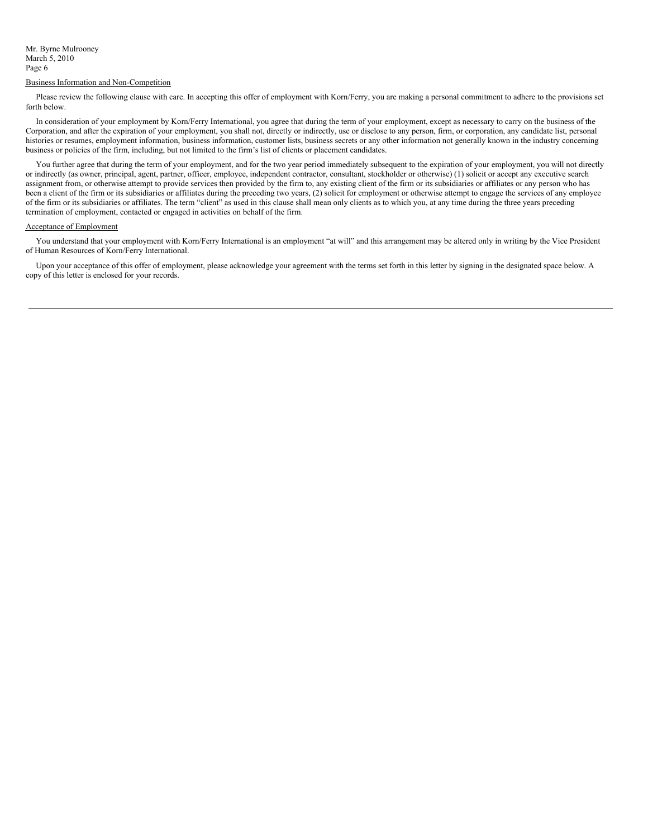### Business Information and Non-Competition

Please review the following clause with care. In accepting this offer of employment with Korn/Ferry, you are making a personal commitment to adhere to the provisions set forth below.

In consideration of your employment by Korn/Ferry International, you agree that during the term of your employment, except as necessary to carry on the business of the Corporation, and after the expiration of your employment, you shall not, directly or indirectly, use or disclose to any person, firm, or corporation, any candidate list, personal histories or resumes, employment information, business information, customer lists, business secrets or any other information not generally known in the industry concerning business or policies of the firm, including, but not limited to the firm's list of clients or placement candidates.

You further agree that during the term of your employment, and for the two year period immediately subsequent to the expiration of your employment, you will not directly or indirectly (as owner, principal, agent, partner, officer, employee, independent contractor, consultant, stockholder or otherwise) (1) solicit or accept any executive search assignment from, or otherwise attempt to provide services then provided by the firm to, any existing client of the firm or its subsidiaries or affiliates or any person who has been a client of the firm or its subsidiaries or affiliates during the preceding two years, (2) solicit for employment or otherwise attempt to engage the services of any employee of the firm or its subsidiaries or affiliates. The term "client" as used in this clause shall mean only clients as to which you, at any time during the three years preceding termination of employment, contacted or engaged in activities on behalf of the firm.

## Acceptance of Employment

You understand that your employment with Korn/Ferry International is an employment "at will" and this arrangement may be altered only in writing by the Vice President of Human Resources of Korn/Ferry International.

Upon your acceptance of this offer of employment, please acknowledge your agreement with the terms set forth in this letter by signing in the designated space below. A copy of this letter is enclosed for your records.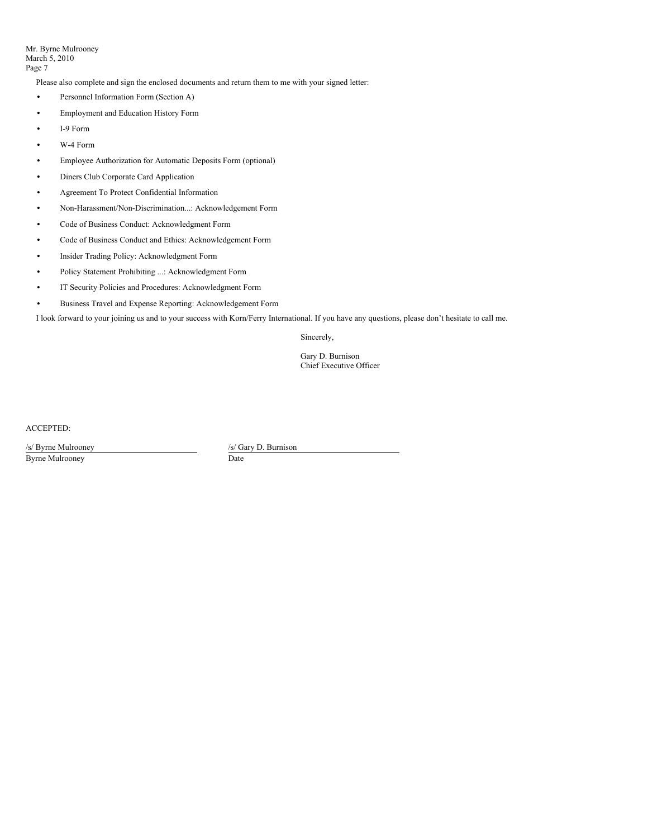Mr. Byrne Mulrooney March 5, 2010 Page 7

Please also complete and sign the enclosed documents and return them to me with your signed letter:

- **•** Personnel Information Form (Section A)
- **•** Employment and Education History Form
- **•** I-9 Form
- **•** W-4 Form
- **•** Employee Authorization for Automatic Deposits Form (optional)
- **•** Diners Club Corporate Card Application
- **•** Agreement To Protect Confidential Information
- **•** Non-Harassment/Non-Discrimination...: Acknowledgement Form
- **•** Code of Business Conduct: Acknowledgment Form
- **•** Code of Business Conduct and Ethics: Acknowledgement Form
- **•** Insider Trading Policy: Acknowledgment Form
- **•** Policy Statement Prohibiting ...: Acknowledgment Form
- **•** IT Security Policies and Procedures: Acknowledgment Form
- **•** Business Travel and Expense Reporting: Acknowledgement Form

I look forward to your joining us and to your success with Korn/Ferry International. If you have any questions, please don't hesitate to call me.

Sincerely,

Gary D. Burnison Chief Executive Officer

ACCEPTED:

/s/ Byrne Mulrooney Byrne Mulrooney

/s/ Gary D. Burnison Date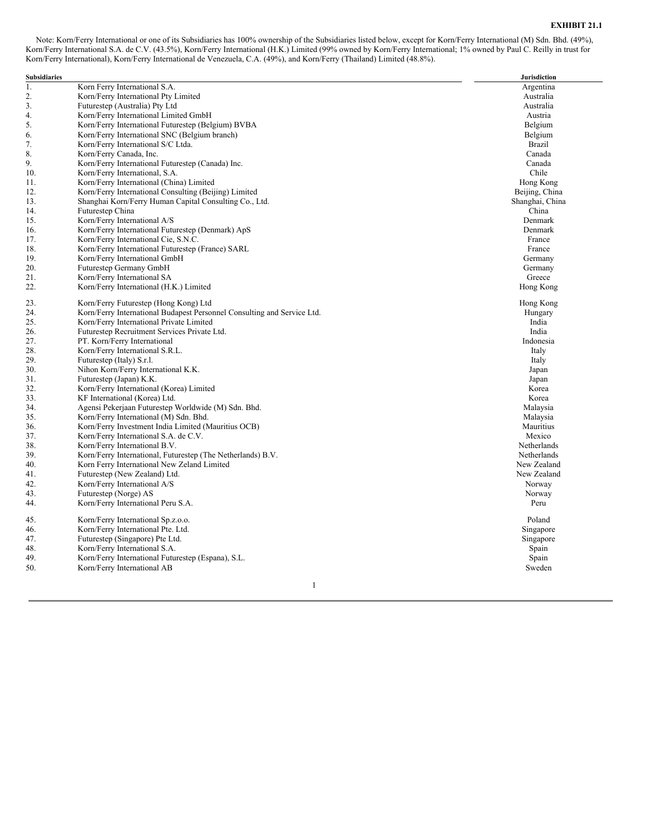# **EXHIBIT 21.1**

Note: Korn/Ferry International or one of its Subsidiaries has 100% ownership of the Subsidiaries listed below, except for Korn/Ferry International (M) Sdn. Bhd. (49%), Korn/Ferry International S.A. de C.V. (43.5%), Korn/Ferry International (H.K.) Limited (99% owned by Korn/Ferry International; 1% owned by Paul C. Reilly in trust for Korn/Ferry International), Korn/Ferry International de Venezuela, C.A. (49%), and Korn/Ferry (Thailand) Limited (48.8%).

| <b>Subsidiaries</b> |                                                                         | <b>Jurisdiction</b> |
|---------------------|-------------------------------------------------------------------------|---------------------|
| 1.                  | Korn Ferry International S.A.                                           | Argentina           |
| 2.                  | Korn/Ferry International Pty Limited                                    | Australia           |
| 3.                  | Futurestep (Australia) Pty Ltd                                          | Australia           |
| 4.                  | Korn/Ferry International Limited GmbH                                   | Austria             |
| 5.                  | Korn/Ferry International Futurestep (Belgium) BVBA                      | Belgium             |
| 6.                  | Korn/Ferry International SNC (Belgium branch)                           | Belgium             |
| 7.                  | Korn/Ferry International S/C Ltda.                                      | <b>Brazil</b>       |
| 8.                  | Korn/Ferry Canada, Inc.                                                 | Canada              |
| 9.                  | Korn/Ferry International Futurestep (Canada) Inc.                       | Canada              |
| 10.                 | Korn/Ferry International, S.A.                                          | Chile               |
| 11.                 | Korn/Ferry International (China) Limited                                | Hong Kong           |
| 12.                 | Korn/Ferry International Consulting (Beijing) Limited                   | Beijing, China      |
| 13.                 | Shanghai Korn/Ferry Human Capital Consulting Co., Ltd.                  | Shanghai, China     |
| 14.                 | Futurestep China                                                        | China               |
| 15.                 | Korn/Ferry International A/S                                            | Denmark             |
| 16.                 | Korn/Ferry International Futurestep (Denmark) ApS                       | Denmark             |
| 17.                 | Korn/Ferry International Cie, S.N.C.                                    | France              |
| 18.                 | Korn/Ferry International Futurestep (France) SARL                       | France              |
| 19.                 | Korn/Ferry International GmbH                                           | Germany             |
| 20.                 | Futurestep Germany GmbH                                                 | Germany             |
| 21.                 | Korn/Ferry International SA                                             | Greece              |
| 22.                 | Korn/Ferry International (H.K.) Limited                                 | Hong Kong           |
| 23.                 | Korn/Ferry Futurestep (Hong Kong) Ltd                                   | Hong Kong           |
| 24.                 | Korn/Ferry International Budapest Personnel Consulting and Service Ltd. | Hungary             |
| 25.                 | Korn/Ferry International Private Limited                                | India               |
| 26.                 | Futurestep Recruitment Services Private Ltd.                            | India               |
| 27.                 | PT. Korn/Ferry International                                            | Indonesia           |
| 28.                 | Korn/Ferry International S.R.L.                                         | Italy               |
| 29.                 | Futurestep (Italy) S.r.l.                                               | Italy               |
| 30.                 | Nihon Korn/Ferry International K.K.                                     | Japan               |
| 31.                 | Futurestep (Japan) K.K.                                                 | Japan               |
| 32.                 | Korn/Ferry International (Korea) Limited                                | Korea               |
| 33.                 | KF International (Korea) Ltd.                                           | Korea               |
| 34.                 | Agensi Pekerjaan Futurestep Worldwide (M) Sdn. Bhd.                     | Malaysia            |
| 35.                 | Korn/Ferry International (M) Sdn. Bhd.                                  | Malaysia            |
| 36.                 | Korn/Ferry Investment India Limited (Mauritius OCB)                     | Mauritius           |
| 37.                 | Korn/Ferry International S.A. de C.V.                                   | Mexico              |
| 38.                 | Korn/Ferry International B.V.                                           | Netherlands         |
| 39.                 | Korn/Ferry International, Futurestep (The Netherlands) B.V.             | Netherlands         |
| 40.                 | Korn Ferry International New Zeland Limited                             | New Zealand         |
| 41.                 | Futurestep (New Zealand) Ltd.                                           | New Zealand         |
| 42.                 | Korn/Ferry International A/S                                            | Norway              |
| 43.                 | Futurestep (Norge) AS                                                   | Norway              |
| 44.                 | Korn/Ferry International Peru S.A.                                      | Peru                |
| 45.                 | Korn/Ferry International Sp.z.o.o.                                      | Poland              |
| 46.                 | Korn/Ferry International Pte. Ltd.                                      | Singapore           |
| 47.                 | Futurestep (Singapore) Pte Ltd.                                         | Singapore           |
| 48.                 | Korn/Ferry International S.A.                                           | Spain               |
| 49.                 | Korn/Ferry International Futurestep (Espana), S.L.                      | Spain               |
| 50.                 | Korn/Ferry International AB                                             | Sweden              |

1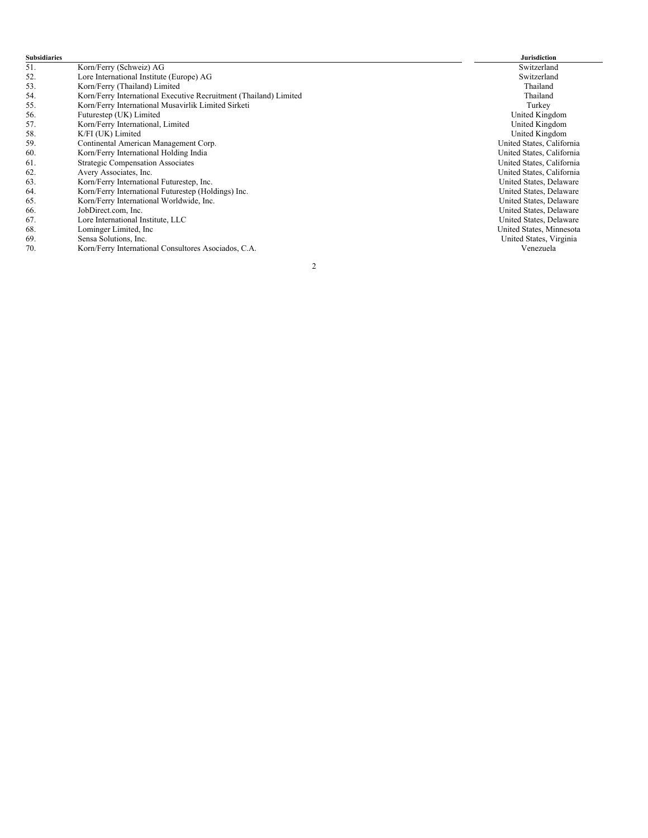| <b>Subsidiaries</b> |                                                                   | <b>Jurisdiction</b>       |
|---------------------|-------------------------------------------------------------------|---------------------------|
| 51.                 | Korn/Ferry (Schweiz) AG                                           | Switzerland               |
| 52.                 | Lore International Institute (Europe) AG                          | Switzerland               |
| 53.                 | Korn/Ferry (Thailand) Limited                                     | Thailand                  |
| 54.                 | Korn/Ferry International Executive Recruitment (Thailand) Limited | Thailand                  |
| 55.                 | Korn/Ferry International Musavirlik Limited Sirketi               | Turkey                    |
| 56.                 | Futurestep (UK) Limited                                           | United Kingdom            |
| 57.                 | Korn/Ferry International, Limited                                 | United Kingdom            |
| 58.                 | K/FI (UK) Limited                                                 | United Kingdom            |
| 59.                 | Continental American Management Corp.                             | United States, California |
| 60.                 | Korn/Ferry International Holding India                            | United States, California |
| 61.                 | Strategic Compensation Associates                                 | United States, California |
| 62.                 | Avery Associates, Inc.                                            | United States, California |
| 63.                 | Korn/Ferry International Futurestep, Inc.                         | United States, Delaware   |
| 64.                 | Korn/Ferry International Futurestep (Holdings) Inc.               | United States, Delaware   |
| 65.                 | Korn/Ferry International Worldwide, Inc.                          | United States, Delaware   |
| 66.                 | JobDirect.com, Inc.                                               | United States, Delaware   |
| 67.                 | Lore International Institute, LLC                                 | United States, Delaware   |
| 68.                 | Lominger Limited, Inc.                                            | United States, Minnesota  |
| 69.                 | Sensa Solutions, Inc.                                             | United States, Virginia   |
| 70.                 | Korn/Ferry International Consultores Asociados, C.A.              | Venezuela                 |
|                     | $\overline{2}$                                                    |                           |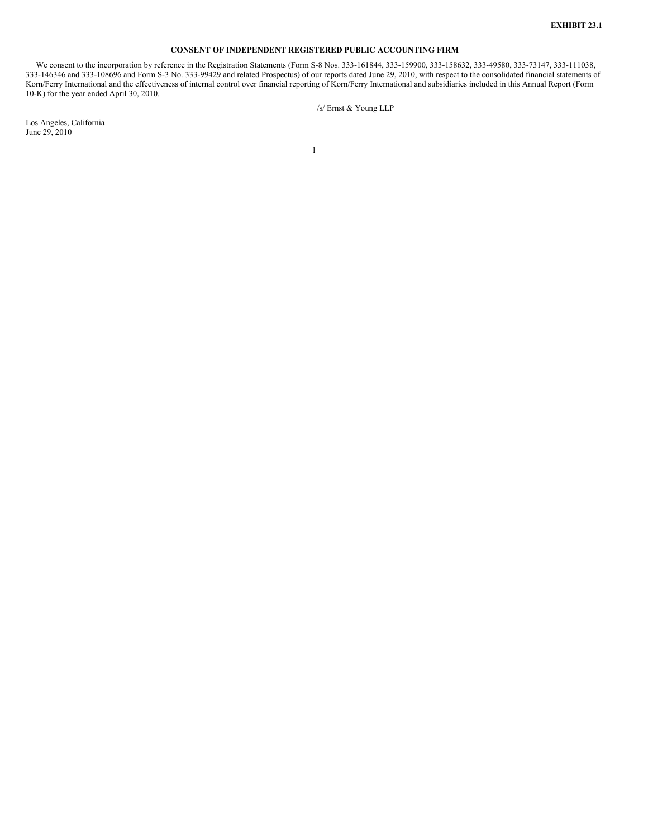# **CONSENT OF INDEPENDENT REGISTERED PUBLIC ACCOUNTING FIRM**

We consent to the incorporation by reference in the Registration Statements (Form S-8 Nos. 333-161844, 333-159900, 333-158632, 333-49580, 333-73147, 333-111038, 333-146346 and 333-108696 and Form S-3 No. 333-99429 and related Prospectus) of our reports dated June 29, 2010, with respect to the consolidated financial statements of Korn/Ferry International and the effectiveness of internal control over financial reporting of Korn/Ferry International and subsidiaries included in this Annual Report (Form 10-K) for the year ended April 30, 2010.

/s/ Ernst & Young LLP

Los Angeles, California June 29, 2010

1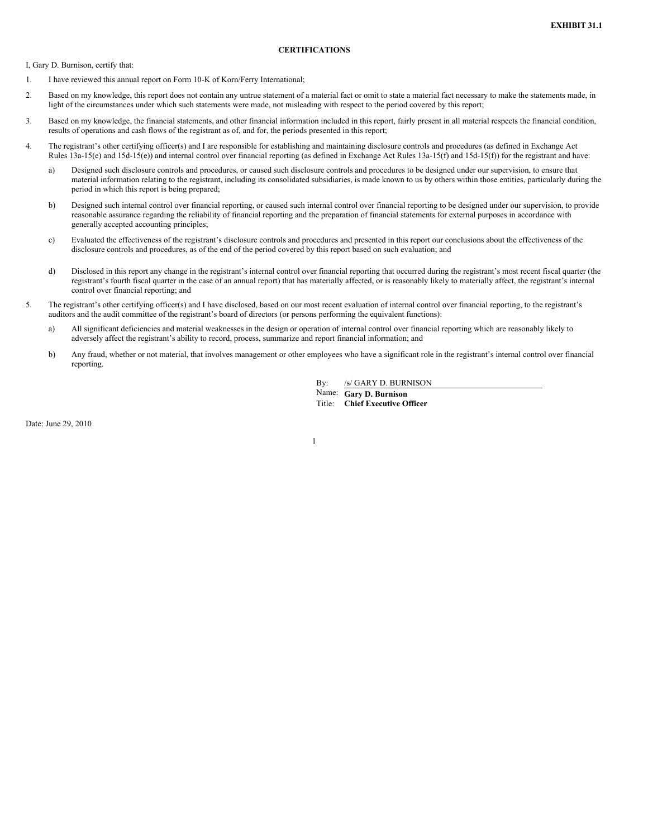## **CERTIFICATIONS**

I, Gary D. Burnison, certify that:

- 1. I have reviewed this annual report on Form 10-K of Korn/Ferry International;
- 2. Based on my knowledge, this report does not contain any untrue statement of a material fact or omit to state a material fact necessary to make the statements made, in light of the circumstances under which such statements were made, not misleading with respect to the period covered by this report;
- 3. Based on my knowledge, the financial statements, and other financial information included in this report, fairly present in all material respects the financial condition, results of operations and cash flows of the registrant as of, and for, the periods presented in this report;
- 4. The registrant's other certifying officer(s) and I are responsible for establishing and maintaining disclosure controls and procedures (as defined in Exchange Act Rules 13a-15(e) and 15d-15(e)) and internal control over financial reporting (as defined in Exchange Act Rules 13a-15(f) and 15d-15(f)) for the registrant and have:
	- a) Designed such disclosure controls and procedures, or caused such disclosure controls and procedures to be designed under our supervision, to ensure that material information relating to the registrant, including its consolidated subsidiaries, is made known to us by others within those entities, particularly during the period in which this report is being prepared;
	- b) Designed such internal control over financial reporting, or caused such internal control over financial reporting to be designed under our supervision, to provide reasonable assurance regarding the reliability of financial reporting and the preparation of financial statements for external purposes in accordance with generally accepted accounting principles;
	- c) Evaluated the effectiveness of the registrant's disclosure controls and procedures and presented in this report our conclusions about the effectiveness of the disclosure controls and procedures, as of the end of the period covered by this report based on such evaluation; and
	- d) Disclosed in this report any change in the registrant's internal control over financial reporting that occurred during the registrant's most recent fiscal quarter (the registrant's fourth fiscal quarter in the case of an annual report) that has materially affected, or is reasonably likely to materially affect, the registrant's internal control over financial reporting; and
- 5. The registrant's other certifying officer(s) and I have disclosed, based on our most recent evaluation of internal control over financial reporting, to the registrant's auditors and the audit committee of the registrant's board of directors (or persons performing the equivalent functions):
	- a) All significant deficiencies and material weaknesses in the design or operation of internal control over financial reporting which are reasonably likely to adversely affect the registrant's ability to record, process, summarize and report financial information; and
	- b) Any fraud, whether or not material, that involves management or other employees who have a significant role in the registrant's internal control over financial reporting.

1

By: /s/ GARY D. BURNISON

Name: **Gary D. Burnison**

Title: **Chief Executive Officer**

Date: June 29, 2010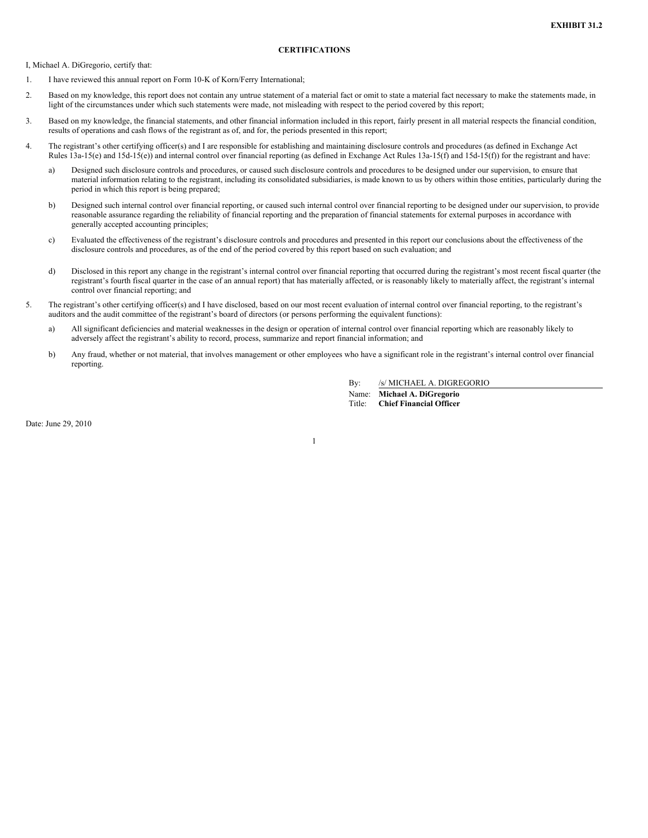## **CERTIFICATIONS**

I, Michael A. DiGregorio, certify that:

- 1. I have reviewed this annual report on Form 10-K of Korn/Ferry International;
- 2. Based on my knowledge, this report does not contain any untrue statement of a material fact or omit to state a material fact necessary to make the statements made, in light of the circumstances under which such statements were made, not misleading with respect to the period covered by this report;
- 3. Based on my knowledge, the financial statements, and other financial information included in this report, fairly present in all material respects the financial condition, results of operations and cash flows of the registrant as of, and for, the periods presented in this report;
- 4. The registrant's other certifying officer(s) and I are responsible for establishing and maintaining disclosure controls and procedures (as defined in Exchange Act Rules 13a-15(e) and 15d-15(e)) and internal control over financial reporting (as defined in Exchange Act Rules 13a-15(f) and 15d-15(f)) for the registrant and have:
	- a) Designed such disclosure controls and procedures, or caused such disclosure controls and procedures to be designed under our supervision, to ensure that material information relating to the registrant, including its consolidated subsidiaries, is made known to us by others within those entities, particularly during the period in which this report is being prepared;
	- b) Designed such internal control over financial reporting, or caused such internal control over financial reporting to be designed under our supervision, to provide reasonable assurance regarding the reliability of financial reporting and the preparation of financial statements for external purposes in accordance with generally accepted accounting principles;
	- c) Evaluated the effectiveness of the registrant's disclosure controls and procedures and presented in this report our conclusions about the effectiveness of the disclosure controls and procedures, as of the end of the period covered by this report based on such evaluation; and
	- d) Disclosed in this report any change in the registrant's internal control over financial reporting that occurred during the registrant's most recent fiscal quarter (the registrant's fourth fiscal quarter in the case of an annual report) that has materially affected, or is reasonably likely to materially affect, the registrant's internal control over financial reporting; and
- 5. The registrant's other certifying officer(s) and I have disclosed, based on our most recent evaluation of internal control over financial reporting, to the registrant's auditors and the audit committee of the registrant's board of directors (or persons performing the equivalent functions):
	- a) All significant deficiencies and material weaknesses in the design or operation of internal control over financial reporting which are reasonably likely to adversely affect the registrant's ability to record, process, summarize and report financial information; and
	- b) Any fraud, whether or not material, that involves management or other employees who have a significant role in the registrant's internal control over financial reporting.

1

By: /s/ MICHAEL A. DIGREGORIO

Name: **Michael A. DiGregorio** Title: **Chief Financial Officer**

Date: June 29, 2010